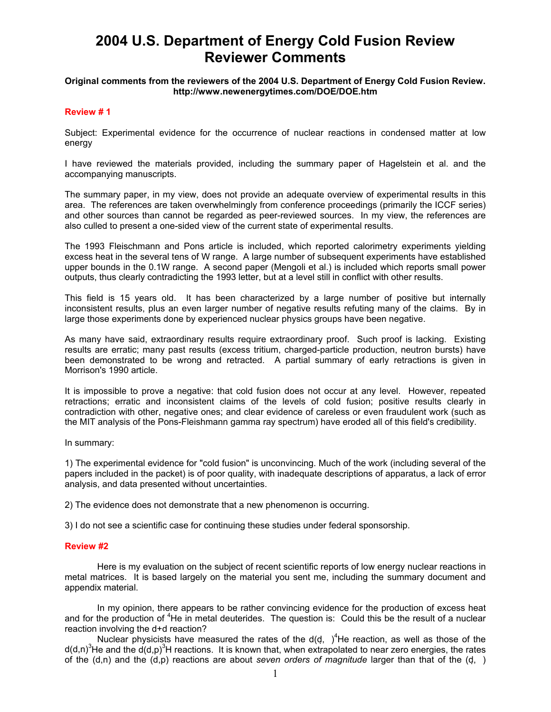# **2004 U.S. Department of Energy Cold Fusion Review Reviewer Comments**

# **Original comments from the reviewers of the 2004 U.S. Department of Energy Cold Fusion Review. http://www.newenergytimes.com/DOE/DOE.htm**

# **Review # 1**

Subject: Experimental evidence for the occurrence of nuclear reactions in condensed matter at low energy

I have reviewed the materials provided, including the summary paper of Hagelstein et al. and the accompanying manuscripts.

The summary paper, in my view, does not provide an adequate overview of experimental results in this area. The references are taken overwhelmingly from conference proceedings (primarily the ICCF series) and other sources than cannot be regarded as peer-reviewed sources. In my view, the references are also culled to present a one-sided view of the current state of experimental results.

The 1993 Fleischmann and Pons article is included, which reported calorimetry experiments yielding excess heat in the several tens of W range. A large number of subsequent experiments have established upper bounds in the 0.1W range. A second paper (Mengoli et al.) is included which reports small power outputs, thus clearly contradicting the 1993 letter, but at a level still in conflict with other results.

This field is 15 years old. It has been characterized by a large number of positive but internally inconsistent results, plus an even larger number of negative results refuting many of the claims. By in large those experiments done by experienced nuclear physics groups have been negative.

As many have said, extraordinary results require extraordinary proof. Such proof is lacking. Existing results are erratic; many past results (excess tritium, charged-particle production, neutron bursts) have been demonstrated to be wrong and retracted. A partial summary of early retractions is given in Morrison's 1990 article.

It is impossible to prove a negative: that cold fusion does not occur at any level. However, repeated retractions; erratic and inconsistent claims of the levels of cold fusion; positive results clearly in contradiction with other, negative ones; and clear evidence of careless or even fraudulent work (such as the MIT analysis of the Pons-Fleishmann gamma ray spectrum) have eroded all of this field's credibility.

In summary:

1) The experimental evidence for "cold fusion" is unconvincing. Much of the work (including several of the papers included in the packet) is of poor quality, with inadequate descriptions of apparatus, a lack of error analysis, and data presented without uncertainties.

2) The evidence does not demonstrate that a new phenomenon is occurring.

3) I do not see a scientific case for continuing these studies under federal sponsorship.

# **Review #2**

 Here is my evaluation on the subject of recent scientific reports of low energy nuclear reactions in metal matrices. It is based largely on the material you sent me, including the summary document and appendix material.

 In my opinion, there appears to be rather convincing evidence for the production of excess heat and for the production of <sup>4</sup>He in metal deuterides. The question is: Could this be the result of a nuclear reaction involving the d+d reaction?

Nuclear physicists have measured the rates of the  $d(d, )<sup>4</sup>$ He reaction, as well as those of the  $d(d,n)^3$ He and the  $d(d,p)^3$ H reactions. It is known that, when extrapolated to near zero energies, the rates of the (d,n) and the (d,p) reactions are about *seven orders of magnitude* larger than that of the (d,)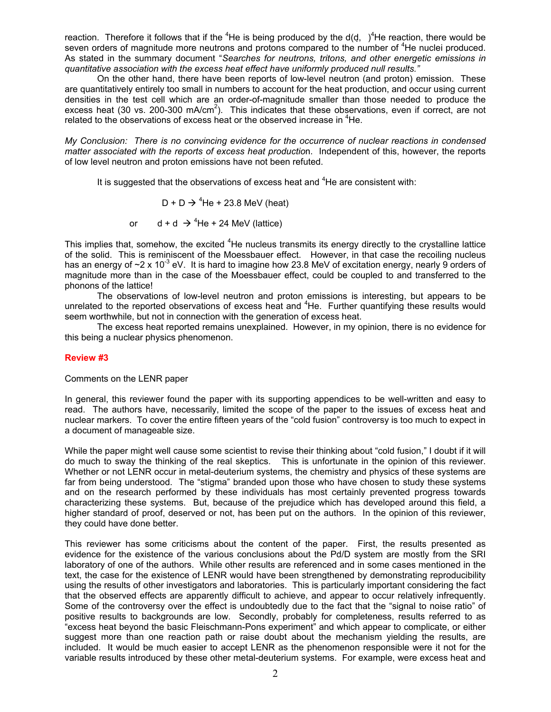reaction. Therefore it follows that if the <sup>4</sup>He is being produced by the d(d, )<sup>4</sup>He reaction, there would be seven orders of magnitude more neutrons and protons compared to the number of <sup>4</sup>He nuclei produced. As stated in the summary document "*Searches for neutrons, tritons, and other energetic emissions in quantitative association with the excess heat effect have uniformly produced null results."* 

 On the other hand, there have been reports of low-level neutron (and proton) emission. These are quantitatively entirely too small in numbers to account for the heat production, and occur using current densities in the test cell which are an order-of-magnitude smaller than those needed to produce the excess heat (30 vs. 200-300 mA/cm<sup>2</sup>). This indicates that these observations, even if correct, are not related to the observations of excess heat or the observed increase in <sup>4</sup>He.

*My Conclusion: There is no convincing evidence for the occurrence of nuclear reactions in condensed matter associated with the reports of excess heat productio*n. Independent of this, however, the reports of low level neutron and proton emissions have not been refuted.

It is suggested that the observations of excess heat and  ${}^{4}$ He are consistent with:

 $D + D \rightarrow {}^{4}He + 23.8$  MeV (heat)

or  $d + d \rightarrow 4$ He + 24 MeV (lattice)

This implies that, somehow, the excited <sup>4</sup>He nucleus transmits its energy directly to the crystalline lattice of the solid. This is reminiscent of the Moessbauer effect. However, in that case the recoiling nucleus has an energy of  $\sim$ 2 x 10<sup>-3</sup> eV. It is hard to imagine how 23.8 MeV of excitation energy, nearly 9 orders of magnitude more than in the case of the Moessbauer effect, could be coupled to and transferred to the phonons of the lattice!

 The observations of low-level neutron and proton emissions is interesting, but appears to be unrelated to the reported observations of excess heat and  $4$ He. Further quantifying these results would seem worthwhile, but not in connection with the generation of excess heat.

 The excess heat reported remains unexplained. However, in my opinion, there is no evidence for this being a nuclear physics phenomenon.

# **Review #3**

Comments on the LENR paper

In general, this reviewer found the paper with its supporting appendices to be well-written and easy to read. The authors have, necessarily, limited the scope of the paper to the issues of excess heat and nuclear markers. To cover the entire fifteen years of the "cold fusion" controversy is too much to expect in a document of manageable size.

While the paper might well cause some scientist to revise their thinking about "cold fusion," I doubt if it will do much to sway the thinking of the real skeptics. This is unfortunate in the opinion of this reviewer. Whether or not LENR occur in metal-deuterium systems, the chemistry and physics of these systems are far from being understood. The "stigma" branded upon those who have chosen to study these systems and on the research performed by these individuals has most certainly prevented progress towards characterizing these systems. But, because of the prejudice which has developed around this field, a higher standard of proof, deserved or not, has been put on the authors. In the opinion of this reviewer, they could have done better.

This reviewer has some criticisms about the content of the paper. First, the results presented as evidence for the existence of the various conclusions about the Pd/D system are mostly from the SRI laboratory of one of the authors. While other results are referenced and in some cases mentioned in the text, the case for the existence of LENR would have been strengthened by demonstrating reproducibility using the results of other investigators and laboratories. This is particularly important considering the fact that the observed effects are apparently difficult to achieve, and appear to occur relatively infrequently. Some of the controversy over the effect is undoubtedly due to the fact that the "signal to noise ratio" of positive results to backgrounds are low. Secondly, probably for completeness, results referred to as "excess heat beyond the basic Fleischmann-Pons experiment" and which appear to complicate, or either suggest more than one reaction path or raise doubt about the mechanism yielding the results, are included. It would be much easier to accept LENR as the phenomenon responsible were it not for the variable results introduced by these other metal-deuterium systems. For example, were excess heat and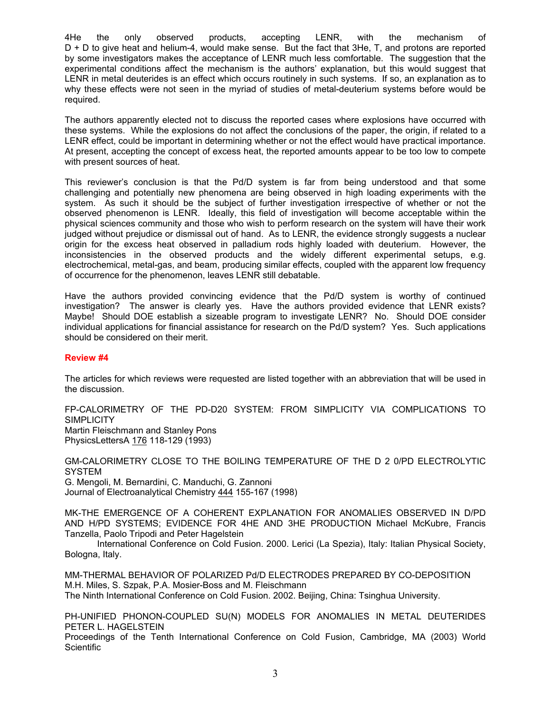4He the only observed products, accepting LENR, with the mechanism of D + D to give heat and helium-4, would make sense. But the fact that 3He, T, and protons are reported by some investigators makes the acceptance of LENR much less comfortable. The suggestion that the experimental conditions affect the mechanism is the authors' explanation, but this would suggest that LENR in metal deuterides is an effect which occurs routinely in such systems. If so, an explanation as to why these effects were not seen in the myriad of studies of metal-deuterium systems before would be required.

The authors apparently elected not to discuss the reported cases where explosions have occurred with these systems. While the explosions do not affect the conclusions of the paper, the origin, if related to a LENR effect, could be important in determining whether or not the effect would have practical importance. At present, accepting the concept of excess heat, the reported amounts appear to be too low to compete with present sources of heat.

This reviewer's conclusion is that the Pd/D system is far from being understood and that some challenging and potentially new phenomena are being observed in high loading experiments with the system. As such it should be the subject of further investigation irrespective of whether or not the observed phenomenon is LENR. Ideally, this field of investigation will become acceptable within the physical sciences community and those who wish to perform research on the system will have their work judged without prejudice or dismissal out of hand. As to LENR, the evidence strongly suggests a nuclear origin for the excess heat observed in palladium rods highly loaded with deuterium. However, the inconsistencies in the observed products and the widely different experimental setups, e.g. electrochemical, metal-gas, and beam, producing similar effects, coupled with the apparent low frequency of occurrence for the phenomenon, leaves LENR still debatable.

Have the authors provided convincing evidence that the Pd/D system is worthy of continued investigation? The answer is clearly yes. Have the authors provided evidence that LENR exists? Maybe! Should DOE establish a sizeable program to investigate LENR? No. Should DOE consider individual applications for financial assistance for research on the Pd/D system? Yes. Such applications should be considered on their merit.

# **Review #4**

The articles for which reviews were requested are listed together with an abbreviation that will be used in the discussion.

FP-CALORIMETRY OF THE PD-D20 SYSTEM: FROM SIMPLICITY VIA COMPLICATIONS TO **SIMPLICITY** Martin Fleischmann and Stanley Pons PhysicsLettersA 176 118-129 (1993)

GM-CALORIMETRY CLOSE TO THE BOILING TEMPERATURE OF THE D 2 0/PD ELECTROLYTIC **SYSTEM** G. Mengoli, M. Bernardini, C. Manduchi, G. Zannoni Journal of Electroanalytical Chemistry 444 155-167 (1998)

MK-THE EMERGENCE OF A COHERENT EXPLANATION FOR ANOMALIES OBSERVED IN D/PD AND H/PD SYSTEMS; EVIDENCE FOR 4HE AND 3HE PRODUCTION Michael McKubre, Francis Tanzella, Paolo Tripodi and Peter Hagelstein

International Conference on Cold Fusion. 2000. Lerici (La Spezia), Italy: Italian Physical Society, Bologna, Italy.

MM-THERMAL BEHAVIOR OF POLARIZED Pd/D ELECTRODES PREPARED BY CO-DEPOSITION M.H. Miles, S. Szpak, P.A. Mosier-Boss and M. Fleischmann The Ninth International Conference on Cold Fusion. 2002. Beijing, China: Tsinghua University.

PH-UNIFIED PHONON-COUPLED SU(N) MODELS FOR ANOMALIES IN METAL DEUTERIDES PETER L. HAGELSTEIN

Proceedings of the Tenth International Conference on Cold Fusion, Cambridge, MA (2003) World **Scientific**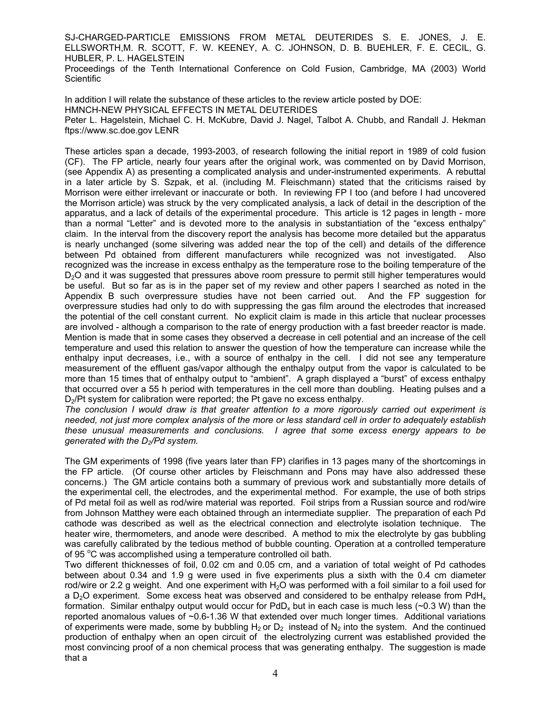SJ-CHARGED-PARTICLE EMISSIONS FROM METAL DEUTERIDES S. E. JONES, J. E. ELLSWORTH,M. R. SCOTT, F. W. KEENEY, A. C. JOHNSON, D. B. BUEHLER, F. E. CECIL, G. HUBLER, P. L. HAGELSTEIN

Proceedings of the Tenth International Conference on Cold Fusion, Cambridge, MA (2003) World **Scientific** 

In addition I will relate the substance of these articles to the review article posted by DOE: HMNCH-NEW PHYSICAL EFFECTS IN METAL DEUTERIDES Peter L. Hagelstein, Michael C. H. McKubre, David J. Nagel, Talbot A. Chubb, and Randall J. Hekman ftps://www.sc.doe.gov LENR

These articles span a decade, 1993-2003, of research following the initial report in 1989 of cold fusion (CF). The FP article, nearly four years after the original work, was commented on by David Morrison, (see Appendix A) as presenting a complicated analysis and under-instrumented experiments. A rebuttal in a later article by S. Szpak, et al. (including M. Fleischmann) stated that the criticisms raised by Morrison were either irrelevant or inaccurate or both. In reviewing FP I too (and before I had uncovered the Morrison article) was struck by the very complicated analysis, a lack of detail in the description of the apparatus, and a lack of details of the experimental procedure. This article is 12 pages in length - more than a normal "Letter" and is devoted more to the analysis in substantiation of the "excess enthalpy" claim. In the interval from the discovery report the analysis has become more detailed but the apparatus is nearly unchanged (some silvering was added near the top of the cell) and details of the difference between Pd obtained from different manufacturers while recognized was not investigated. Also recognized was the increase in excess enthalpy as the temperature rose to the boiling temperature of the D<sub>2</sub>O and it was suggested that pressures above room pressure to permit still higher temperatures would be useful. But so far as is in the paper set of my review and other papers I searched as noted in the Appendix B such overpressure studies have not been carried out. And the FP suggestion for overpressure studies had only to do with suppressing the gas film around the electrodes that increased the potential of the cell constant current. No explicit claim is made in this article that nuclear processes are involved - although a comparison to the rate of energy production with a fast breeder reactor is made. Mention is made that in some cases they observed a decrease in cell potential and an increase of the cell temperature and used this relation to answer the question of how the temperature can increase while the enthalpy input decreases, i.e., with a source of enthalpy in the cell. I did not see any temperature measurement of the effluent gas/vapor although the enthalpy output from the vapor is calculated to be more than 15 times that of enthalpy output to "ambient". A graph displayed a "burst" of excess enthalpy that occurred over a 55 h period with temperatures in the cell more than doubling. Heating pulses and a D<sub>2</sub>/Pt system for calibration were reported; the Pt gave no excess enthalpy.

*The conclusion I would draw is that greater attention to a more rigorously carried out experiment is needed, not just more complex analysis of the more or less standard cell in order to adequately establish these unusual measurements and conclusions. I agree that some excess energy appears to be generated with the D2/Pd system.* 

The GM experiments of 1998 (five years later than FP) clarifies in 13 pages many of the shortcomings in the FP article. (Of course other articles by Fleischmann and Pons may have also addressed these concerns.) The GM article contains both a summary of previous work and substantially more details of the experimental cell, the electrodes, and the experimental method. For example, the use of both strips of Pd metal foil as well as rod/wire material was reported. Foil strips from a Russian source and rod/wire from Johnson Matthey were each obtained through an intermediate supplier. The preparation of each Pd cathode was described as well as the electrical connection and electrolyte isolation technique. The heater wire, thermometers, and anode were described. A method to mix the electrolyte by gas bubbling was carefully calibrated by the tedious method of bubble counting. Operation at a controlled temperature of 95 °C was accomplished using a temperature controlled oil bath.

Two different thicknesses of foil, 0.02 cm and 0.05 cm, and a variation of total weight of Pd cathodes between about 0.34 and 1.9 g were used in five experiments plus a sixth with the 0.4 cm diameter rod/wire or 2.2 g weight. And one experiment with  $H_2O$  was performed with a foil similar to a foil used for a  $D_2O$  experiment. Some excess heat was observed and considered to be enthalpy release from PdH<sub>x</sub> formation. Similar enthalpy output would occur for  $PdD_x$  but in each case is much less ( $\sim$ 0.3 W) than the reported anomalous values of ~0.6-1.36 W that extended over much longer times. Additional variations of experiments were made, some by bubbling  $H_2$  or  $D_2$  instead of N<sub>2</sub> into the system. And the continued production of enthalpy when an open circuit of the electrolyzing current was established provided the most convincing proof of a non chemical process that was generating enthalpy. The suggestion is made that a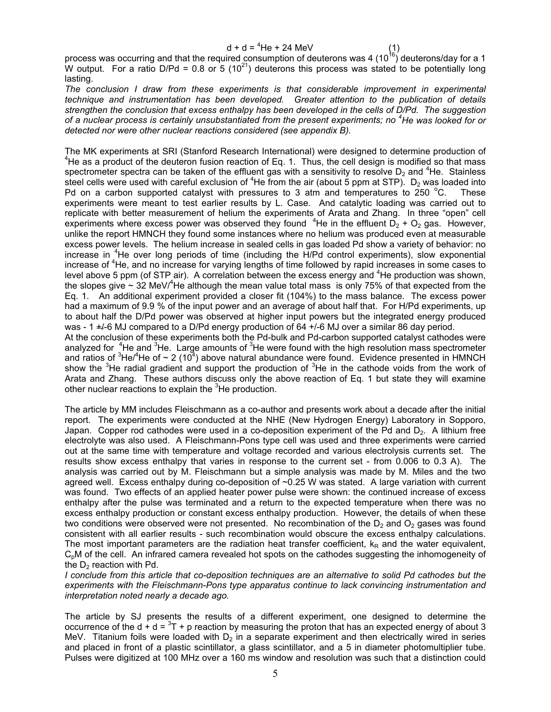process was occurring and that the required consumption of deuterons was 4 (10<sup>16</sup>) deuterons/day for a 1 W output. For a ratio D/Pd = 0.8 or 5  $(10^{21})$  deuterons this process was stated to be potentially long lasting.

*The conclusion I draw from these experiments is that considerable improvement in experimental technique and instrumentation has been developed. Greater attention to the publication of details strengthen the conclusion that excess enthalpy has been developed in the cells of D/Pd. The suggestion of a nuclear process is certainly unsubstantiated from the present experiments; no <sup>4</sup> He was looked for or detected nor were other nuclear reactions considered (see appendix B).* 

The MK experiments at SRI (Stanford Research International) were designed to determine production of 4  $4$ He as a product of the deuteron fusion reaction of Eq. 1. Thus, the cell design is modified so that mass spectrometer spectra can be taken of the effluent gas with a sensitivity to resolve  $D_2$  and <sup>4</sup>He. Stainless steel cells were used with careful exclusion of <sup>4</sup>He from the air (about 5 ppm at STP). D<sub>2</sub> was loaded into Pd on a carbon supported catalyst with pressures to 3 atm and temperatures to 250  $^{\circ}$ C. **These** experiments were meant to test earlier results by L. Case. And catalytic loading was carried out to replicate with better measurement of helium the experiments of Arata and Zhang. In three "open" cell experiments where excess power was observed they found  $4$ He in the effluent  $D_2 + D_2$  gas. However, unlike the report HMNCH they found some instances where no helium was produced even at measurable excess power levels. The helium increase in sealed cells in gas loaded Pd show a variety of behavior: no increase in <sup>4</sup>He over long periods of time (including the H/Pd control experiments), slow exponential increase of <sup>4</sup>He, and no increase for varying lengths of time followed by rapid increases in some cases to level above 5 ppm (of STP air). A correlation between the excess energy and <sup>4</sup>He production was shown, the slopes give  $\sim 32$  MeV/<sup>4</sup>He although the mean value total mass is only 75% of that expected from the Eq. 1. An additional experiment provided a closer fit (104%) to the mass balance. The excess power had a maximum of 9.9 % of the input power and an average of about half that. For H/Pd experiments, up to about half the D/Pd power was observed at higher input powers but the integrated energy produced was - 1  $+/-$ 6 MJ compared to a D/Pd energy production of 64  $+/-$ 6 MJ over a similar 86 day period. At the conclusion of these experiments both the Pd-bulk and Pd-carbon supported catalyst cathodes were analyzed for  $4$ He and  $3$ He. Large amounts of  $3$ He were found with the high resolution mass spectrometer and ratios of  ${}^{3}$ He/ ${}^{4}$ He of ~ 2 (10 ${}^{4}$ ) above natural abundance were found. Evidence presented in HMNCH show the  $3$ He radial gradient and support the production of  $3$ He in the cathode voids from the work of

The article by MM includes Fleischmann as a co-author and presents work about a decade after the initial report. The experiments were conducted at the NHE (New Hydrogen Energy) Laboratory in Sopporo, Japan. Copper rod cathodes were used in a co-deposition experiment of the Pd and  $D_2$ . A lithium free electrolyte was also used. A Fleischmann-Pons type cell was used and three experiments were carried out at the same time with temperature and voltage recorded and various electrolysis currents set. The results show excess enthalpy that varies in response to the current set - from 0.006 to 0.3 A). The analysis was carried out by M. Fleischmann but a simple analysis was made by M. Miles and the two agreed well. Excess enthalpy during co-deposition of ~0.25 W was stated. A large variation with current was found. Two effects of an applied heater power pulse were shown: the continued increase of excess enthalpy after the pulse was terminated and a return to the expected temperature when there was no excess enthalpy production or constant excess enthalpy production. However, the details of when these two conditions were observed were not presented. No recombination of the  $D_2$  and  $O_2$  gases was found consistent with all earlier results - such recombination would obscure the excess enthalpy calculations. The most important parameters are the radiation heat transfer coefficient,  $k<sub>R</sub>$  and the water equivalent, C<sub>p</sub>M of the cell. An infrared camera revealed hot spots on the cathodes suggesting the inhomogeneity of the  $D<sub>2</sub>$  reaction with Pd.

Arata and Zhang. These authors discuss only the above reaction of Eq. 1 but state they will examine

other nuclear reactions to explain the <sup>3</sup>He production.

*I conclude from this article that co-deposition techniques are an alternative to solid Pd cathodes but the experiments with the Fleischmann-Pons type apparatus continue to lack convincing instrumentation and interpretation noted nearly a decade ago.* 

The article by SJ presents the results of a different experiment, one designed to determine the occurrence of the  $d + d = \frac{3\pi}{2} + p$  reaction by measuring the proton that has an expected energy of about 3 MeV. Titanium foils were loaded with  $D_2$  in a separate experiment and then electrically wired in series and placed in front of a plastic scintillator, a glass scintillator, and a 5 in diameter photomultiplier tube. Pulses were digitized at 100 MHz over a 160 ms window and resolution was such that a distinction could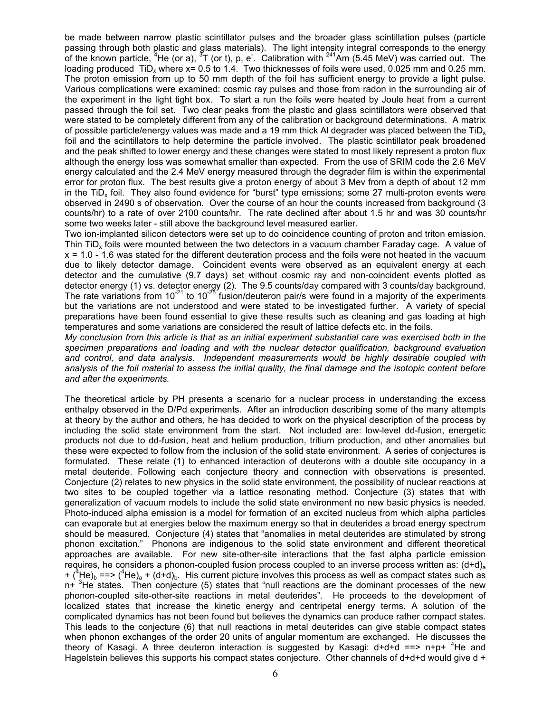be made between narrow plastic scintillator pulses and the broader glass scintillation pulses (particle passing through both plastic and glass materials). The light intensity integral corresponds to the energy of the known particle, <sup>4</sup>He (or a),  ${}^{3}$ T (or t), p, e . Calibration with <sup>241</sup>Am (5.45 MeV) was carried out. The loading produced TiD<sub>x</sub> where  $x= 0.5$  to 1.4. Two thicknesses of foils were used, 0.025 mm and 0.25 mm. The proton emission from up to 50 mm depth of the foil has sufficient energy to provide a light pulse. Various complications were examined: cosmic ray pulses and those from radon in the surrounding air of the experiment in the light tight box. To start a run the foils were heated by Joule heat from a current passed through the foil set. Two clear peaks from the plastic and glass scintillators were observed that were stated to be completely different from any of the calibration or background determinations. A matrix of possible particle/energy values was made and a 19 mm thick AI degrader was placed between the TiD. foil and the scintillators to help determine the particle involved. The plastic scintillator peak broadened and the peak shifted to lower energy and these changes were stated to most likely represent a proton flux although the energy loss was somewhat smaller than expected. From the use of SRIM code the 2.6 MeV energy calculated and the 2.4 MeV energy measured through the degrader film is within the experimental error for proton flux. The best results give a proton energy of about 3 Mev from a depth of about 12 mm in the TiD<sub>x</sub> foil. They also found evidence for "burst" type emissions; some 27 multi-proton events were observed in 2490 s of observation. Over the course of an hour the counts increased from background (3 counts/hr) to a rate of over 2100 counts/hr. The rate declined after about 1.5 hr and was 30 counts/hr some two weeks later - still above the background level measured earlier.

Two ion-implanted silicon detectors were set up to do coincidence counting of proton and triton emission. Thin TiDx foils were mounted between the two detectors in a vacuum chamber Faraday cage. A value of x = 1.0 - 1.6 was stated for the different deuteration process and the foils were not heated in the vacuum due to likely detector damage. Coincident events were observed as an equivalent energy at each detector and the cumulative (9.7 days) set without cosmic ray and non-coincident events plotted as detector energy (1) vs. detector energy (2). The 9.5 counts/day compared with 3 counts/day background. The rate variations from  $10^{-21}$  to  $10^{-25}$  fusion/deuteron pair/s were found in a majority of the experiments but the variations are not understood and were stated to be investigated further. A variety of special preparations have been found essential to give these results such as cleaning and gas loading at high temperatures and some variations are considered the result of lattice defects etc. in the foils.

*My conclusion from this article is that as an initial experiment substantial care was exercised both in the specimen preparations and loading and with the nuclear detector qualification, background evaluation and control, and data analysis. Independent measurements would be highly desirable coupled with analysis of the foil material to assess the initial quality, the final damage and the isotopic content before and after the experiments.* 

The theoretical article by PH presents a scenario for a nuclear process in understanding the excess enthalpy observed in the D/Pd experiments. After an introduction describing some of the many attempts at theory by the author and others, he has decided to work on the physical description of the process by including the solid state environment from the start. Not included are: low-level dd-fusion, energetic products not due to dd-fusion, heat and helium production, tritium production, and other anomalies but these were expected to follow from the inclusion of the solid state environment. A series of conjectures is formulated. These relate (1) to enhanced interaction of deuterons with a double site occupancy in a metal deuteride. Following each conjecture theory and connection with observations is presented. Conjecture (2) relates to new physics in the solid state environment, the possibility of nuclear reactions at two sites to be coupled together via a lattice resonating method. Conjecture (3) states that with generalization of vacuum models to include the solid state environment no new basic physics is needed. Photo-induced alpha emission is a model for formation of an excited nucleus from which alpha particles can evaporate but at energies below the maximum energy so that in deuterides a broad energy spectrum should be measured. Conjecture (4) states that "anomalies in metal deuterides are stimulated by strong phonon excitation." Phonons are indigenous to the solid state environment and different theoretical approaches are available. For new site-other-site interactions that the fast alpha particle emission requires, he considers a phonon-coupled fusion process coupled to an inverse process written as:  $(d+d)<sub>a</sub>$ + (<sup>4</sup>He)<sub>b</sub> ==> (<sup>4</sup>He)<sub>a</sub> + (d+d)<sub>b</sub>. His current picture involves this process as well as compact states such as  $n+\frac{3}{2}$ He states. Then conjecture (5) states that "null reactions are the dominant processes of the new phonon-coupled site-other-site reactions in metal deuterides". He proceeds to the development of localized states that increase the kinetic energy and centripetal energy terms. A solution of the complicated dynamics has not been found but believes the dynamics can produce rather compact states. This leads to the conjecture (6) that null reactions in metal deuterides can give stable compact states when phonon exchanges of the order 20 units of angular momentum are exchanged. He discusses the theory of Kasagi. A three deuteron interaction is suggested by Kasagi:  $d+d+d == > n+p+$ <sup>4</sup>He and Hagelstein believes this supports his compact states conjecture. Other channels of d+d+d would give d +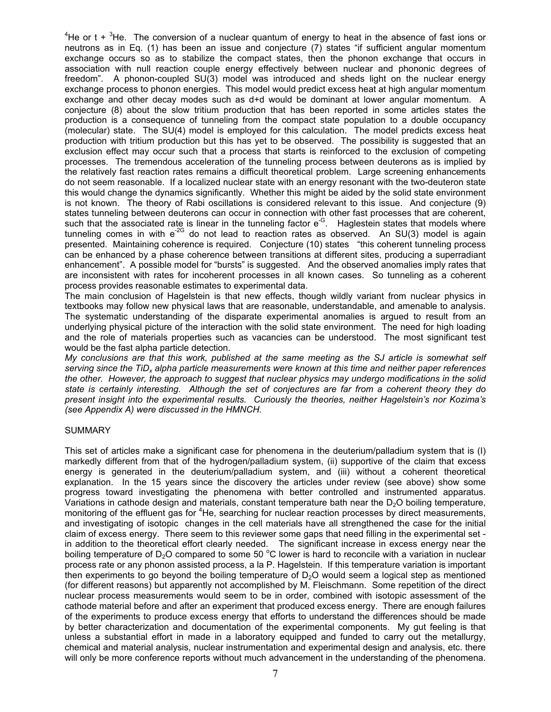${}^{4}$ He or t +  ${}^{3}$ He. The conversion of a nuclear quantum of energy to heat in the absence of fast ions or neutrons as in Eq. (1) has been an issue and conjecture (7) states "if sufficient angular momentum exchange occurs so as to stabilize the compact states, then the phonon exchange that occurs in association with null reaction couple energy effectively between nuclear and phononic degrees of freedom". A phonon-coupled SU(3) model was introduced and sheds light on the nuclear energy exchange process to phonon energies. This model would predict excess heat at high angular momentum exchange and other decay modes such as d+d would be dominant at lower angular momentum. A conjecture (8) about the slow tritium production that has been reported in some articles states the production is a consequence of tunneling from the compact state population to a double occupancy (molecular) state. The SU(4) model is employed for this calculation. The model predicts excess heat production with tritium production but this has yet to be observed. The possibility is suggested that an exclusion effect may occur such that a process that starts is reinforced to the exclusion of competing processes. The tremendous acceleration of the tunneling process between deuterons as is implied by the relatively fast reaction rates remains a difficult theoretical problem. Large screening enhancements do not seem reasonable. If a localized nuclear state with an energy resonant with the two-deuteron state this would change the dynamics significantly. Whether this might be aided by the solid state environment is not known. The theory of Rabi oscillations is considered relevant to this issue. And conjecture (9) states tunneling between deuterons can occur in connection with other fast processes that are coherent, such that the associated rate is linear in the tunneling factor e<sup>-G</sup>. Haglestein states that models where tunneling comes in with  $e^{2G}$  do not lead to reaction rates as observed. An SU(3) model is again presented. Maintaining coherence is required. Conjecture (10) states "this coherent tunneling process can be enhanced by a phase coherence between transitions at different sites, producing a superradiant enhancement". A possible model for "bursts" is suggested. And the observed anomalies imply rates that are inconsistent with rates for incoherent processes in all known cases. So tunneling as a coherent process provides reasonable estimates to experimental data.

The main conclusion of Hagelstein is that new effects, though wildly variant from nuclear physics in textbooks may follow new physical laws that are reasonable, understandable, and amenable to analysis. The systematic understanding of the disparate experimental anomalies is argued to result from an underlying physical picture of the interaction with the solid state environment. The need for high loading and the role of materials properties such as vacancies can be understood. The most significant test would be the fast alpha particle detection.

*My conclusions are that this work, published at the same meeting as the SJ article is somewhat self*  serving since the TiD<sub>x</sub> alpha particle measurements were known at this time and neither paper references *the other. However, the approach to suggest that nuclear physics may undergo modifications in the solid state is certainly interesting. Although the set of conjectures are far from a coherent theory they do present insight into the experimental results. Curiously the theories, neither Hagelstein's nor Kozima's (see Appendix A) were discussed in the HMNCH.* 

# **SUMMARY**

This set of articles make a significant case for phenomena in the deuterium/palladium system that is (I) markedly different from that of the hydrogen/palladium system, (ii) supportive of the claim that excess energy is generated in the deuterium/palladium system, and (iii) without a coherent theoretical explanation. In the 15 years since the discovery the articles under review (see above) show some progress toward investigating the phenomena with better controlled and instrumented apparatus. Variations in cathode design and materials, constant temperature bath near the  $D<sub>2</sub>O$  boiling temperature, monitoring of the effluent gas for <sup>4</sup>He, searching for nuclear reaction processes by direct measurements, and investigating of isotopic changes in the cell materials have all strengthened the case for the initial claim of excess energy. There seem to this reviewer some gaps that need filling in the experimental set in addition to the theoretical effort clearly needed. The significant increase in excess energy near the boiling temperature of  $D_2O$  compared to some 50 °C lower is hard to reconcile with a variation in nuclear process rate or any phonon assisted process, a la P. Hagelstein. If this temperature variation is important then experiments to go beyond the boiling temperature of  $D_2O$  would seem a logical step as mentioned (for different reasons) but apparently not accomplished by M. Fleischmann. Some repetition of the direct nuclear process measurements would seem to be in order, combined with isotopic assessment of the cathode material before and after an experiment that produced excess energy. There are enough failures of the experiments to produce excess energy that efforts to understand the differences should be made by better characterization and documentation of the experimental components. My gut feeling is that unless a substantial effort in made in a laboratory equipped and funded to carry out the metallurgy, chemical and material analysis, nuclear instrumentation and experimental design and analysis, etc. there will only be more conference reports without much advancement in the understanding of the phenomena.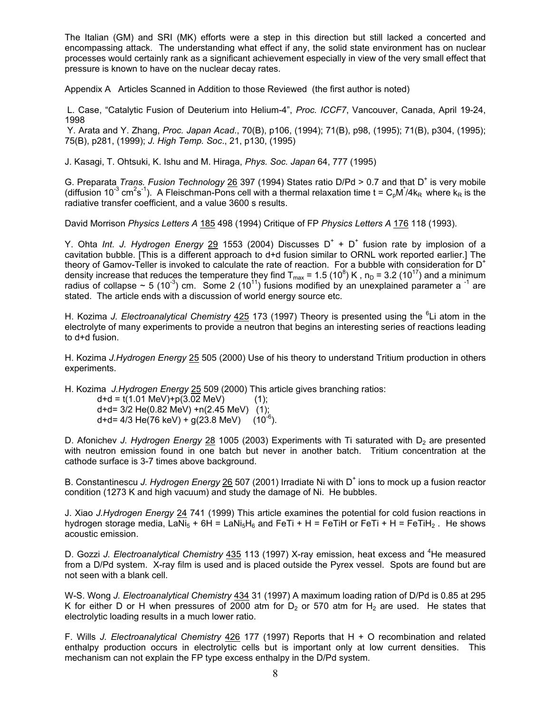The Italian (GM) and SRI (MK) efforts were a step in this direction but still lacked a concerted and encompassing attack. The understanding what effect if any, the solid state environment has on nuclear processes would certainly rank as a significant achievement especially in view of the very small effect that pressure is known to have on the nuclear decay rates.

Appendix A Articles Scanned in Addition to those Reviewed (the first author is noted)

 L. Case, "Catalytic Fusion of Deuterium into Helium-4", *Proc. ICCF7*, Vancouver, Canada, April 19-24, 1998

 Y. Arata and Y. Zhang, *Proc. Japan Acad*., 70(B), p106, (1994); 71(B), p98, (1995); 71(B), p304, (1995); 75(B), p281, (1999); *J. High Temp. Soc*., 21, p130, (1995)

J. Kasagi, T. Ohtsuki, K. Ishu and M. Hiraga, *Phys. Soc. Japan* 64, 777 (1995)

G. Preparata *Trans. Fusion Technology* 26 397 (1994) States ratio D/Pd > 0.7 and that D<sup>+</sup> is very mobile (diffusion 10<sup>-3</sup> cm<sup>2</sup>s<sup>-1</sup>). A Fleischman-Pons cell with a thermal relaxation time t = C<sub>p</sub>M<sup>\*</sup>/4k<sub>R</sub> where k<sub>R</sub> is the radiative transfer coefficient, and a value 3600 s results.

David Morrison *Physics Letters A* 185 498 (1994) Critique of FP *Physics Letters A* 176 118 (1993).

Y. Ohta Int. J. Hydrogen Energy 29 1553 (2004) Discusses D<sup>+</sup> + D<sup>+</sup> fusion rate by implosion of a cavitation bubble. [This is a different approach to d+d fusion similar to ORNL work reported earlier.] The theory of Gamov-Teller is invoked to calculate the rate of reaction. For a bubble with consideration for D<sup>+</sup> density increase that reduces the temperature they find  $T_{max}$  = 1.5 (10<sup>8</sup>) K, n<sub>D</sub> = 3.2 (10<sup>17</sup>) and a minimum radius of collapse ~ 5 (10<sup>-3</sup>) cm. Some 2 (10<sup>-1</sup>) fusions modified by an unexplained parameter a <sup>-1</sup> are stated. The article ends with a discussion of world energy source etc.

H. Kozima *J. Electroanalytical Chemistry* 425 173 (1997) Theory is presented using the <sup>6</sup>Li atom in the electrolyte of many experiments to provide a neutron that begins an interesting series of reactions leading to d+d fusion.

H. Kozima *J.Hydrogen Energy* 25 505 (2000) Use of his theory to understand Tritium production in others experiments.

H. Kozima *J.Hydrogen Energy* 25 509 (2000) This article gives branching ratios:

 $d+d = t(1.01 \text{ MeV}) + p(3.02 \text{ MeV})$  (1); d+d= 3/2 He(0.82 MeV) +n(2.45 MeV) (1); d+d= 4/3 He(76 keV) + g(23.8 MeV) (10<sup>-6</sup>).

D. Afonichev *J. Hydrogen Energy* 28 1005 (2003) Experiments with Ti saturated with D<sub>2</sub> are presented with neutron emission found in one batch but never in another batch. Tritium concentration at the cathode surface is 3-7 times above background.

B. Constantinescu J. Hydrogen Energy 26 507 (2001) Irradiate Ni with D<sup>+</sup> ions to mock up a fusion reactor condition (1273 K and high vacuum) and study the damage of Ni. He bubbles.

J. Xiao *J.Hydrogen Energy* 24 741 (1999) This article examines the potential for cold fusion reactions in hydrogen storage media, LaNi<sub>5</sub> + 6H = LaNi<sub>5</sub>H<sub>6</sub> and FeTi + H = FeTiH or FeTi + H = FeTiH<sub>2</sub>. He shows acoustic emission.

D. Gozzi J. Electroanalytical Chemistry 435 113 (1997) X-ray emission, heat excess and <sup>4</sup>He measured from a D/Pd system. X-ray film is used and is placed outside the Pyrex vessel. Spots are found but are not seen with a blank cell.

W-S. Wong *J. Electroanalytical Chemistry* 434 31 (1997) A maximum loading ration of D/Pd is 0.85 at 295 K for either D or H when pressures of 2000 atm for  $D_2$  or 570 atm for  $H_2$  are used. He states that electrolytic loading results in a much lower ratio.

F. Wills *J. Electroanalytical Chemistry* 426 177 (1997) Reports that H + O recombination and related enthalpy production occurs in electrolytic cells but is important only at low current densities. This mechanism can not explain the FP type excess enthalpy in the D/Pd system.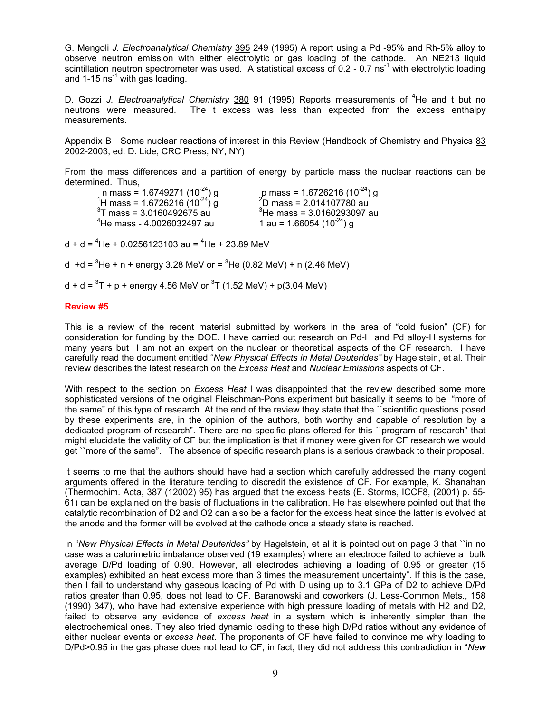G. Mengoli *J. Electroanalytical Chemistry* 395 249 (1995) A report using a Pd -95% and Rh-5% alloy to observe neutron emission with either electrolytic or gas loading of the cathode. An NE213 liquid scintillation neutron spectrometer was used. A statistical excess of 0.2 - 0.7 ns<sup>-1</sup> with electrolytic loading and  $1-15$  ns<sup>-1</sup> with gas loading.

D. Gozzi J. Electroanalytical Chemistry 380 91 (1995) Reports measurements of <sup>4</sup>He and t but no neutrons were measured. The t excess was less than expected from the excess enthalpy measurements.

Appendix B Some nuclear reactions of interest in this Review (Handbook of Chemistry and Physics 83 2002-2003, ed. D. Lide, CRC Press, NY, NY)

From the mass differences and a partition of energy by particle mass the nuclear reactions can be determined. Thus,

| n mass = 1.6749271 (10 <sup>-24</sup> ) g      |   |
|------------------------------------------------|---|
| <sup>1</sup> H mass = 1.6726216 $(10^{-24})$ g |   |
| $3$ T mass = 3.0160492675 au                   | 3 |
| <sup>4</sup> He mass - 4.0026032497 au         |   |

 n mass = 1.6749271 (10-24) g p mass = 1.6726216 (10-24) g 1 D mass = 2.014107780 au  $3$ He mass = 3.0160293097 au 1 au = 1.66054 (10<sup>-24</sup>) g

d + d =  ${}^{4}$ He + 0.0256123103 au =  ${}^{4}$ He + 23.89 MeV

d +d =  ${}^{3}$ He + n + energy 3.28 MeV or =  ${}^{3}$ He (0.82 MeV) + n (2.46 MeV)

d + d =  ${}^{3}$ T + p + energy 4.56 MeV or  ${}^{3}$ T (1.52 MeV) + p(3.04 MeV)

# **Review #5**

This is a review of the recent material submitted by workers in the area of "cold fusion" (CF) for consideration for funding by the DOE. I have carried out research on Pd-H and Pd alloy-H systems for many years but I am not an expert on the nuclear or theoretical aspects of the CF research. I have carefully read the document entitled "*New Physical Effects in Metal Deuterides"* by Hagelstein, et al. Their review describes the latest research on the *Excess Heat* and *Nuclear Emissions* aspects of CF.

With respect to the section on *Excess Heat* I was disappointed that the review described some more sophisticated versions of the original Fleischman-Pons experiment but basically it seems to be "more of the same" of this type of research. At the end of the review they state that the ``scientific questions posed by these experiments are, in the opinion of the authors, both worthy and capable of resolution by a dedicated program of research". There are no specific plans offered for this ``program of research" that might elucidate the validity of CF but the implication is that if money were given for CF research we would get ``more of the same". The absence of specific research plans is a serious drawback to their proposal.

It seems to me that the authors should have had a section which carefully addressed the many cogent arguments offered in the literature tending to discredit the existence of CF. For example, K. Shanahan (Thermochim. Acta, 387 (12002) 95) has argued that the excess heats (E. Storms, ICCF8, (2001) p. 55- 61) can be explained on the basis of fluctuations in the calibration. He has elsewhere pointed out that the catalytic recombination of D2 and O2 can also be a factor for the excess heat since the latter is evolved at the anode and the former will be evolved at the cathode once a steady state is reached.

In "*New Physical Effects in Metal Deuterides"* by Hagelstein, et al it is pointed out on page 3 that ``in no case was a calorimetric imbalance observed (19 examples) where an electrode failed to achieve a bulk average D/Pd loading of 0.90. However, all electrodes achieving a loading of 0.95 or greater (15 examples) exhibited an heat excess more than 3 times the measurement uncertainty". If this is the case, then I fail to understand why gaseous loading of Pd with D using up to 3.1 GPa of D2 to achieve D/Pd ratios greater than 0.95, does not lead to CF. Baranowski and coworkers (J. Less-Common Mets., 158 (1990) 347), who have had extensive experience with high pressure loading of metals with H2 and D2, failed to observe any evidence of *excess heat* in a system which is inherently simpler than the electrochemical ones. They also tried dynamic loading to these high D/Pd ratios without any evidence of either nuclear events or *excess heat*. The proponents of CF have failed to convince me why loading to D/Pd>0.95 in the gas phase does not lead to CF, in fact, they did not address this contradiction in "*New*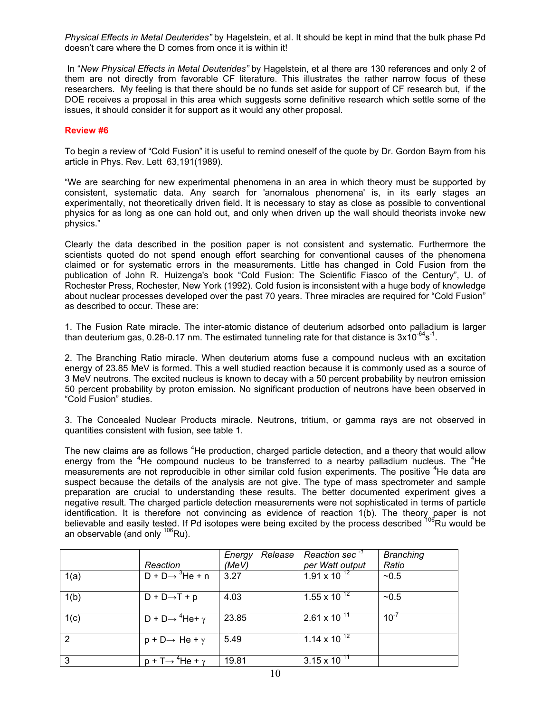*Physical Effects in Metal Deuterides"* by Hagelstein, et al. It should be kept in mind that the bulk phase Pd doesn't care where the D comes from once it is within it!

 In "*New Physical Effects in Metal Deuterides"* by Hagelstein, et al there are 130 references and only 2 of them are not directly from favorable CF literature. This illustrates the rather narrow focus of these researchers. My feeling is that there should be no funds set aside for support of CF research but, if the DOE receives a proposal in this area which suggests some definitive research which settle some of the issues, it should consider it for support as it would any other proposal.

# **Review #6**

To begin a review of "Cold Fusion" it is useful to remind oneself of the quote by Dr. Gordon Baym from his article in Phys. Rev. Lett 63,191(1989).

"We are searching for new experimental phenomena in an area in which theory must be supported by consistent, systematic data. Any search for 'anomalous phenomena' is, in its early stages an experimentally, not theoretically driven field. It is necessary to stay as close as possible to conventional physics for as long as one can hold out, and only when driven up the wall should theorists invoke new physics."

Clearly the data described in the position paper is not consistent and systematic. Furthermore the scientists quoted do not spend enough effort searching for conventional causes of the phenomena claimed or for systematic errors in the measurements. Little has changed in Cold Fusion from the publication of John R. Huizenga's book "Cold Fusion: The Scientific Fiasco of the Century", U. of Rochester Press, Rochester, New York (1992). Cold fusion is inconsistent with a huge body of knowledge about nuclear processes developed over the past 70 years. Three miracles are required for "Cold Fusion" as described to occur. These are:

1. The Fusion Rate miracle. The inter-atomic distance of deuterium adsorbed onto palladium is larger than deuterium gas, 0.28-0.17 nm. The estimated tunneling rate for that distance is  $3x10^{-64}s^{-1}$ .

2. The Branching Ratio miracle. When deuterium atoms fuse a compound nucleus with an excitation energy of 23.85 MeV is formed. This a well studied reaction because it is commonly used as a source of 3 MeV neutrons. The excited nucleus is known to decay with a 50 percent probability by neutron emission 50 percent probability by proton emission. No significant production of neutrons have been observed in "Cold Fusion" studies.

3. The Concealed Nuclear Products miracle. Neutrons, tritium, or gamma rays are not observed in quantities consistent with fusion, see table 1.

The new claims are as follows <sup>4</sup>He production, charged particle detection, and a theory that would allow energy from the <sup>4</sup>He compound nucleus to be transferred to a nearby palladium nucleus. The <sup>4</sup>He measurements are not reproducible in other similar cold fusion experiments. The positive <sup>4</sup>He data are suspect because the details of the analysis are not give. The type of mass spectrometer and sample preparation are crucial to understanding these results. The better documented experiment gives a negative result. The charged particle detection measurements were not sophisticated in terms of particle identification. It is therefore not convincing as evidence of reaction 1(b). The theory paper is not believable and easily tested. If Pd isotopes were being excited by the process described <sup>106</sup>Ru would be an observable (and only  $^{106}$ Ru).

|      |                                                  | Release<br>Energy | Reaction sec $^{-1}$   | <b>Branching</b> |
|------|--------------------------------------------------|-------------------|------------------------|------------------|
|      | Reaction                                         | (MeV)             | per Watt output        | Ratio            |
| 1(a) | $D + D \rightarrow \sqrt[3]{He + n}$             | 3.27              | $1.91 \times 10^{-12}$ | $-0.5$           |
| 1(b) | $D + D \rightarrow T + p$                        | 4.03              | 1.55 x 10 $^{12}$      | ~10.5            |
| 1(c) | $D + D \rightarrow {}^{4}He + \overline{\gamma}$ | 23.85             | $2.61 \times 10^{11}$  | $10^{-7}$        |
| 2    | $p + D \rightarrow He + \gamma$                  | 5.49              | 1.14 x 10 $^{12}$      |                  |
| 3    | $p + T \rightarrow 4He + \gamma$                 | 19.81             | $3.15 \times 10^{-11}$ |                  |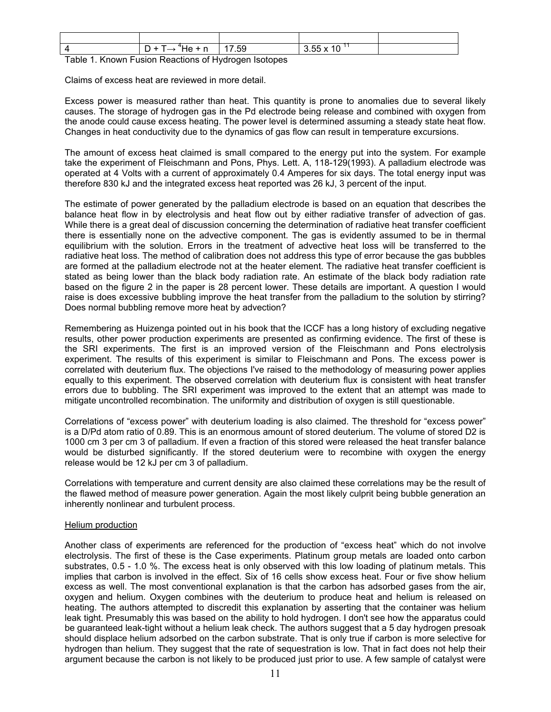|    | n<br>He.<br><br>◡<br>─                         | 7.59 | 255v<br>$\overline{A}$ $\overline{C}$<br>10<br>ັບ.ບບ |  |
|----|------------------------------------------------|------|------------------------------------------------------|--|
| __ | .<br>$\overline{\phantom{a}}$<br>$\sim$ $\sim$ |      |                                                      |  |

Table 1. Known Fusion Reactions of Hydrogen Isotopes

Claims of excess heat are reviewed in more detail.

Excess power is measured rather than heat. This quantity is prone to anomalies due to several likely causes. The storage of hydrogen gas in the Pd electrode being release and combined with oxygen from the anode could cause excess heating. The power level is determined assuming a steady state heat flow. Changes in heat conductivity due to the dynamics of gas flow can result in temperature excursions.

The amount of excess heat claimed is small compared to the energy put into the system. For example take the experiment of Fleischmann and Pons, Phys. Lett. A, 118-129(1993). A palladium electrode was operated at 4 Volts with a current of approximately 0.4 Amperes for six days. The total energy input was therefore 830 kJ and the integrated excess heat reported was 26 kJ, 3 percent of the input.

The estimate of power generated by the palladium electrode is based on an equation that describes the balance heat flow in by electrolysis and heat flow out by either radiative transfer of advection of gas. While there is a great deal of discussion concerning the determination of radiative heat transfer coefficient there is essentially none on the advective component. The gas is evidently assumed to be in thermal equilibrium with the solution. Errors in the treatment of advective heat loss will be transferred to the radiative heat loss. The method of calibration does not address this type of error because the gas bubbles are formed at the palladium electrode not at the heater element. The radiative heat transfer coefficient is stated as being lower than the black body radiation rate. An estimate of the black body radiation rate based on the figure 2 in the paper is 28 percent lower. These details are important. A question I would raise is does excessive bubbling improve the heat transfer from the palladium to the solution by stirring? Does normal bubbling remove more heat by advection?

Remembering as Huizenga pointed out in his book that the ICCF has a long history of excluding negative results, other power production experiments are presented as confirming evidence. The first of these is the SRI experiments. The first is an improved version of the Fleischmann and Pons electrolysis experiment. The results of this experiment is similar to Fleischmann and Pons. The excess power is correlated with deuterium flux. The objections I've raised to the methodology of measuring power applies equally to this experiment. The observed correlation with deuterium flux is consistent with heat transfer errors due to bubbling. The SRI experiment was improved to the extent that an attempt was made to mitigate uncontrolled recombination. The uniformity and distribution of oxygen is still questionable.

Correlations of "excess power" with deuterium loading is also claimed. The threshold for "excess power" is a D/Pd atom ratio of 0.89. This is an enormous amount of stored deuterium. The volume of stored D2 is 1000 cm 3 per cm 3 of palladium. If even a fraction of this stored were released the heat transfer balance would be disturbed significantly. If the stored deuterium were to recombine with oxygen the energy release would be 12 kJ per cm 3 of palladium.

Correlations with temperature and current density are also claimed these correlations may be the result of the flawed method of measure power generation. Again the most likely culprit being bubble generation an inherently nonlinear and turbulent process.

# Helium production

Another class of experiments are referenced for the production of "excess heat" which do not involve electrolysis. The first of these is the Case experiments. Platinum group metals are loaded onto carbon substrates, 0.5 - 1.0 %. The excess heat is only observed with this low loading of platinum metals. This implies that carbon is involved in the effect. Six of 16 cells show excess heat. Four or five show helium excess as well. The most conventional explanation is that the carbon has adsorbed gases from the air, oxygen and helium. Oxygen combines with the deuterium to produce heat and helium is released on heating. The authors attempted to discredit this explanation by asserting that the container was helium leak tight. Presumably this was based on the ability to hold hydrogen. I don't see how the apparatus could be guaranteed leak-tight without a helium leak check. The authors suggest that a 5 day hydrogen presoak should displace helium adsorbed on the carbon substrate. That is only true if carbon is more selective for hydrogen than helium. They suggest that the rate of sequestration is low. That in fact does not help their argument because the carbon is not likely to be produced just prior to use. A few sample of catalyst were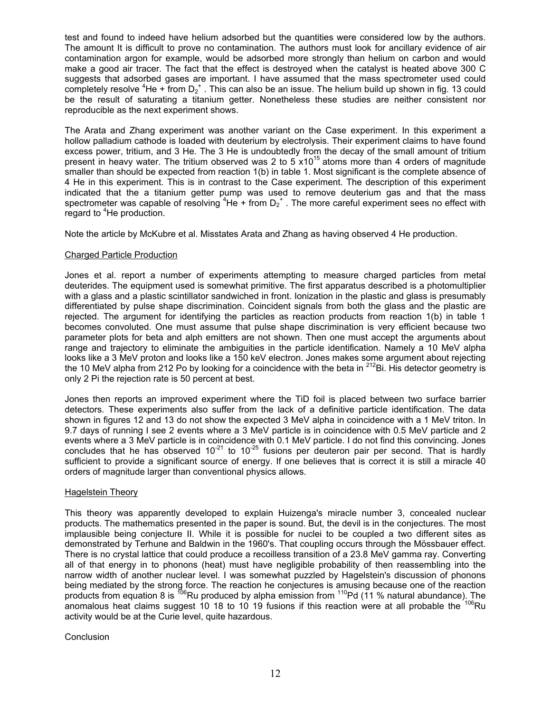test and found to indeed have helium adsorbed but the quantities were considered low by the authors. The amount It is difficult to prove no contamination. The authors must look for ancillary evidence of air contamination argon for example, would be adsorbed more strongly than helium on carbon and would make a good air tracer. The fact that the effect is destroyed when the catalyst is heated above 300 C suggests that adsorbed gases are important. I have assumed that the mass spectrometer used could completely resolve  ${}^{4}$ He + from D<sub>2</sub><sup>+</sup>. This can also be an issue. The helium build up shown in fig. 13 could be the result of saturating a titanium getter. Nonetheless these studies are neither consistent nor reproducible as the next experiment shows.

The Arata and Zhang experiment was another variant on the Case experiment. In this experiment a hollow palladium cathode is loaded with deuterium by electrolysis. Their experiment claims to have found excess power, tritium, and 3 He. The 3 He is undoubtedly from the decay of the small amount of tritium present in heavy water. The tritium observed was 2 to  $5 \times 10^{15}$  atoms more than 4 orders of magnitude smaller than should be expected from reaction 1(b) in table 1. Most significant is the complete absence of 4 He in this experiment. This is in contrast to the Case experiment. The description of this experiment indicated that the a titanium getter pump was used to remove deuterium gas and that the mass spectrometer was capable of resolving  ${}^{4}$ He + from D<sub>2</sub><sup>+</sup>. The more careful experiment sees no effect with regard to <sup>4</sup>He production.

Note the article by McKubre et al. Misstates Arata and Zhang as having observed 4 He production.

# Charged Particle Production

Jones et al. report a number of experiments attempting to measure charged particles from metal deuterides. The equipment used is somewhat primitive. The first apparatus described is a photomultiplier with a glass and a plastic scintillator sandwiched in front. Ionization in the plastic and glass is presumably differentiated by pulse shape discrimination. Coincident signals from both the glass and the plastic are rejected. The argument for identifying the particles as reaction products from reaction 1(b) in table 1 becomes convoluted. One must assume that pulse shape discrimination is very efficient because two parameter plots for beta and alph emitters are not shown. Then one must accept the arguments about range and trajectory to eliminate the ambiguities in the particle identification. Namely a 10 MeV alpha looks like a 3 MeV proton and looks like a 150 keV electron. Jones makes some argument about rejecting the 10 MeV alpha from 212 Po by looking for a coincidence with the beta in  $2^{12}$ Bi. His detector geometry is only 2 Pi the rejection rate is 50 percent at best.

Jones then reports an improved experiment where the TiD foil is placed between two surface barrier detectors. These experiments also suffer from the lack of a definitive particle identification. The data shown in figures 12 and 13 do not show the expected 3 MeV alpha in coincidence with a 1 MeV triton. In 9.7 days of running I see 2 events where a 3 MeV particle is in coincidence with 0.5 MeV particle and 2 events where a 3 MeV particle is in coincidence with 0.1 MeV particle. I do not find this convincing. Jones concludes that he has observed  $10^{-21}$  to  $10^{-25}$  fusions per deuteron pair per second. That is hardly sufficient to provide a significant source of energy. If one believes that is correct it is still a miracle 40 orders of magnitude larger than conventional physics allows.

# Hagelstein Theory

This theory was apparently developed to explain Huizenga's miracle number 3, concealed nuclear products. The mathematics presented in the paper is sound. But, the devil is in the conjectures. The most implausible being conjecture II. While it is possible for nuclei to be coupled a two different sites as demonstrated by Terhune and Baldwin in the 1960's. That coupling occurs through the Mössbauer effect. There is no crystal lattice that could produce a recoilless transition of a 23.8 MeV gamma ray. Converting all of that energy in to phonons (heat) must have negligible probability of then reassembling into the narrow width of another nuclear level. I was somewhat puzzled by Hagelstein's discussion of phonons being mediated by the strong force. The reaction he conjectures is amusing because one of the reaction products from equation 8 is  $^{106}$ Ru produced by alpha emission from  $^{110}$ Pd (11 % natural abundance). The anomalous heat claims suggest 10 18 to 10 19 fusions if this reaction were at all probable the  $^{106}$ Ru activity would be at the Curie level, quite hazardous.

# Conclusion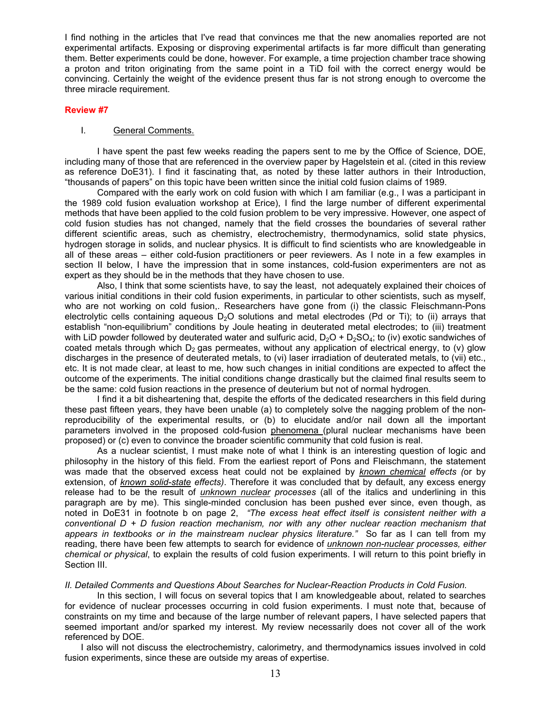I find nothing in the articles that I've read that convinces me that the new anomalies reported are not experimental artifacts. Exposing or disproving experimental artifacts is far more difficult than generating them. Better experiments could be done, however. For example, a time projection chamber trace showing a proton and triton originating from the same point in a TiD foil with the correct energy would be convincing. Certainly the weight of the evidence present thus far is not strong enough to overcome the three miracle requirement.

### **Review #7**

### I. General Comments.

 I have spent the past few weeks reading the papers sent to me by the Office of Science, DOE, including many of those that are referenced in the overview paper by Hagelstein et al. (cited in this review as reference DoE31). I find it fascinating that, as noted by these latter authors in their Introduction, "thousands of papers" on this topic have been written since the initial cold fusion claims of 1989.

Compared with the early work on cold fusion with which I am familiar (e.g., I was a participant in the 1989 cold fusion evaluation workshop at Erice), I find the large number of different experimental methods that have been applied to the cold fusion problem to be very impressive. However, one aspect of cold fusion studies has not changed, namely that the field crosses the boundaries of several rather different scientific areas, such as chemistry, electrochemistry, thermodynamics, solid state physics, hydrogen storage in solids, and nuclear physics. It is difficult to find scientists who are knowledgeable in all of these areas – either cold-fusion practitioners or peer reviewers. As I note in a few examples in section II below, I have the impression that in some instances, cold-fusion experimenters are not as expert as they should be in the methods that they have chosen to use.

Also, I think that some scientists have, to say the least, not adequately explained their choices of various initial conditions in their cold fusion experiments, in particular to other scientists, such as myself, who are not working on cold fusion,. Researchers have gone from (i) the classic Fleischmann-Pons electrolytic cells containing aqueous  $D_2O$  solutions and metal electrodes (Pd or Ti); to (ii) arrays that establish "non-equilibrium" conditions by Joule heating in deuterated metal electrodes; to (iii) treatment with LiD powder followed by deuterated water and sulfuric acid,  $D_2O + D_2SO_4$ ; to (iv) exotic sandwiches of coated metals through which  $D_2$  gas permeates, without any application of electrical energy, to (v) glow discharges in the presence of deuterated metals, to (vi) laser irradiation of deuterated metals, to (vii) etc., etc. It is not made clear, at least to me, how such changes in initial conditions are expected to affect the outcome of the experiments. The initial conditions change drastically but the claimed final results seem to be the same: cold fusion reactions in the presence of deuterium but not of normal hydrogen.

I find it a bit disheartening that, despite the efforts of the dedicated researchers in this field during these past fifteen years, they have been unable (a) to completely solve the nagging problem of the nonreproducibility of the experimental results, or (b) to elucidate and/or nail down all the important parameters involved in the proposed cold-fusion phenomena (plural nuclear mechanisms have been proposed) or (c) even to convince the broader scientific community that cold fusion is real.

 As a nuclear scientist, I must make note of what I think is an interesting question of logic and philosophy in the history of this field. From the earliest report of Pons and Fleischmann, the statement was made that the observed excess heat could not be explained by *known chemical effects (*or by extension, of *known solid-state effects)*. Therefore it was concluded that by default, any excess energy release had to be the result of *unknown nuclear processes* (all of the italics and underlining in this paragraph are by me). This single-minded conclusion has been pushed ever since, even though, as noted in DoE31 in footnote b on page 2, *"The excess heat effect itself is consistent neither with a conventional D + D fusion reaction mechanism, nor with any other nuclear reaction mechanism that appears in textbooks or in the mainstream nuclear physics literature."* So far as I can tell from my reading, there have been few attempts to search for evidence of *unknown non-nuclear processes, either chemical or physical*, to explain the results of cold fusion experiments. I will return to this point briefly in Section III.

**II. Detailed Comments and Questions About Searches for Nuclear-Reaction Products in Cold Fusion.** 

 In this section, I will focus on several topics that I am knowledgeable about, related to searches for evidence of nuclear processes occurring in cold fusion experiments. I must note that, because of constraints on my time and because of the large number of relevant papers, I have selected papers that seemed important and/or sparked my interest. My review necessarily does not cover all of the work referenced by DOE.

I also will not discuss the electrochemistry, calorimetry, and thermodynamics issues involved in cold fusion experiments, since these are outside my areas of expertise.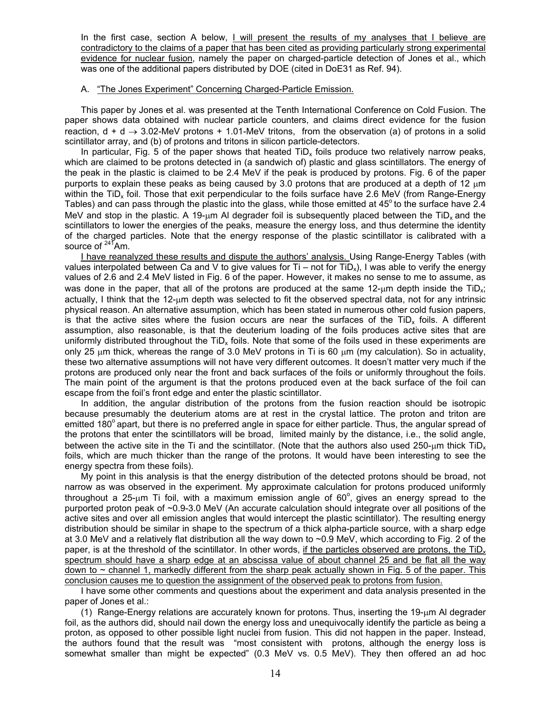In the first case, section A below, I will present the results of my analyses that I believe are contradictory to the claims of a paper that has been cited as providing particularly strong experimental evidence for nuclear fusion, namely the paper on charged-particle detection of Jones et al., which was one of the additional papers distributed by DOE (cited in DoE31 as Ref. 94).

### A. "The Jones Experiment" Concerning Charged-Particle Emission.

This paper by Jones et al. was presented at the Tenth International Conference on Cold Fusion. The paper shows data obtained with nuclear particle counters, and claims direct evidence for the fusion reaction,  $d + d \rightarrow 3.02$ -MeV protons + 1.01-MeV tritons, from the observation (a) of protons in a solid scintillator array, and (b) of protons and tritons in silicon particle-detectors.

In particular, Fig. 5 of the paper shows that heated  $TiD<sub>x</sub>$  foils produce two relatively narrow peaks, which are claimed to be protons detected in (a sandwich of) plastic and glass scintillators. The energy of the peak in the plastic is claimed to be 2.4 MeV if the peak is produced by protons. Fig. 6 of the paper purports to explain these peaks as being caused by 3.0 protons that are produced at a depth of 12  $\mu$ m within the TiD<sub>y</sub> foil. Those that exit perpendicular to the foils surface have 2.6 MeV (from Range-Energy Tables) and can pass through the plastic into the glass, while those emitted at  $45^{\circ}$  to the surface have 2.4 MeV and stop in the plastic. A 19- $\mu$ m AI degrader foil is subsequently placed between the TiD<sub>x</sub> and the scintillators to lower the energies of the peaks, measure the energy loss, and thus determine the identity of the charged particles. Note that the energy response of the plastic scintillator is calibrated with a source of  $24^{4}$ Am.

I have reanalyzed these results and dispute the authors' analysis. Using Range-Energy Tables (with values interpolated between Ca and V to give values for  $Ti$  – not for  $TiD<sub>x</sub>$ ), I was able to verify the energy values of 2.6 and 2.4 MeV listed in Fig. 6 of the paper. However, it makes no sense to me to assume, as was done in the paper, that all of the protons are produced at the same  $12$ -um depth inside the TiD<sub>x</sub>; actually, I think that the 12-um depth was selected to fit the observed spectral data, not for any intrinsic physical reason. An alternative assumption, which has been stated in numerous other cold fusion papers, is that the active sites where the fusion occurs are near the surfaces of the  $TiD<sub>x</sub>$  foils. A different assumption, also reasonable, is that the deuterium loading of the foils produces active sites that are uniformly distributed throughout the  $TiD<sub>x</sub>$  foils. Note that some of the foils used in these experiments are only 25  $\mu$ m thick, whereas the range of 3.0 MeV protons in Ti is 60  $\mu$ m (my calculation). So in actuality, these two alternative assumptions will not have very different outcomes. It doesn't matter very much if the protons are produced only near the front and back surfaces of the foils or uniformly throughout the foils. The main point of the argument is that the protons produced even at the back surface of the foil can escape from the foil's front edge and enter the plastic scintillator.

In addition, the angular distribution of the protons from the fusion reaction should be isotropic because presumably the deuterium atoms are at rest in the crystal lattice. The proton and triton are emitted 180<sup>°</sup> apart, but there is no preferred angle in space for either particle. Thus, the angular spread of the protons that enter the scintillators will be broad, limited mainly by the distance, i.e., the solid angle, between the active site in the Ti and the scintillator. (Note that the authors also used 250-µm thick TiD<sub>x</sub> foils, which are much thicker than the range of the protons. It would have been interesting to see the energy spectra from these foils).

My point in this analysis is that the energy distribution of the detected protons should be broad, not narrow as was observed in the experiment. My approximate calculation for protons produced uniformly throughout a 25- $\mu$ m Ti foil, with a maximum emission angle of 60 $^{\circ}$ , gives an energy spread to the purported proton peak of ~0.9-3.0 MeV (An accurate calculation should integrate over all positions of the active sites and over all emission angles that would intercept the plastic scintillator). The resulting energy distribution should be similar in shape to the spectrum of a thick alpha-particle source, with a sharp edge at 3.0 MeV and a relatively flat distribution all the way down to ~0.9 MeV, which according to Fig. 2 of the paper, is at the threshold of the scintillator. In other words, if the particles observed are protons, the TiD<sub>x</sub> spectrum should have a sharp edge at an abscissa value of about channel 25 and be flat all the way down to  $\sim$  channel 1, markedly different from the sharp peak actually shown in Fig. 5 of the paper. This conclusion causes me to question the assignment of the observed peak to protons from fusion.

I have some other comments and questions about the experiment and data analysis presented in the paper of Jones et al.:

(1) Range-Energy relations are accurately known for protons. Thus, inserting the 19-µm Al degrader foil, as the authors did, should nail down the energy loss and unequivocally identify the particle as being a proton, as opposed to other possible light nuclei from fusion. This did not happen in the paper. Instead, the authors found that the result was "most consistent with protons, although the energy loss is somewhat smaller than might be expected" (0.3 MeV vs. 0.5 MeV). They then offered an ad hoc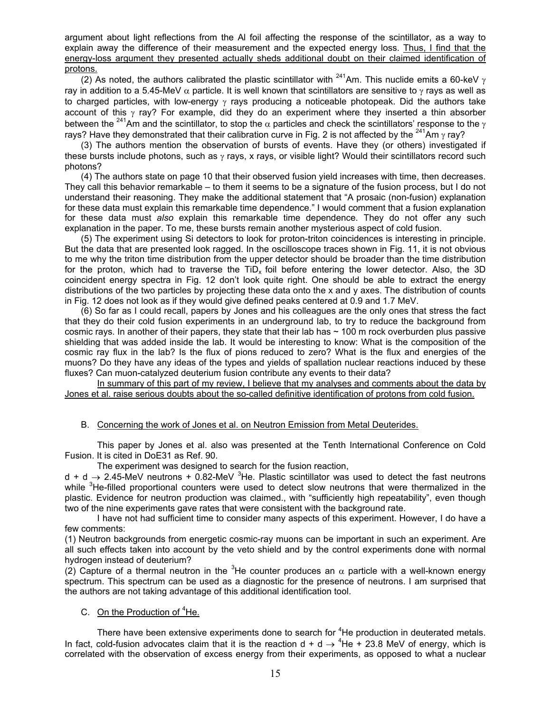argument about light reflections from the Al foil affecting the response of the scintillator, as a way to explain away the difference of their measurement and the expected energy loss. Thus, I find that the energy-loss argument they presented actually sheds additional doubt on their claimed identification of protons.

(2) As noted, the authors calibrated the plastic scintillator with <sup>241</sup>Am. This nuclide emits a 60-keV  $\gamma$ ray in addition to a 5.45-MeV  $\alpha$  particle. It is well known that scintillators are sensitive to  $\gamma$  rays as well as to charged particles, with low-energy  $\gamma$  rays producing a noticeable photopeak. Did the authors take account of this  $\gamma$  ray? For example, did they do an experiment where they inserted a thin absorber between the <sup>241</sup>Am and the scintillator, to stop the  $\alpha$  particles and check the scintillators' response to the  $\gamma$ rays? Have they demonstrated that their calibration curve in Fig. 2 is not affected by the <sup>241</sup>Am  $\gamma$  ray?

(3) The authors mention the observation of bursts of events. Have they (or others) investigated if these bursts include photons, such as γ rays, x rays, or visible light? Would their scintillators record such photons?

(4) The authors state on page 10 that their observed fusion yield increases with time, then decreases. They call this behavior remarkable – to them it seems to be a signature of the fusion process, but I do not understand their reasoning. They make the additional statement that "A prosaic (non-fusion) explanation for these data must explain this remarkable time dependence." I would comment that a fusion explanation for these data must *also* explain this remarkable time dependence. They do not offer any such explanation in the paper. To me, these bursts remain another mysterious aspect of cold fusion.

(5) The experiment using Si detectors to look for proton-triton coincidences is interesting in principle. But the data that are presented look ragged. In the oscilloscope traces shown in Fig. 11, it is not obvious to me why the triton time distribution from the upper detector should be broader than the time distribution for the proton, which had to traverse the  $TiD_x$  foil before entering the lower detector. Also, the 3D coincident energy spectra in Fig. 12 don't look quite right. One should be able to extract the energy distributions of the two particles by projecting these data onto the x and y axes. The distribution of counts in Fig. 12 does not look as if they would give defined peaks centered at 0.9 and 1.7 MeV.

(6) So far as I could recall, papers by Jones and his colleagues are the only ones that stress the fact that they do their cold fusion experiments in an underground lab, to try to reduce the background from cosmic rays. In another of their papers, they state that their lab has  $\sim$  100 m rock overburden plus passive shielding that was added inside the lab. It would be interesting to know: What is the composition of the cosmic ray flux in the lab? Is the flux of pions reduced to zero? What is the flux and energies of the muons? Do they have any ideas of the types and yields of spallation nuclear reactions induced by these fluxes? Can muon-catalyzed deuterium fusion contribute any events to their data?

 In summary of this part of my review, I believe that my analyses and comments about the data by Jones et al. raise serious doubts about the so-called definitive identification of protons from cold fusion.

# B. Concerning the work of Jones et al. on Neutron Emission from Metal Deuterides.

This paper by Jones et al. also was presented at the Tenth International Conference on Cold Fusion. It is cited in DoE31 as Ref. 90.

The experiment was designed to search for the fusion reaction,

 $d + d \rightarrow 2.45$ -MeV neutrons + 0.82-MeV <sup>3</sup>He. Plastic scintillator was used to detect the fast neutrons while <sup>3</sup>He-filled proportional counters were used to detect slow neutrons that were thermalized in the plastic. Evidence for neutron production was claimed., with "sufficiently high repeatability", even though two of the nine experiments gave rates that were consistent with the background rate.

 I have not had sufficient time to consider many aspects of this experiment. However, I do have a few comments:

(1) Neutron backgrounds from energetic cosmic-ray muons can be important in such an experiment. Are all such effects taken into account by the veto shield and by the control experiments done with normal hydrogen instead of deuterium?

(2) Capture of a thermal neutron in the <sup>3</sup>He counter produces an  $\alpha$  particle with a well-known energy spectrum. This spectrum can be used as a diagnostic for the presence of neutrons. I am surprised that the authors are not taking advantage of this additional identification tool.

# C. On the Production of <sup>4</sup>He.

There have been extensive experiments done to search for <sup>4</sup>He production in deuterated metals. In fact, cold-fusion advocates claim that it is the reaction d + d  $\rightarrow$  <sup>4</sup>He + 23.8 MeV of energy, which is correlated with the observation of excess energy from their experiments, as opposed to what a nuclear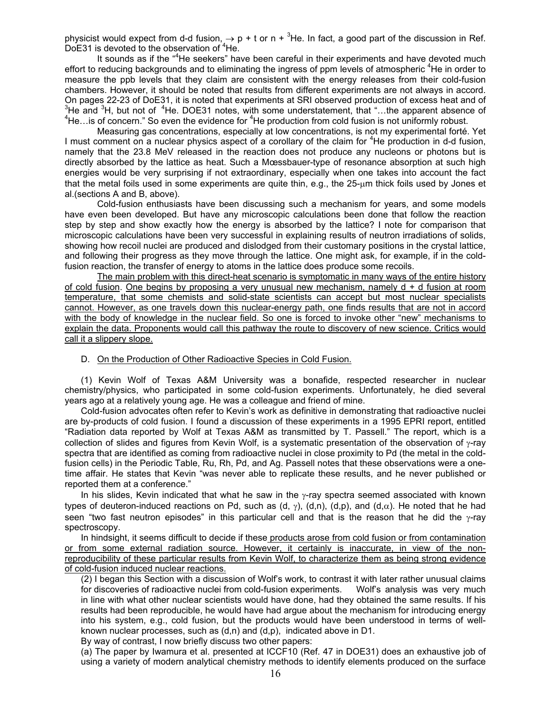physicist would expect from d-d fusion,  $\rightarrow$  p + t or n + <sup>3</sup>He. In fact, a good part of the discussion in Ref.  $DoE31$  is devoted to the observation of  $4He$ .

It sounds as if the "<sup>4</sup>He seekers" have been careful in their experiments and have devoted much effort to reducing backgrounds and to eliminating the ingress of ppm levels of atmospheric <sup>4</sup>He in order to measure the ppb levels that they claim are consistent with the energy releases from their cold-fusion chambers. However, it should be noted that results from different experiments are not always in accord. On pages 22-23 of DoE31, it is noted that experiments at SRI observed production of excess heat and of 3  $^{3}$ He and  $^{3}$ H, but not of  $^{4}$ He. DOE31 notes, with some understatement, that "...the apparent absence of  $^{4}$ He, is of concern ". So even the ovidence for  $^{4}$ He are duction from odd fusion is not uniformly rebus He... is of concern." So even the evidence for  ${}^{4}$ He production from cold fusion is not uniformly robust.

Measuring gas concentrations, especially at low concentrations, is not my experimental forté. Yet I must comment on a nuclear physics aspect of a corollary of the claim for <sup>4</sup>He production in d-d fusion, namely that the 23.8 MeV released in the reaction does not produce any nucleons or photons but is directly absorbed by the lattice as heat. Such a Mœssbauer-type of resonance absorption at such high energies would be very surprising if not extraordinary, especially when one takes into account the fact that the metal foils used in some experiments are quite thin, e.g., the 25-µm thick foils used by Jones et al.(sections A and B, above).

Cold-fusion enthusiasts have been discussing such a mechanism for years, and some models have even been developed. But have any microscopic calculations been done that follow the reaction step by step and show exactly how the energy is absorbed by the lattice? I note for comparison that microscopic calculations have been very successful in explaining results of neutron irradiations of solids, showing how recoil nuclei are produced and dislodged from their customary positions in the crystal lattice, and following their progress as they move through the lattice. One might ask, for example, if in the coldfusion reaction, the transfer of energy to atoms in the lattice does produce some recoils.

The main problem with this direct-heat scenario is symptomatic in many ways of the entire history of cold fusion. One begins by proposing a very unusual new mechanism, namely  $d + d$  fusion at room temperature, that some chemists and solid-state scientists can accept but most nuclear specialists cannot. However, as one travels down this nuclear-energy path, one finds results that are not in accord with the body of knowledge in the nuclear field. So one is forced to invoke other "new" mechanisms to explain the data. Proponents would call this pathway the route to discovery of new science. Critics would call it a slippery slope.

#### D. On the Production of Other Radioactive Species in Cold Fusion.

(1) Kevin Wolf of Texas A&M University was a bonafide, respected researcher in nuclear chemistry/physics, who participated in some cold-fusion experiments. Unfortunately, he died several years ago at a relatively young age. He was a colleague and friend of mine.

Cold-fusion advocates often refer to Kevin's work as definitive in demonstrating that radioactive nuclei are by-products of cold fusion. I found a discussion of these experiments in a 1995 EPRI report, entitled "Radiation data reported by Wolf at Texas A&M as transmitted by T. Passell." The report, which is a collection of slides and figures from Kevin Wolf, is a systematic presentation of the observation of  $\gamma$ -ray spectra that are identified as coming from radioactive nuclei in close proximity to Pd (the metal in the coldfusion cells) in the Periodic Table, Ru, Rh, Pd, and Ag. Passell notes that these observations were a onetime affair. He states that Kevin "was never able to replicate these results, and he never published or reported them at a conference."

In his slides, Kevin indicated that what he saw in the γ-ray spectra seemed associated with known types of deuteron-induced reactions on Pd, such as (d, γ), (d,n), (d,p), and (d,α). He noted that he had seen "two fast neutron episodes" in this particular cell and that is the reason that he did the γ-ray spectroscopy.

In hindsight, it seems difficult to decide if these products arose from cold fusion or from contamination or from some external radiation source. However, it certainly is inaccurate, in view of the nonreproducibility of these particular results from Kevin Wolf, to characterize them as being strong evidence of cold-fusion induced nuclear reactions.

(2) I began this Section with a discussion of Wolf's work, to contrast it with later rather unusual claims for discoveries of radioactive nuclei from cold-fusion experiments. Wolf's analysis was very much in line with what other nuclear scientists would have done, had they obtained the same results. If his results had been reproducible, he would have had argue about the mechanism for introducing energy into his system, e.g., cold fusion, but the products would have been understood in terms of wellknown nuclear processes, such as  $(d, n)$  and  $(d, p)$ , indicated above in D1.

By way of contrast, I now briefly discuss two other papers:

(a) The paper by Iwamura et al. presented at ICCF10 (Ref. 47 in DOE31) does an exhaustive job of using a variety of modern analytical chemistry methods to identify elements produced on the surface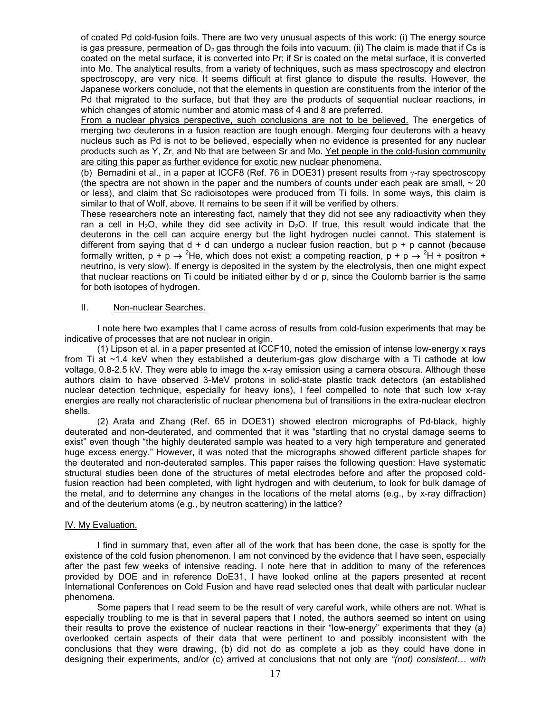of coated Pd cold-fusion foils. There are two very unusual aspects of this work: (i) The energy source is gas pressure, permeation of  $D_2$  gas through the foils into vacuum. (ii) The claim is made that if Cs is coated on the metal surface, it is converted into Pr; if Sr is coated on the metal surface, it is converted into Mo. The analytical results, from a variety of techniques, such as mass spectroscopy and electron spectroscopy, are very nice. It seems difficult at first glance to dispute the results. However, the Japanese workers conclude, not that the elements in question are constituents from the interior of the Pd that migrated to the surface, but that they are the products of sequential nuclear reactions, in which changes of atomic number and atomic mass of 4 and 8 are preferred.

From a nuclear physics perspective, such conclusions are not to be believed. The energetics of merging two deuterons in a fusion reaction are tough enough. Merging four deuterons with a heavy nucleus such as Pd is not to be believed, especially when no evidence is presented for any nuclear products such as Y, Zr, and Nb that are between Sr and Mo. Yet people in the cold-fusion community are citing this paper as further evidence for exotic new nuclear phenomena.

(b) Bernadini et al., in a paper at ICCF8 (Ref. 76 in DOE31) present results from  $\gamma$ -ray spectroscopy (the spectra are not shown in the paper and the numbers of counts under each peak are small,  $\sim$  20 or less), and claim that Sc radioisotopes were produced from Ti foils. In some ways, this claim is similar to that of Wolf, above. It remains to be seen if it will be verified by others.

These researchers note an interesting fact, namely that they did not see any radioactivity when they ran a cell in H<sub>2</sub>O, while they did see activity in D<sub>2</sub>O. If true, this result would indicate that the deuterons in the cell can acquire energy but the light hydrogen nuclei cannot. This statement is different from saying that  $d + d$  can undergo a nuclear fusion reaction, but  $p + p$  cannot (because formally written,  $p + p \rightarrow {}^{2}$ He, which does not exist; a competing reaction,  $p + p \rightarrow {}^{2}$ H + positron + neutrino, is very slow). If energy is deposited in the system by the electrolysis, then one might expect that nuclear reactions on Ti could be initiated either by d or p, since the Coulomb barrier is the same for both isotopes of hydrogen.

# II. Non-nuclear Searches.

 I note here two examples that I came across of results from cold-fusion experiments that may be indicative of processes that are not nuclear in origin.

 (1) Lipson et al. in a paper presented at ICCF10, noted the emission of intense low-energy x rays from Ti at ~1.4 keV when they established a deuterium-gas glow discharge with a Ti cathode at low voltage, 0.8-2.5 kV. They were able to image the x-ray emission using a camera obscura. Although these authors claim to have observed 3-MeV protons in solid-state plastic track detectors (an established nuclear detection technique, especially for heavy ions), I feel compelled to note that such low x-ray energies are really not characteristic of nuclear phenomena but of transitions in the extra-nuclear electron shells.

(2) Arata and Zhang (Ref. 65 in DOE31) showed electron micrographs of Pd-black, highly deuterated and non-deuterated, and commented that it was "startling that no crystal damage seems to exist" even though "the highly deuterated sample was heated to a very high temperature and generated huge excess energy." However, it was noted that the micrographs showed different particle shapes for the deuterated and non-deuterated samples. This paper raises the following question: Have systematic structural studies been done of the structures of metal electrodes before and after the proposed coldfusion reaction had been completed, with light hydrogen and with deuterium, to look for bulk damage of the metal, and to determine any changes in the locations of the metal atoms (e.g., by x-ray diffraction) and of the deuterium atoms (e.g., by neutron scattering) in the lattice?

# IV. My Evaluation.

I find in summary that, even after all of the work that has been done, the case is spotty for the existence of the cold fusion phenomenon. I am not convinced by the evidence that I have seen, especially after the past few weeks of intensive reading. I note here that in addition to many of the references provided by DOE and in reference DoE31, I have looked online at the papers presented at recent International Conferences on Cold Fusion and have read selected ones that dealt with particular nuclear phenomena.

Some papers that I read seem to be the result of very careful work, while others are not. What is especially troubling to me is that in several papers that I noted, the authors seemed so intent on using their results to prove the existence of nuclear reactions in their "low-energy" experiments that they (a) overlooked certain aspects of their data that were pertinent to and possibly inconsistent with the conclusions that they were drawing, (b) did not do as complete a job as they could have done in designing their experiments, and/or (c) arrived at conclusions that not only are *"(not) consistent… with*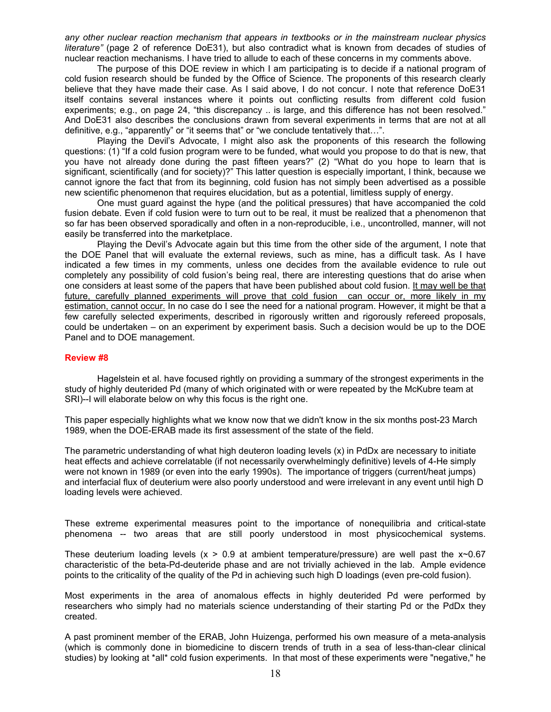*any other nuclear reaction mechanism that appears in textbooks or in the mainstream nuclear physics literature"* (page 2 of reference DoE31), but also contradict what is known from decades of studies of nuclear reaction mechanisms. I have tried to allude to each of these concerns in my comments above.

The purpose of this DOE review in which I am participating is to decide if a national program of cold fusion research should be funded by the Office of Science. The proponents of this research clearly believe that they have made their case. As I said above, I do not concur. I note that reference DoE31 itself contains several instances where it points out conflicting results from different cold fusion experiments; e.g., on page 24, "this discrepancy .. is large, and this difference has not been resolved." And DoE31 also describes the conclusions drawn from several experiments in terms that are not at all definitive, e.g., "apparently" or "it seems that" or "we conclude tentatively that…".

Playing the Devil's Advocate, I might also ask the proponents of this research the following questions: (1) "If a cold fusion program were to be funded, what would you propose to do that is new, that you have not already done during the past fifteen years?" (2) "What do you hope to learn that is significant, scientifically (and for society)?" This latter question is especially important, I think, because we cannot ignore the fact that from its beginning, cold fusion has not simply been advertised as a possible new scientific phenomenon that requires elucidation, but as a potential, limitless supply of energy.

One must guard against the hype (and the political pressures) that have accompanied the cold fusion debate. Even if cold fusion were to turn out to be real, it must be realized that a phenomenon that so far has been observed sporadically and often in a non-reproducible, i.e., uncontrolled, manner, will not easily be transferred into the marketplace.

Playing the Devil's Advocate again but this time from the other side of the argument, I note that the DOE Panel that will evaluate the external reviews, such as mine, has a difficult task. As I have indicated a few times in my comments, unless one decides from the available evidence to rule out completely any possibility of cold fusion's being real, there are interesting questions that do arise when one considers at least some of the papers that have been published about cold fusion. It may well be that future, carefully planned experiments will prove that cold fusion can occur or, more likely in my estimation, cannot occur. In no case do I see the need for a national program. However, it might be that a few carefully selected experiments, described in rigorously written and rigorously refereed proposals, could be undertaken – on an experiment by experiment basis. Such a decision would be up to the DOE Panel and to DOE management.

### **Review #8**

Hagelstein et al. have focused rightly on providing a summary of the strongest experiments in the study of highly deuterided Pd (many of which originated with or were repeated by the McKubre team at SRI)--I will elaborate below on why this focus is the right one.

This paper especially highlights what we know now that we didn't know in the six months post-23 March 1989, when the DOE-ERAB made its first assessment of the state of the field.

The parametric understanding of what high deuteron loading levels (x) in PdDx are necessary to initiate heat effects and achieve correlatable (if not necessarily overwhelmingly definitive) levels of 4-He simply were not known in 1989 (or even into the early 1990s). The importance of triggers (current/heat jumps) and interfacial flux of deuterium were also poorly understood and were irrelevant in any event until high D loading levels were achieved.

These extreme experimental measures point to the importance of nonequilibria and critical-state phenomena -- two areas that are still poorly understood in most physicochemical systems.

These deuterium loading levels ( $x > 0.9$  at ambient temperature/pressure) are well past the  $x \sim 0.67$ characteristic of the beta-Pd-deuteride phase and are not trivially achieved in the lab. Ample evidence points to the criticality of the quality of the Pd in achieving such high D loadings (even pre-cold fusion).

Most experiments in the area of anomalous effects in highly deuterided Pd were performed by researchers who simply had no materials science understanding of their starting Pd or the PdDx they created.

A past prominent member of the ERAB, John Huizenga, performed his own measure of a meta-analysis (which is commonly done in biomedicine to discern trends of truth in a sea of less-than-clear clinical studies) by looking at \*all\* cold fusion experiments. In that most of these experiments were "negative," he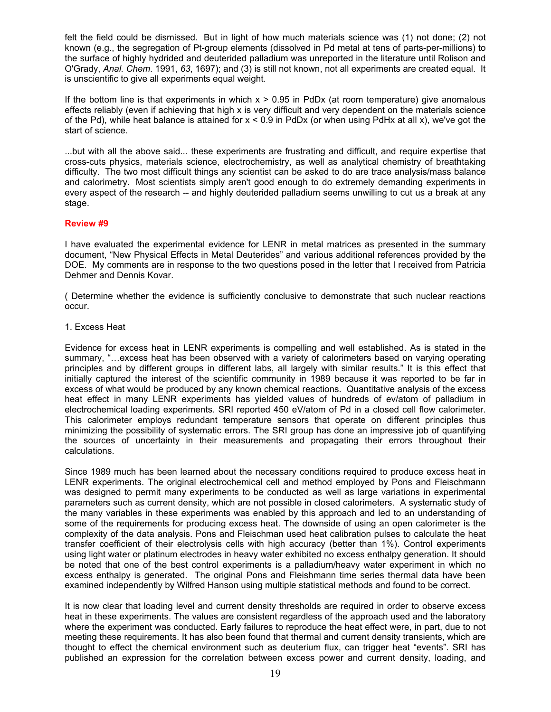felt the field could be dismissed. But in light of how much materials science was (1) not done; (2) not known (e.g., the segregation of Pt-group elements (dissolved in Pd metal at tens of parts-per-millions) to the surface of highly hydrided and deuterided palladium was unreported in the literature until Rolison and O'Grady, *Anal. Chem*. 1991, *63*, 1697); and (3) is still not known, not all experiments are created equal. It is unscientific to give all experiments equal weight.

If the bottom line is that experiments in which  $x > 0.95$  in PdDx (at room temperature) give anomalous effects reliably (even if achieving that high x is very difficult and very dependent on the materials science of the Pd), while heat balance is attained for  $x < 0.9$  in PdDx (or when using PdHx at all x), we've got the start of science.

...but with all the above said... these experiments are frustrating and difficult, and require expertise that cross-cuts physics, materials science, electrochemistry, as well as analytical chemistry of breathtaking difficulty. The two most difficult things any scientist can be asked to do are trace analysis/mass balance and calorimetry. Most scientists simply aren't good enough to do extremely demanding experiments in every aspect of the research -- and highly deuterided palladium seems unwilling to cut us a break at any stage.

# **Review #9**

I have evaluated the experimental evidence for LENR in metal matrices as presented in the summary document, "New Physical Effects in Metal Deuterides" and various additional references provided by the DOE. My comments are in response to the two questions posed in the letter that I received from Patricia Dehmer and Dennis Kovar.

( Determine whether the evidence is sufficiently conclusive to demonstrate that such nuclear reactions occur.

# 1. Excess Heat

Evidence for excess heat in LENR experiments is compelling and well established. As is stated in the summary, "…excess heat has been observed with a variety of calorimeters based on varying operating principles and by different groups in different labs, all largely with similar results." It is this effect that initially captured the interest of the scientific community in 1989 because it was reported to be far in excess of what would be produced by any known chemical reactions. Quantitative analysis of the excess heat effect in many LENR experiments has yielded values of hundreds of ev/atom of palladium in electrochemical loading experiments. SRI reported 450 eV/atom of Pd in a closed cell flow calorimeter. This calorimeter employs redundant temperature sensors that operate on different principles thus minimizing the possibility of systematic errors. The SRI group has done an impressive job of quantifying the sources of uncertainty in their measurements and propagating their errors throughout their calculations.

Since 1989 much has been learned about the necessary conditions required to produce excess heat in LENR experiments. The original electrochemical cell and method employed by Pons and Fleischmann was designed to permit many experiments to be conducted as well as large variations in experimental parameters such as current density, which are not possible in closed calorimeters. A systematic study of the many variables in these experiments was enabled by this approach and led to an understanding of some of the requirements for producing excess heat. The downside of using an open calorimeter is the complexity of the data analysis. Pons and Fleischman used heat calibration pulses to calculate the heat transfer coefficient of their electrolysis cells with high accuracy (better than 1%). Control experiments using light water or platinum electrodes in heavy water exhibited no excess enthalpy generation. It should be noted that one of the best control experiments is a palladium/heavy water experiment in which no excess enthalpy is generated. The original Pons and Fleishmann time series thermal data have been examined independently by Wilfred Hanson using multiple statistical methods and found to be correct.

It is now clear that loading level and current density thresholds are required in order to observe excess heat in these experiments. The values are consistent regardless of the approach used and the laboratory where the experiment was conducted. Early failures to reproduce the heat effect were, in part, due to not meeting these requirements. It has also been found that thermal and current density transients, which are thought to effect the chemical environment such as deuterium flux, can trigger heat "events". SRI has published an expression for the correlation between excess power and current density, loading, and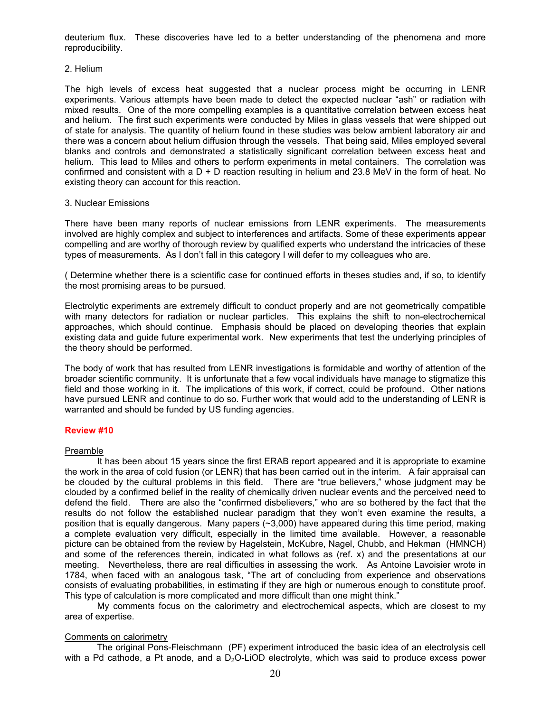deuterium flux. These discoveries have led to a better understanding of the phenomena and more reproducibility.

### 2. Helium

The high levels of excess heat suggested that a nuclear process might be occurring in LENR experiments. Various attempts have been made to detect the expected nuclear "ash" or radiation with mixed results. One of the more compelling examples is a quantitative correlation between excess heat and helium. The first such experiments were conducted by Miles in glass vessels that were shipped out of state for analysis. The quantity of helium found in these studies was below ambient laboratory air and there was a concern about helium diffusion through the vessels. That being said, Miles employed several blanks and controls and demonstrated a statistically significant correlation between excess heat and helium. This lead to Miles and others to perform experiments in metal containers. The correlation was confirmed and consistent with a  $D + D$  reaction resulting in helium and 23.8 MeV in the form of heat. No existing theory can account for this reaction.

### 3. Nuclear Emissions

There have been many reports of nuclear emissions from LENR experiments. The measurements involved are highly complex and subject to interferences and artifacts. Some of these experiments appear compelling and are worthy of thorough review by qualified experts who understand the intricacies of these types of measurements. As I don't fall in this category I will defer to my colleagues who are.

( Determine whether there is a scientific case for continued efforts in theses studies and, if so, to identify the most promising areas to be pursued.

Electrolytic experiments are extremely difficult to conduct properly and are not geometrically compatible with many detectors for radiation or nuclear particles. This explains the shift to non-electrochemical approaches, which should continue. Emphasis should be placed on developing theories that explain existing data and guide future experimental work. New experiments that test the underlying principles of the theory should be performed.

The body of work that has resulted from LENR investigations is formidable and worthy of attention of the broader scientific community. It is unfortunate that a few vocal individuals have manage to stigmatize this field and those working in it. The implications of this work, if correct, could be profound. Other nations have pursued LENR and continue to do so. Further work that would add to the understanding of LENR is warranted and should be funded by US funding agencies.

# **Review #10**

#### Preamble

It has been about 15 years since the first ERAB report appeared and it is appropriate to examine the work in the area of cold fusion (or LENR) that has been carried out in the interim. A fair appraisal can be clouded by the cultural problems in this field. There are "true believers," whose judgment may be clouded by a confirmed belief in the reality of chemically driven nuclear events and the perceived need to defend the field. There are also the "confirmed disbelievers," who are so bothered by the fact that the results do not follow the established nuclear paradigm that they won't even examine the results, a position that is equally dangerous. Many papers (~3,000) have appeared during this time period, making a complete evaluation very difficult, especially in the limited time available. However, a reasonable picture can be obtained from the review by Hagelstein, McKubre, Nagel, Chubb, and Hekman (HMNCH) and some of the references therein, indicated in what follows as (ref. x) and the presentations at our meeting. Nevertheless, there are real difficulties in assessing the work. As Antoine Lavoisier wrote in 1784, when faced with an analogous task, "The art of concluding from experience and observations consists of evaluating probabilities, in estimating if they are high or numerous enough to constitute proof. This type of calculation is more complicated and more difficult than one might think."

My comments focus on the calorimetry and electrochemical aspects, which are closest to my area of expertise.

### Comments on calorimetry

The original Pons-Fleischmann (PF) experiment introduced the basic idea of an electrolysis cell with a Pd cathode, a Pt anode, and a  $D_2O$ -LiOD electrolyte, which was said to produce excess power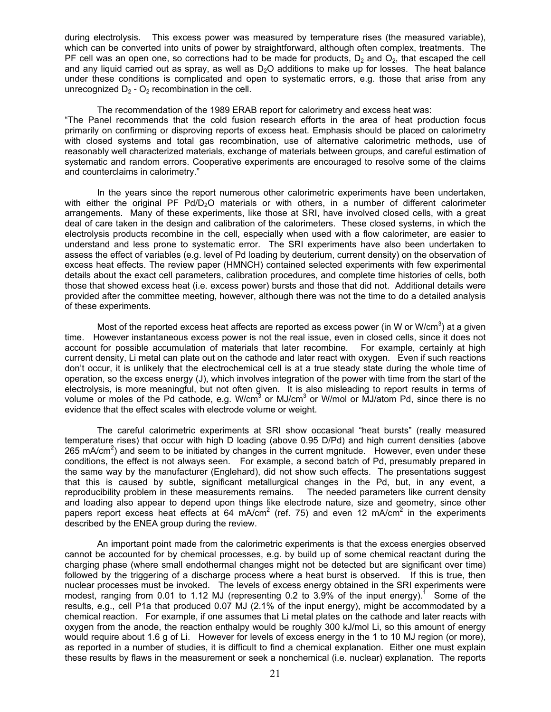during electrolysis. This excess power was measured by temperature rises (the measured variable), which can be converted into units of power by straightforward, although often complex, treatments. The PF cell was an open one, so corrections had to be made for products,  $D_2$  and  $O_2$ , that escaped the cell and any liquid carried out as spray, as well as  $D<sub>2</sub>O$  additions to make up for losses. The heat balance under these conditions is complicated and open to systematic errors, e.g. those that arise from any unrecognized  $D_2 - O_2$  recombination in the cell.

The recommendation of the 1989 ERAB report for calorimetry and excess heat was: "The Panel recommends that the cold fusion research efforts in the area of heat production focus primarily on confirming or disproving reports of excess heat. Emphasis should be placed on calorimetry with closed systems and total gas recombination, use of alternative calorimetric methods, use of reasonably well characterized materials, exchange of materials between groups, and careful estimation of systematic and random errors. Cooperative experiments are encouraged to resolve some of the claims and counterclaims in calorimetry."

 In the years since the report numerous other calorimetric experiments have been undertaken, with either the original PF  $Pd/D<sub>2</sub>O$  materials or with others, in a number of different calorimeter arrangements. Many of these experiments, like those at SRI, have involved closed cells, with a great deal of care taken in the design and calibration of the calorimeters. These closed systems, in which the electrolysis products recombine in the cell, especially when used with a flow calorimeter, are easier to understand and less prone to systematic error. The SRI experiments have also been undertaken to assess the effect of variables (e.g. level of Pd loading by deuterium, current density) on the observation of excess heat effects. The review paper (HMNCH) contained selected experiments with few experimental details about the exact cell parameters, calibration procedures, and complete time histories of cells, both those that showed excess heat (i.e. excess power) bursts and those that did not. Additional details were provided after the committee meeting, however, although there was not the time to do a detailed analysis of these experiments.

Most of the reported excess heat affects are reported as excess power (in W or W/cm<sup>3</sup>) at a given time. However instantaneous excess power is not the real issue, even in closed cells, since it does not account for possible accumulation of materials that later recombine. For example, certainly at high current density, Li metal can plate out on the cathode and later react with oxygen. Even if such reactions don't occur, it is unlikely that the electrochemical cell is at a true steady state during the whole time of operation, so the excess energy (J), which involves integration of the power with time from the start of the electrolysis, is more meaningful, but not often given. It is also misleading to report results in terms of volume or moles of the Pd cathode, e.g. W/cm<sup>3</sup> or MJ/cm<sup>3</sup> or W/mol or MJ/atom Pd, since there is no evidence that the effect scales with electrode volume or weight.

The careful calorimetric experiments at SRI show occasional "heat bursts" (really measured temperature rises) that occur with high D loading (above 0.95 D/Pd) and high current densities (above 265 mA/cm<sup>2</sup>) and seem to be initiated by changes in the current mgnitude. However, even under these conditions, the effect is not always seen. For example, a second batch of Pd, presumably prepared in the same way by the manufacturer (Englehard), did not show such effects. The presentations suggest that this is caused by subtle, significant metallurgical changes in the Pd, but, in any event, a reproducibility problem in these measurements remains. The needed parameters like current density and loading also appear to depend upon things like electrode nature, size and geometry, since other papers report excess heat effects at 64 mA/cm<sup>2</sup> (ref. 75) and even 12 mA/cm<sup>2</sup> in the experiments described by the ENEA group during the review.

An important point made from the calorimetric experiments is that the excess energies observed cannot be accounted for by chemical processes, e.g. by build up of some chemical reactant during the charging phase (where small endothermal changes might not be detected but are significant over time) followed by the triggering of a discharge process where a heat burst is observed. If this is true, then nuclear processes must be invoked. The levels of excess energy obtained in the SRI experiments were modest, ranging from 0.01 to 1.12 MJ (representing 0.2 to 3.9% of the input energy).<sup>1</sup> Some of the results, e.g., cell P1a that produced 0.07 MJ (2.1% of the input energy), might be accommodated by a chemical reaction. For example, if one assumes that Li metal plates on the cathode and later reacts with oxygen from the anode, the reaction enthalpy would be roughly 300 kJ/mol Li, so this amount of energy would require about 1.6 g of Li. However for levels of excess energy in the 1 to 10 MJ region (or more), as reported in a number of studies, it is difficult to find a chemical explanation. Either one must explain these results by flaws in the measurement or seek a nonchemical (i.e. nuclear) explanation. The reports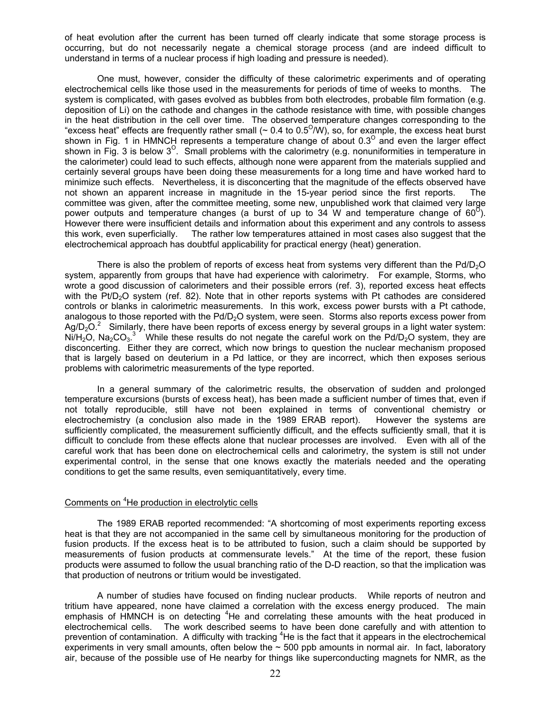of heat evolution after the current has been turned off clearly indicate that some storage process is occurring, but do not necessarily negate a chemical storage process (and are indeed difficult to understand in terms of a nuclear process if high loading and pressure is needed).

One must, however, consider the difficulty of these calorimetric experiments and of operating electrochemical cells like those used in the measurements for periods of time of weeks to months. The system is complicated, with gases evolved as bubbles from both electrodes, probable film formation (e.g. deposition of Li) on the cathode and changes in the cathode resistance with time, with possible changes in the heat distribution in the cell over time. The observed temperature changes corresponding to the "excess heat" effects are frequently rather small ( $\sim 0.4$  to 0.5<sup>O</sup>/W), so, for example, the excess heat burst shown in Fig. 1 in HMNCH represents a temperature change of about  $0.3^\circ$  and even the larger effect shown in Fig. 3 is below  $3^{\circ}$ . Small problems with the calorimetry (e.g. nonuniformities in temperature in the calorimeter) could lead to such effects, although none were apparent from the materials supplied and certainly several groups have been doing these measurements for a long time and have worked hard to minimize such effects. Nevertheless, it is disconcerting that the magnitude of the effects observed have not shown an apparent increase in magnitude in the 15-year period since the first reports. The committee was given, after the committee meeting, some new, unpublished work that claimed very large power outputs and temperature changes (a burst of up to 34 W and temperature change of  $60^{\circ}$ ). However there were insufficient details and information about this experiment and any controls to assess this work, even superficially. The rather low temperatures attained in most cases also suggest that the electrochemical approach has doubtful applicability for practical energy (heat) generation.

There is also the problem of reports of excess heat from systems very different than the  $Pd/D<sub>2</sub>O$ system, apparently from groups that have had experience with calorimetry. For example, Storms, who wrote a good discussion of calorimeters and their possible errors (ref. 3), reported excess heat effects with the Pt/D<sub>2</sub>O system (ref. 82). Note that in other reports systems with Pt cathodes are considered controls or blanks in calorimetric measurements. In this work, excess power bursts with a Pt cathode, analogous to those reported with the  $Pd/D<sub>2</sub>O$  system, were seen. Storms also reports excess power from Ag/D<sub>2</sub>O.<sup>2</sup> Similarly, there have been reports of excess energy by several groups in a light water system: Ni/H<sub>2</sub>O, Na<sub>2</sub>CO<sub>3</sub>.<sup>3</sup> While these results do not negate the careful work on the Pd/D<sub>2</sub>O system, they are disconcerting. Either they are correct, which now brings to question the nuclear mechanism proposed that is largely based on deuterium in a Pd lattice, or they are incorrect, which then exposes serious problems with calorimetric measurements of the type reported.

In a general summary of the calorimetric results, the observation of sudden and prolonged temperature excursions (bursts of excess heat), has been made a sufficient number of times that, even if not totally reproducible, still have not been explained in terms of conventional chemistry or electrochemistry (a conclusion also made in the 1989 ERAB report). However the systems are sufficiently complicated, the measurement sufficiently difficult, and the effects sufficiently small, that it is difficult to conclude from these effects alone that nuclear processes are involved. Even with all of the careful work that has been done on electrochemical cells and calorimetry, the system is still not under experimental control, in the sense that one knows exactly the materials needed and the operating conditions to get the same results, even semiquantitatively, every time.

# Comments on <sup>4</sup>He production in electrolytic cells

 The 1989 ERAB reported recommended: "A shortcoming of most experiments reporting excess heat is that they are not accompanied in the same cell by simultaneous monitoring for the production of fusion products. If the excess heat is to be attributed to fusion, such a claim should be supported by measurements of fusion products at commensurate levels." At the time of the report, these fusion products were assumed to follow the usual branching ratio of the D-D reaction, so that the implication was that production of neutrons or tritium would be investigated.

 A number of studies have focused on finding nuclear products. While reports of neutron and tritium have appeared, none have claimed a correlation with the excess energy produced. The main emphasis of HMNCH is on detecting  $4$ He and correlating these amounts with the heat produced in electrochemical cells. The work described seems to have been done carefully and with attention to prevention of contamination. A difficulty with tracking <sup>4</sup>He is the fact that it appears in the electrochemical experiments in very small amounts, often below the  $\sim$  500 ppb amounts in normal air. In fact, laboratory air, because of the possible use of He nearby for things like superconducting magnets for NMR, as the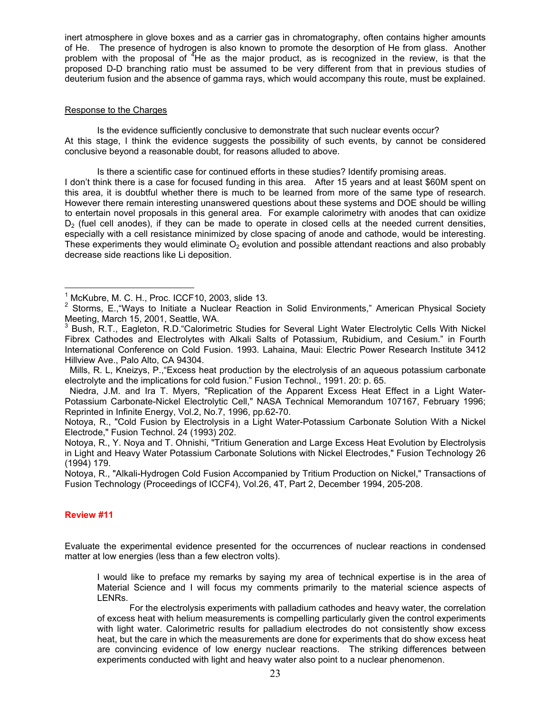inert atmosphere in glove boxes and as a carrier gas in chromatography, often contains higher amounts of He. The presence of hydrogen is also known to promote the desorption of He from glass. Another problem with the proposal of  ${}^{4}$ He as the major product, as is recognized in the review, is that the proposed D-D branching ratio must be assumed to be very different from that in previous studies of deuterium fusion and the absence of gamma rays, which would accompany this route, must be explained.

# Response to the Charges

 Is the evidence sufficiently conclusive to demonstrate that such nuclear events occur? At this stage, I think the evidence suggests the possibility of such events, by cannot be considered conclusive beyond a reasonable doubt, for reasons alluded to above.

 Is there a scientific case for continued efforts in these studies? Identify promising areas. I don't think there is a case for focused funding in this area. After 15 years and at least \$60M spent on this area, it is doubtful whether there is much to be learned from more of the same type of research. However there remain interesting unanswered questions about these systems and DOE should be willing to entertain novel proposals in this general area. For example calorimetry with anodes that can oxidize  $D<sub>2</sub>$  (fuel cell anodes), if they can be made to operate in closed cells at the needed current densities, especially with a cell resistance minimized by close spacing of anode and cathode, would be interesting. These experiments they would eliminate  $O<sub>2</sub>$  evolution and possible attendant reactions and also probably decrease side reactions like Li deposition.

 Mills, R. L, Kneizys, P.,"Excess heat production by the electrolysis of an aqueous potassium carbonate electrolyte and the implications for cold fusion." Fusion Technol., 1991. 20: p. 65.

Notoya, R., "Alkali-Hydrogen Cold Fusion Accompanied by Tritium Production on Nickel," Transactions of Fusion Technology (Proceedings of ICCF4), Vol.26, 4T, Part 2, December 1994, 205-208.

# **Review #11**

 $\overline{a}$ 

Evaluate the experimental evidence presented for the occurrences of nuclear reactions in condensed matter at low energies (less than a few electron volts).

I would like to preface my remarks by saying my area of technical expertise is in the area of Material Science and I will focus my comments primarily to the material science aspects of LENRs.

 For the electrolysis experiments with palladium cathodes and heavy water, the correlation of excess heat with helium measurements is compelling particularly given the control experiments with light water. Calorimetric results for palladium electrodes do not consistently show excess heat, but the care in which the measurements are done for experiments that do show excess heat are convincing evidence of low energy nuclear reactions. The striking differences between experiments conducted with light and heavy water also point to a nuclear phenomenon.

 $<sup>1</sup>$  McKubre, M. C. H., Proc. ICCF10, 2003, slide 13.</sup>

<sup>&</sup>lt;sup>2</sup> Storms, E., "Ways to Initiate a Nuclear Reaction in Solid Environments," American Physical Society Meeting, March 15, 2001, Seattle, WA.

<sup>&</sup>lt;sup>3</sup> Bush, R.T., Eagleton, R.D. Calorimetric Studies for Several Light Water Electrolytic Cells With Nickel Fibrex Cathodes and Electrolytes with Alkali Salts of Potassium, Rubidium, and Cesium." in Fourth International Conference on Cold Fusion. 1993. Lahaina, Maui: Electric Power Research Institute 3412 Hillview Ave., Palo Alto, CA 94304.

Niedra, J.M. and Ira T. Myers, "Replication of the Apparent Excess Heat Effect in a Light Water-Potassium Carbonate-Nickel Electrolytic Cell," NASA Technical Memorandum 107167, February 1996; Reprinted in Infinite Energy, Vol.2, No.7, 1996, pp.62-70.

Notoya, R., "Cold Fusion by Electrolysis in a Light Water-Potassium Carbonate Solution With a Nickel Electrode," Fusion Technol. 24 (1993) 202.

Notoya, R., Y. Noya and T. Ohnishi, "Tritium Generation and Large Excess Heat Evolution by Electrolysis in Light and Heavy Water Potassium Carbonate Solutions with Nickel Electrodes," Fusion Technology 26 (1994) 179.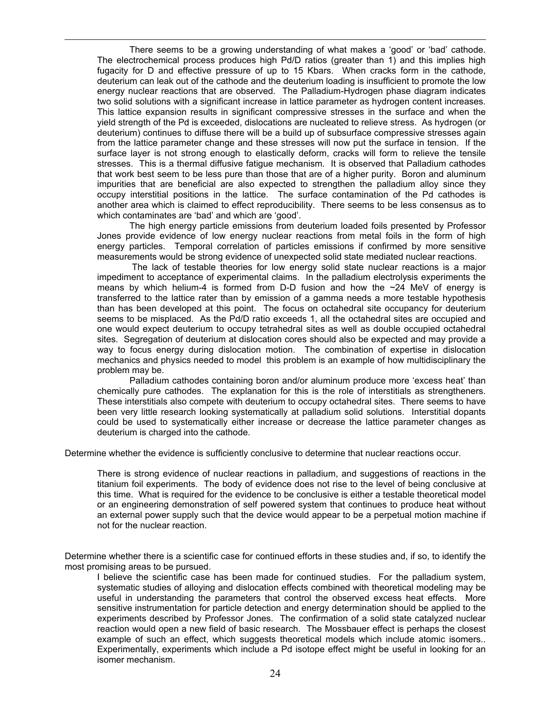There seems to be a growing understanding of what makes a 'good' or 'bad' cathode. The electrochemical process produces high Pd/D ratios (greater than 1) and this implies high fugacity for D and effective pressure of up to 15 Kbars. When cracks form in the cathode, deuterium can leak out of the cathode and the deuterium loading is insufficient to promote the low energy nuclear reactions that are observed. The Palladium-Hydrogen phase diagram indicates two solid solutions with a significant increase in lattice parameter as hydrogen content increases. This lattice expansion results in significant compressive stresses in the surface and when the yield strength of the Pd is exceeded, dislocations are nucleated to relieve stress. As hydrogen (or deuterium) continues to diffuse there will be a build up of subsurface compressive stresses again from the lattice parameter change and these stresses will now put the surface in tension. If the surface layer is not strong enough to elastically deform, cracks will form to relieve the tensile stresses. This is a thermal diffusive fatigue mechanism. It is observed that Palladium cathodes that work best seem to be less pure than those that are of a higher purity. Boron and aluminum impurities that are beneficial are also expected to strengthen the palladium alloy since they occupy interstitial positions in the lattice. The surface contamination of the Pd cathodes is another area which is claimed to effect reproducibility. There seems to be less consensus as to which contaminates are 'bad' and which are 'good'.

 $\overline{a}$ 

The high energy particle emissions from deuterium loaded foils presented by Professor Jones provide evidence of low energy nuclear reactions from metal foils in the form of high energy particles. Temporal correlation of particles emissions if confirmed by more sensitive measurements would be strong evidence of unexpected solid state mediated nuclear reactions.

 The lack of testable theories for low energy solid state nuclear reactions is a major impediment to acceptance of experimental claims. In the palladium electrolysis experiments the means by which helium-4 is formed from D-D fusion and how the  $\sim$ 24 MeV of energy is transferred to the lattice rater than by emission of a gamma needs a more testable hypothesis than has been developed at this point. The focus on octahedral site occupancy for deuterium seems to be misplaced. As the Pd/D ratio exceeds 1, all the octahedral sites are occupied and one would expect deuterium to occupy tetrahedral sites as well as double occupied octahedral sites. Segregation of deuterium at dislocation cores should also be expected and may provide a way to focus energy during dislocation motion. The combination of expertise in dislocation mechanics and physics needed to model this problem is an example of how multidisciplinary the problem may be.

 Palladium cathodes containing boron and/or aluminum produce more 'excess heat' than chemically pure cathodes. The explanation for this is the role of interstitials as strengtheners. These interstitials also compete with deuterium to occupy octahedral sites. There seems to have been very little research looking systematically at palladium solid solutions. Interstitial dopants could be used to systematically either increase or decrease the lattice parameter changes as deuterium is charged into the cathode.

Determine whether the evidence is sufficiently conclusive to determine that nuclear reactions occur.

There is strong evidence of nuclear reactions in palladium, and suggestions of reactions in the titanium foil experiments. The body of evidence does not rise to the level of being conclusive at this time. What is required for the evidence to be conclusive is either a testable theoretical model or an engineering demonstration of self powered system that continues to produce heat without an external power supply such that the device would appear to be a perpetual motion machine if not for the nuclear reaction.

Determine whether there is a scientific case for continued efforts in these studies and, if so, to identify the most promising areas to be pursued.

I believe the scientific case has been made for continued studies. For the palladium system, systematic studies of alloying and dislocation effects combined with theoretical modeling may be useful in understanding the parameters that control the observed excess heat effects. More sensitive instrumentation for particle detection and energy determination should be applied to the experiments described by Professor Jones. The confirmation of a solid state catalyzed nuclear reaction would open a new field of basic research. The Mossbauer effect is perhaps the closest example of such an effect, which suggests theoretical models which include atomic isomers.. Experimentally, experiments which include a Pd isotope effect might be useful in looking for an isomer mechanism.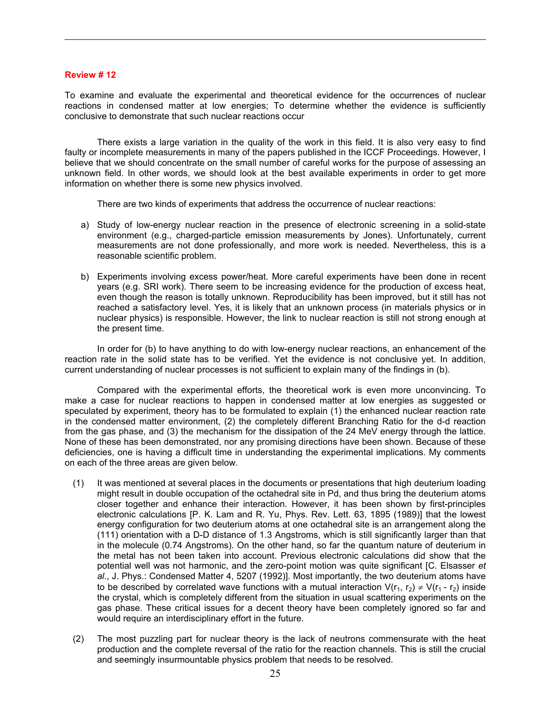# **Review # 12**

 $\overline{a}$ 

To examine and evaluate the experimental and theoretical evidence for the occurrences of nuclear reactions in condensed matter at low energies; To determine whether the evidence is sufficiently conclusive to demonstrate that such nuclear reactions occur

There exists a large variation in the quality of the work in this field. It is also very easy to find faulty or incomplete measurements in many of the papers published in the ICCF Proceedings. However, I believe that we should concentrate on the small number of careful works for the purpose of assessing an unknown field. In other words, we should look at the best available experiments in order to get more information on whether there is some new physics involved.

There are two kinds of experiments that address the occurrence of nuclear reactions:

- a) Study of low-energy nuclear reaction in the presence of electronic screening in a solid-state environment (e.g., charged-particle emission measurements by Jones). Unfortunately, current measurements are not done professionally, and more work is needed. Nevertheless, this is a reasonable scientific problem.
- b) Experiments involving excess power/heat. More careful experiments have been done in recent years (e.g. SRI work). There seem to be increasing evidence for the production of excess heat, even though the reason is totally unknown. Reproducibility has been improved, but it still has not reached a satisfactory level. Yes, it is likely that an unknown process (in materials physics or in nuclear physics) is responsible. However, the link to nuclear reaction is still not strong enough at the present time.

In order for (b) to have anything to do with low-energy nuclear reactions, an enhancement of the reaction rate in the solid state has to be verified. Yet the evidence is not conclusive yet. In addition, current understanding of nuclear processes is not sufficient to explain many of the findings in (b).

Compared with the experimental efforts, the theoretical work is even more unconvincing. To make a case for nuclear reactions to happen in condensed matter at low energies as suggested or speculated by experiment, theory has to be formulated to explain (1) the enhanced nuclear reaction rate in the condensed matter environment, (2) the completely different Branching Ratio for the d-d reaction from the gas phase, and (3) the mechanism for the dissipation of the 24 MeV energy through the lattice. None of these has been demonstrated, nor any promising directions have been shown. Because of these deficiencies, one is having a difficult time in understanding the experimental implications. My comments on each of the three areas are given below.

- (1) It was mentioned at several places in the documents or presentations that high deuterium loading might result in double occupation of the octahedral site in Pd, and thus bring the deuterium atoms closer together and enhance their interaction. However, it has been shown by first-principles electronic calculations [P. K. Lam and R. Yu, Phys. Rev. Lett. 63, 1895 (1989)] that the lowest energy configuration for two deuterium atoms at one octahedral site is an arrangement along the (111) orientation with a D-D distance of 1.3 Angstroms, which is still significantly larger than that in the molecule (0.74 Angstroms). On the other hand, so far the quantum nature of deuterium in the metal has not been taken into account. Previous electronic calculations did show that the potential well was not harmonic, and the zero-point motion was quite significant [C. Elsasser *et al*., J. Phys.: Condensed Matter 4, 5207 (1992)]. Most importantly, the two deuterium atoms have to be described by correlated wave functions with a mutual interaction  $V(r_1, r_2) \neq V(r_1 - r_2)$  inside the crystal, which is completely different from the situation in usual scattering experiments on the gas phase. These critical issues for a decent theory have been completely ignored so far and would require an interdisciplinary effort in the future.
- (2) The most puzzling part for nuclear theory is the lack of neutrons commensurate with the heat production and the complete reversal of the ratio for the reaction channels. This is still the crucial and seemingly insurmountable physics problem that needs to be resolved.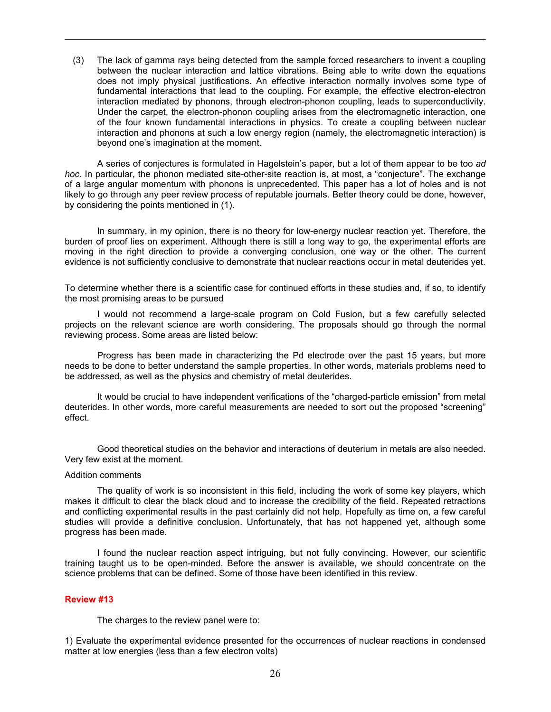(3) The lack of gamma rays being detected from the sample forced researchers to invent a coupling between the nuclear interaction and lattice vibrations. Being able to write down the equations does not imply physical justifications. An effective interaction normally involves some type of fundamental interactions that lead to the coupling. For example, the effective electron-electron interaction mediated by phonons, through electron-phonon coupling, leads to superconductivity. Under the carpet, the electron-phonon coupling arises from the electromagnetic interaction, one of the four known fundamental interactions in physics. To create a coupling between nuclear interaction and phonons at such a low energy region (namely, the electromagnetic interaction) is beyond one's imagination at the moment.

A series of conjectures is formulated in Hagelstein's paper, but a lot of them appear to be too *ad hoc*. In particular, the phonon mediated site-other-site reaction is, at most, a "conjecture". The exchange of a large angular momentum with phonons is unprecedented. This paper has a lot of holes and is not likely to go through any peer review process of reputable journals. Better theory could be done, however, by considering the points mentioned in (1).

In summary, in my opinion, there is no theory for low-energy nuclear reaction yet. Therefore, the burden of proof lies on experiment. Although there is still a long way to go, the experimental efforts are moving in the right direction to provide a converging conclusion, one way or the other. The current evidence is not sufficiently conclusive to demonstrate that nuclear reactions occur in metal deuterides yet.

To determine whether there is a scientific case for continued efforts in these studies and, if so, to identify the most promising areas to be pursued

I would not recommend a large-scale program on Cold Fusion, but a few carefully selected projects on the relevant science are worth considering. The proposals should go through the normal reviewing process. Some areas are listed below:

Progress has been made in characterizing the Pd electrode over the past 15 years, but more needs to be done to better understand the sample properties. In other words, materials problems need to be addressed, as well as the physics and chemistry of metal deuterides.

It would be crucial to have independent verifications of the "charged-particle emission" from metal deuterides. In other words, more careful measurements are needed to sort out the proposed "screening" effect.

Good theoretical studies on the behavior and interactions of deuterium in metals are also needed. Very few exist at the moment.

# Addition comments

 $\overline{a}$ 

The quality of work is so inconsistent in this field, including the work of some key players, which makes it difficult to clear the black cloud and to increase the credibility of the field. Repeated retractions and conflicting experimental results in the past certainly did not help. Hopefully as time on, a few careful studies will provide a definitive conclusion. Unfortunately, that has not happened yet, although some progress has been made.

I found the nuclear reaction aspect intriguing, but not fully convincing. However, our scientific training taught us to be open-minded. Before the answer is available, we should concentrate on the science problems that can be defined. Some of those have been identified in this review.

### **Review #13**

The charges to the review panel were to:

1) Evaluate the experimental evidence presented for the occurrences of nuclear reactions in condensed matter at low energies (less than a few electron volts)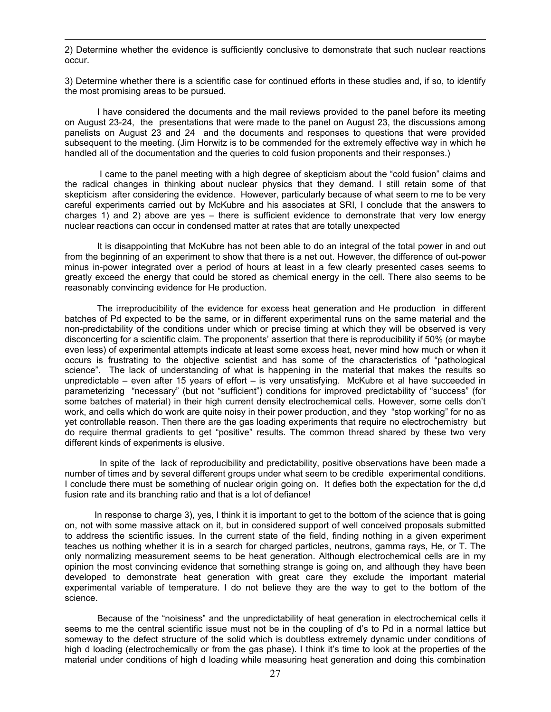2) Determine whether the evidence is sufficiently conclusive to demonstrate that such nuclear reactions occur.

 $\overline{a}$ 

3) Determine whether there is a scientific case for continued efforts in these studies and, if so, to identify the most promising areas to be pursued.

I have considered the documents and the mail reviews provided to the panel before its meeting on August 23-24, the presentations that were made to the panel on August 23, the discussions among panelists on August 23 and 24 and the documents and responses to questions that were provided subsequent to the meeting. (Jim Horwitz is to be commended for the extremely effective way in which he handled all of the documentation and the queries to cold fusion proponents and their responses.)

 I came to the panel meeting with a high degree of skepticism about the "cold fusion" claims and the radical changes in thinking about nuclear physics that they demand. I still retain some of that skepticism after considering the evidence. However, particularly because of what seem to me to be very careful experiments carried out by McKubre and his associates at SRI, I conclude that the answers to charges 1) and 2) above are yes – there is sufficient evidence to demonstrate that very low energy nuclear reactions can occur in condensed matter at rates that are totally unexpected

It is disappointing that McKubre has not been able to do an integral of the total power in and out from the beginning of an experiment to show that there is a net out. However, the difference of out-power minus in-power integrated over a period of hours at least in a few clearly presented cases seems to greatly exceed the energy that could be stored as chemical energy in the cell. There also seems to be reasonably convincing evidence for He production.

The irreproducibility of the evidence for excess heat generation and He production in different batches of Pd expected to be the same, or in different experimental runs on the same material and the non-predictability of the conditions under which or precise timing at which they will be observed is very disconcerting for a scientific claim. The proponents' assertion that there is reproducibility if 50% (or maybe even less) of experimental attempts indicate at least some excess heat, never mind how much or when it occurs is frustrating to the objective scientist and has some of the characteristics of "pathological science". The lack of understanding of what is happening in the material that makes the results so unpredictable – even after 15 years of effort – is very unsatisfying. McKubre et al have succeeded in parameterizing "necessary" (but not "sufficient") conditions for improved predictability of "success" (for some batches of material) in their high current density electrochemical cells. However, some cells don't work, and cells which do work are quite noisy in their power production, and they "stop working" for no as yet controllable reason. Then there are the gas loading experiments that require no electrochemistry but do require thermal gradients to get "positive" results. The common thread shared by these two very different kinds of experiments is elusive.

 In spite of the lack of reproducibility and predictability, positive observations have been made a number of times and by several different groups under what seem to be credible experimental conditions. I conclude there must be something of nuclear origin going on. It defies both the expectation for the d,d fusion rate and its branching ratio and that is a lot of defiance!

 In response to charge 3), yes, I think it is important to get to the bottom of the science that is going on, not with some massive attack on it, but in considered support of well conceived proposals submitted to address the scientific issues. In the current state of the field, finding nothing in a given experiment teaches us nothing whether it is in a search for charged particles, neutrons, gamma rays, He, or T. The only normalizing measurement seems to be heat generation. Although electrochemical cells are in my opinion the most convincing evidence that something strange is going on, and although they have been developed to demonstrate heat generation with great care they exclude the important material experimental variable of temperature. I do not believe they are the way to get to the bottom of the science.

Because of the "noisiness" and the unpredictability of heat generation in electrochemical cells it seems to me the central scientific issue must not be in the coupling of d's to Pd in a normal lattice but someway to the defect structure of the solid which is doubtless extremely dynamic under conditions of high d loading (electrochemically or from the gas phase). I think it's time to look at the properties of the material under conditions of high d loading while measuring heat generation and doing this combination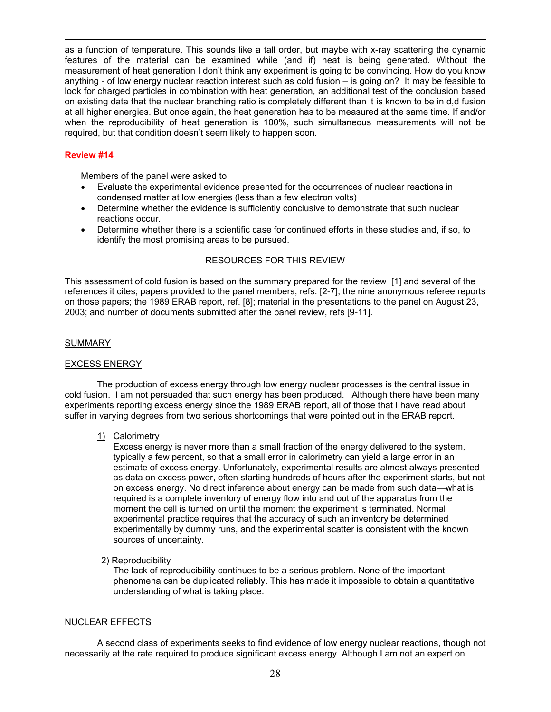as a function of temperature. This sounds like a tall order, but maybe with x-ray scattering the dynamic features of the material can be examined while (and if) heat is being generated. Without the measurement of heat generation I don't think any experiment is going to be convincing. How do you know anything - of low energy nuclear reaction interest such as cold fusion – is going on? It may be feasible to look for charged particles in combination with heat generation, an additional test of the conclusion based on existing data that the nuclear branching ratio is completely different than it is known to be in d,d fusion at all higher energies. But once again, the heat generation has to be measured at the same time. If and/or when the reproducibility of heat generation is 100%, such simultaneous measurements will not be required, but that condition doesn't seem likely to happen soon.

# **Review #14**

 $\overline{a}$ 

Members of the panel were asked to

- Evaluate the experimental evidence presented for the occurrences of nuclear reactions in condensed matter at low energies (less than a few electron volts)
- Determine whether the evidence is sufficiently conclusive to demonstrate that such nuclear reactions occur.
- Determine whether there is a scientific case for continued efforts in these studies and, if so, to identify the most promising areas to be pursued.

# RESOURCES FOR THIS REVIEW

This assessment of cold fusion is based on the summary prepared for the review [1] and several of the references it cites; papers provided to the panel members, refs. [2-7]; the nine anonymous referee reports on those papers; the 1989 ERAB report, ref. [8]; material in the presentations to the panel on August 23, 2003; and number of documents submitted after the panel review, refs [9-11].

# SUMMARY

# EXCESS ENERGY

 The production of excess energy through low energy nuclear processes is the central issue in cold fusion. I am not persuaded that such energy has been produced. Although there have been many experiments reporting excess energy since the 1989 ERAB report, all of those that I have read about suffer in varying degrees from two serious shortcomings that were pointed out in the ERAB report.

1) Calorimetry

Excess energy is never more than a small fraction of the energy delivered to the system, typically a few percent, so that a small error in calorimetry can yield a large error in an estimate of excess energy. Unfortunately, experimental results are almost always presented as data on excess power, often starting hundreds of hours after the experiment starts, but not on excess energy. No direct inference about energy can be made from such data—what is required is a complete inventory of energy flow into and out of the apparatus from the moment the cell is turned on until the moment the experiment is terminated. Normal experimental practice requires that the accuracy of such an inventory be determined experimentally by dummy runs, and the experimental scatter is consistent with the known sources of uncertainty.

# 2) Reproducibility

The lack of reproducibility continues to be a serious problem. None of the important phenomena can be duplicated reliably. This has made it impossible to obtain a quantitative understanding of what is taking place.

# NUCLEAR EFFECTS

 A second class of experiments seeks to find evidence of low energy nuclear reactions, though not necessarily at the rate required to produce significant excess energy. Although I am not an expert on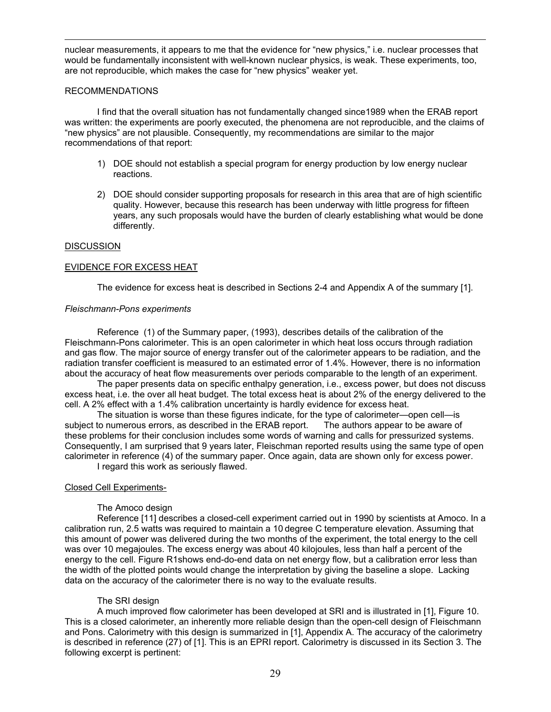nuclear measurements, it appears to me that the evidence for "new physics," i.e. nuclear processes that would be fundamentally inconsistent with well-known nuclear physics, is weak. These experiments, too, are not reproducible, which makes the case for "new physics" weaker yet.

# RECOMMENDATIONS

 $\overline{a}$ 

 I find that the overall situation has not fundamentally changed since1989 when the ERAB report was written: the experiments are poorly executed, the phenomena are not reproducible, and the claims of "new physics" are not plausible. Consequently, my recommendations are similar to the major recommendations of that report:

- 1) DOE should not establish a special program for energy production by low energy nuclear reactions.
- 2) DOE should consider supporting proposals for research in this area that are of high scientific quality. However, because this research has been underway with little progress for fifteen years, any such proposals would have the burden of clearly establishing what would be done differently.

### **DISCUSSION**

### EVIDENCE FOR EXCESS HEAT

The evidence for excess heat is described in Sections 2-4 and Appendix A of the summary [1].

### *Fleischmann-Pons experiments*

 Reference (1) of the Summary paper, (1993), describes details of the calibration of the Fleischmann-Pons calorimeter. This is an open calorimeter in which heat loss occurs through radiation and gas flow. The major source of energy transfer out of the calorimeter appears to be radiation, and the radiation transfer coefficient is measured to an estimated error of 1.4%. However, there is no information about the accuracy of heat flow measurements over periods comparable to the length of an experiment.

 The paper presents data on specific enthalpy generation, i.e., excess power, but does not discuss excess heat, i.e. the over all heat budget. The total excess heat is about 2% of the energy delivered to the cell. A 2% effect with a 1.4% calibration uncertainty is hardly evidence for excess heat.

 The situation is worse than these figures indicate, for the type of calorimeter—open cell—is subject to numerous errors, as described in the ERAB report. The authors appear to be aware of these problems for their conclusion includes some words of warning and calls for pressurized systems. Consequently, I am surprised that 9 years later, Fleischman reported results using the same type of open calorimeter in reference (4) of the summary paper. Once again, data are shown only for excess power.

I regard this work as seriously flawed.

# Closed Cell Experiments-

# The Amoco design

 Reference [11] describes a closed-cell experiment carried out in 1990 by scientists at Amoco. In a calibration run, 2.5 watts was required to maintain a 10 degree C temperature elevation. Assuming that this amount of power was delivered during the two months of the experiment, the total energy to the cell was over 10 megajoules. The excess energy was about 40 kilojoules, less than half a percent of the energy to the cell. Figure R1shows end-do-end data on net energy flow, but a calibration error less than the width of the plotted points would change the interpretation by giving the baseline a slope. Lacking data on the accuracy of the calorimeter there is no way to the evaluate results.

# The SRI design

 A much improved flow calorimeter has been developed at SRI and is illustrated in [1], Figure 10. This is a closed calorimeter, an inherently more reliable design than the open-cell design of Fleischmann and Pons. Calorimetry with this design is summarized in [1], Appendix A. The accuracy of the calorimetry is described in reference (27) of [1]. This is an EPRI report. Calorimetry is discussed in its Section 3. The following excerpt is pertinent: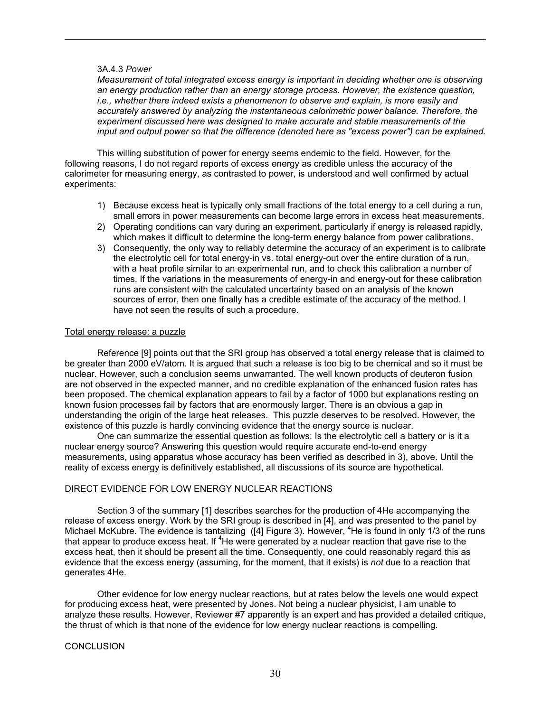### 3A.4.3 *Power*

 $\overline{a}$ 

*Measurement of total integrated excess energy is important in deciding whether one is observing an energy production rather than an energy storage process. However, the existence question, i.e., whether there indeed exists a phenomenon to observe and explain, is more easily and accurately answered by analyzing the instantaneous calorimetric power balance. Therefore, the experiment discussed here was designed to make accurate and stable measurements of the input and output power so that the difference (denoted here as "excess power") can be explained.* 

 This willing substitution of power for energy seems endemic to the field. However, for the following reasons, I do not regard reports of excess energy as credible unless the accuracy of the calorimeter for measuring energy, as contrasted to power, is understood and well confirmed by actual experiments:

- 1) Because excess heat is typically only small fractions of the total energy to a cell during a run, small errors in power measurements can become large errors in excess heat measurements.
- 2) Operating conditions can vary during an experiment, particularly if energy is released rapidly, which makes it difficult to determine the long-term energy balance from power calibrations.
- 3) Consequently, the only way to reliably determine the accuracy of an experiment is to calibrate the electrolytic cell for total energy-in vs. total energy-out over the entire duration of a run, with a heat profile similar to an experimental run, and to check this calibration a number of times. If the variations in the measurements of energy-in and energy-out for these calibration runs are consistent with the calculated uncertainty based on an analysis of the known sources of error, then one finally has a credible estimate of the accuracy of the method. I have not seen the results of such a procedure.

### Total energy release: a puzzle

 Reference [9] points out that the SRI group has observed a total energy release that is claimed to be greater than 2000 eV/atom. It is argued that such a release is too big to be chemical and so it must be nuclear. However, such a conclusion seems unwarranted. The well known products of deuteron fusion are not observed in the expected manner, and no credible explanation of the enhanced fusion rates has been proposed. The chemical explanation appears to fail by a factor of 1000 but explanations resting on known fusion processes fail by factors that are enormously larger. There is an obvious a gap in understanding the origin of the large heat releases. This puzzle deserves to be resolved. However, the existence of this puzzle is hardly convincing evidence that the energy source is nuclear.

One can summarize the essential question as follows: Is the electrolytic cell a battery or is it a nuclear energy source? Answering this question would require accurate end-to-end energy measurements, using apparatus whose accuracy has been verified as described in 3), above. Until the reality of excess energy is definitively established, all discussions of its source are hypothetical.

# DIRECT EVIDENCE FOR LOW ENERGY NUCLEAR REACTIONS

 Section 3 of the summary [1] describes searches for the production of 4He accompanying the release of excess energy. Work by the SRI group is described in [4], and was presented to the panel by Michael McKubre. The evidence is tantalizing ([4] Figure 3). However, <sup>4</sup>He is found in only 1/3 of the runs that appear to produce excess heat. If  ${}^{4}$ He were generated by a nuclear reaction that gave rise to the excess heat, then it should be present all the time. Consequently, one could reasonably regard this as evidence that the excess energy (assuming, for the moment, that it exists) is *not* due to a reaction that generates 4He.

 Other evidence for low energy nuclear reactions, but at rates below the levels one would expect for producing excess heat, were presented by Jones. Not being a nuclear physicist, I am unable to analyze these results. However, Reviewer #7 apparently is an expert and has provided a detailed critique, the thrust of which is that none of the evidence for low energy nuclear reactions is compelling.

#### **CONCLUSION**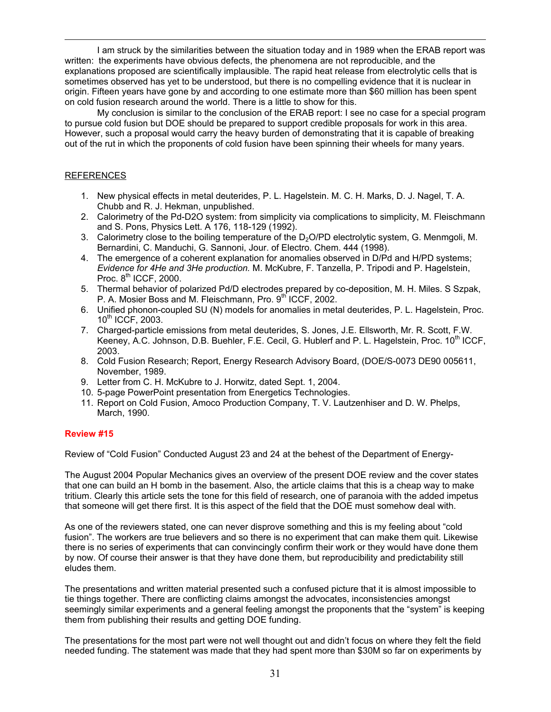I am struck by the similarities between the situation today and in 1989 when the ERAB report was written: the experiments have obvious defects, the phenomena are not reproducible, and the explanations proposed are scientifically implausible. The rapid heat release from electrolytic cells that is sometimes observed has yet to be understood, but there is no compelling evidence that it is nuclear in origin. Fifteen years have gone by and according to one estimate more than \$60 million has been spent on cold fusion research around the world. There is a little to show for this.

My conclusion is similar to the conclusion of the ERAB report: I see no case for a special program to pursue cold fusion but DOE should be prepared to support credible proposals for work in this area. However, such a proposal would carry the heavy burden of demonstrating that it is capable of breaking out of the rut in which the proponents of cold fusion have been spinning their wheels for many years.

# REFERENCES

 $\overline{a}$ 

- 1. New physical effects in metal deuterides, P. L. Hagelstein. M. C. H. Marks, D. J. Nagel, T. A. Chubb and R. J. Hekman, unpublished.
- 2. Calorimetry of the Pd-D2O system: from simplicity via complications to simplicity, M. Fleischmann and S. Pons, Physics Lett. A 176, 118-129 (1992).
- 3. Calorimetry close to the boiling temperature of the  $D_2O/PD$  electrolytic system, G. Menmgoli, M. Bernardini, C. Manduchi, G. Sannoni, Jour. of Electro. Chem. 444 (1998).
- 4. The emergence of a coherent explanation for anomalies observed in D/Pd and H/PD systems; *Evidence for 4He and 3He production.* M. McKubre, F. Tanzella, P. Tripodi and P. Hagelstein, Proc.  $8<sup>th</sup>$  ICCF, 2000.
- 5. Thermal behavior of polarized Pd/D electrodes prepared by co-deposition, M. H. Miles. S Szpak, P. A. Mosier Boss and M. Fleischmann, Pro.  $9<sup>th</sup>$  ICCF, 2002.
- 6. Unified phonon-coupled SU (N) models for anomalies in metal deuterides, P. L. Hagelstein, Proc. 10th ICCF, 2003.
- 7. Charged-particle emissions from metal deuterides, S. Jones, J.E. Ellsworth, Mr. R. Scott, F.W. Keeney, A.C. Johnson, D.B. Buehler, F.E. Cecil, G. Hublerf and P. L. Hagelstein, Proc. 10<sup>th</sup> ICCF, 2003.
- 8. Cold Fusion Research; Report, Energy Research Advisory Board, (DOE/S-0073 DE90 005611, November, 1989.
- 9. Letter from C. H. McKubre to J. Horwitz, dated Sept. 1, 2004.
- 10. 5-page PowerPoint presentation from Energetics Technologies.
- 11. Report on Cold Fusion, Amoco Production Company, T. V. Lautzenhiser and D. W. Phelps, March, 1990.

# **Review #15**

Review of "Cold Fusion" Conducted August 23 and 24 at the behest of the Department of Energy-

The August 2004 Popular Mechanics gives an overview of the present DOE review and the cover states that one can build an H bomb in the basement. Also, the article claims that this is a cheap way to make tritium. Clearly this article sets the tone for this field of research, one of paranoia with the added impetus that someone will get there first. It is this aspect of the field that the DOE must somehow deal with.

As one of the reviewers stated, one can never disprove something and this is my feeling about "cold fusion". The workers are true believers and so there is no experiment that can make them quit. Likewise there is no series of experiments that can convincingly confirm their work or they would have done them by now. Of course their answer is that they have done them, but reproducibility and predictability still eludes them.

The presentations and written material presented such a confused picture that it is almost impossible to tie things together. There are conflicting claims amongst the advocates, inconsistencies amongst seemingly similar experiments and a general feeling amongst the proponents that the "system" is keeping them from publishing their results and getting DOE funding.

The presentations for the most part were not well thought out and didn't focus on where they felt the field needed funding. The statement was made that they had spent more than \$30M so far on experiments by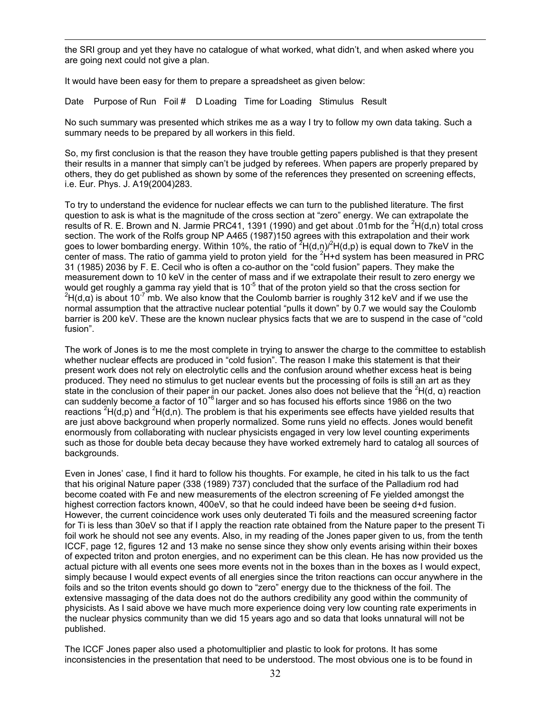the SRI group and yet they have no catalogue of what worked, what didn't, and when asked where you are going next could not give a plan.

It would have been easy for them to prepare a spreadsheet as given below:

 $\overline{a}$ 

Date Purpose of Run Foil # D Loading Time for Loading Stimulus Result

No such summary was presented which strikes me as a way I try to follow my own data taking. Such a summary needs to be prepared by all workers in this field.

So, my first conclusion is that the reason they have trouble getting papers published is that they present their results in a manner that simply can't be judged by referees. When papers are properly prepared by others, they do get published as shown by some of the references they presented on screening effects, i.e. Eur. Phys. J. A19(2004)283.

To try to understand the evidence for nuclear effects we can turn to the published literature. The first question to ask is what is the magnitude of the cross section at "zero" energy. We can extrapolate the results of R. E. Brown and N. Jarmie PRC41, 1391 (1990) and get about .01mb for the  ${}^{2}H(d,n)$  total cross section. The work of the Rolfs group NP A465 (1987)150 agrees with this extrapolation and their work goes to lower bombarding energy. Within 10%, the ratio of  ${}^{2}H(d,n){}^{2}H(d,p)$  is equal down to 7keV in the center of mass. The ratio of gamma yield to proton yield for the  $2H+d$  system has been measured in PRC 31 (1985) 2036 by F. E. Cecil who is often a co-author on the "cold fusion" papers. They make the measurement down to 10 keV in the center of mass and if we extrapolate their result to zero energy we would get roughly a gamma ray yield that is  $10^{-5}$  that of the proton yield so that the cross section for <sup>2</sup>H(d,α) is about 10<sup>-7</sup> mb. We also know that the Coulomb barrier is roughly 312 keV and if we use the normal assumption that the attractive nuclear potential "pulls it down" by 0.7 we would say the Coulomb barrier is 200 keV. These are the known nuclear physics facts that we are to suspend in the case of "cold fusion".

The work of Jones is to me the most complete in trying to answer the charge to the committee to establish whether nuclear effects are produced in "cold fusion". The reason I make this statement is that their present work does not rely on electrolytic cells and the confusion around whether excess heat is being produced. They need no stimulus to get nuclear events but the processing of foils is still an art as they state in the conclusion of their paper in our packet. Jones also does not believe that the <sup>2</sup>H(d,  $\alpha$ ) reaction can suddenly become a factor of  $10^{+6}$  larger and so has focused his efforts since 1986 on the two reactions  ${}^{2}H(d,p)$  and  ${}^{2}H(d,n)$ . The problem is that his experiments see effects have yielded results that are just above background when properly normalized. Some runs yield no effects. Jones would benefit enormously from collaborating with nuclear physicists engaged in very low level counting experiments such as those for double beta decay because they have worked extremely hard to catalog all sources of backgrounds.

Even in Jones' case, I find it hard to follow his thoughts. For example, he cited in his talk to us the fact that his original Nature paper (338 (1989) 737) concluded that the surface of the Palladium rod had become coated with Fe and new measurements of the electron screening of Fe yielded amongst the highest correction factors known, 400eV, so that he could indeed have been be seeing d+d fusion. However, the current coincidence work uses only deuterated Ti foils and the measured screening factor for Ti is less than 30eV so that if I apply the reaction rate obtained from the Nature paper to the present Ti foil work he should not see any events. Also, in my reading of the Jones paper given to us, from the tenth ICCF, page 12, figures 12 and 13 make no sense since they show only events arising within their boxes of expected triton and proton energies, and no experiment can be this clean. He has now provided us the actual picture with all events one sees more events not in the boxes than in the boxes as I would expect, simply because I would expect events of all energies since the triton reactions can occur anywhere in the foils and so the triton events should go down to "zero" energy due to the thickness of the foil. The extensive massaging of the data does not do the authors credibility any good within the community of physicists. As I said above we have much more experience doing very low counting rate experiments in the nuclear physics community than we did 15 years ago and so data that looks unnatural will not be published.

The ICCF Jones paper also used a photomultiplier and plastic to look for protons. It has some inconsistencies in the presentation that need to be understood. The most obvious one is to be found in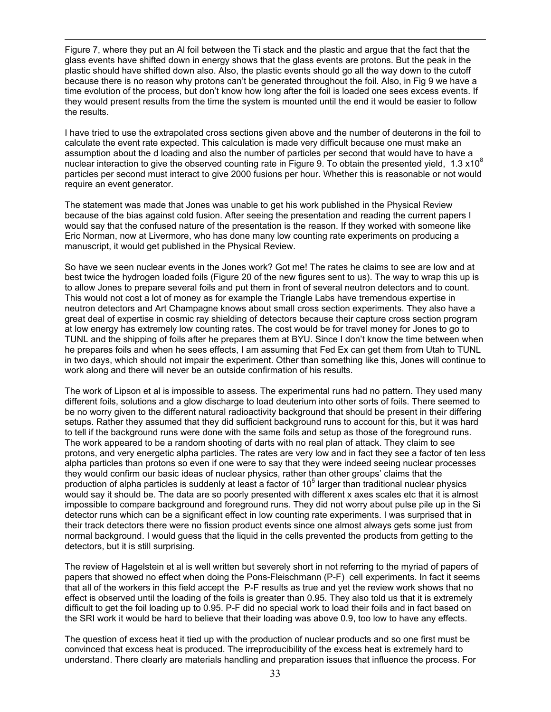Figure 7, where they put an Al foil between the Ti stack and the plastic and argue that the fact that the glass events have shifted down in energy shows that the glass events are protons. But the peak in the plastic should have shifted down also. Also, the plastic events should go all the way down to the cutoff because there is no reason why protons can't be generated throughout the foil. Also, in Fig 9 we have a time evolution of the process, but don't know how long after the foil is loaded one sees excess events. If they would present results from the time the system is mounted until the end it would be easier to follow the results.

 $\overline{a}$ 

I have tried to use the extrapolated cross sections given above and the number of deuterons in the foil to calculate the event rate expected. This calculation is made very difficult because one must make an assumption about the d loading and also the number of particles per second that would have to have a nuclear interaction to give the observed counting rate in Figure 9. To obtain the presented yield, 1.3  $\times$ 10<sup>8</sup> particles per second must interact to give 2000 fusions per hour. Whether this is reasonable or not would require an event generator.

The statement was made that Jones was unable to get his work published in the Physical Review because of the bias against cold fusion. After seeing the presentation and reading the current papers I would say that the confused nature of the presentation is the reason. If they worked with someone like Eric Norman, now at Livermore, who has done many low counting rate experiments on producing a manuscript, it would get published in the Physical Review.

So have we seen nuclear events in the Jones work? Got me! The rates he claims to see are low and at best twice the hydrogen loaded foils (Figure 20 of the new figures sent to us). The way to wrap this up is to allow Jones to prepare several foils and put them in front of several neutron detectors and to count. This would not cost a lot of money as for example the Triangle Labs have tremendous expertise in neutron detectors and Art Champagne knows about small cross section experiments. They also have a great deal of expertise in cosmic ray shielding of detectors because their capture cross section program at low energy has extremely low counting rates. The cost would be for travel money for Jones to go to TUNL and the shipping of foils after he prepares them at BYU. Since I don't know the time between when he prepares foils and when he sees effects, I am assuming that Fed Ex can get them from Utah to TUNL in two days, which should not impair the experiment. Other than something like this, Jones will continue to work along and there will never be an outside confirmation of his results.

 The work of Lipson et al is impossible to assess. The experimental runs had no pattern. They used many different foils, solutions and a glow discharge to load deuterium into other sorts of foils. There seemed to be no worry given to the different natural radioactivity background that should be present in their differing setups. Rather they assumed that they did sufficient background runs to account for this, but it was hard to tell if the background runs were done with the same foils and setup as those of the foreground runs. The work appeared to be a random shooting of darts with no real plan of attack. They claim to see protons, and very energetic alpha particles. The rates are very low and in fact they see a factor of ten less alpha particles than protons so even if one were to say that they were indeed seeing nuclear processes they would confirm our basic ideas of nuclear physics, rather than other groups' claims that the production of alpha particles is suddenly at least a factor of 10<sup>5</sup> larger than traditional nuclear physics would say it should be. The data are so poorly presented with different x axes scales etc that it is almost impossible to compare background and foreground runs. They did not worry about pulse pile up in the Si detector runs which can be a significant effect in low counting rate experiments. I was surprised that in their track detectors there were no fission product events since one almost always gets some just from normal background. I would guess that the liquid in the cells prevented the products from getting to the detectors, but it is still surprising.

 The review of Hagelstein et al is well written but severely short in not referring to the myriad of papers of papers that showed no effect when doing the Pons-Fleischmann (P-F) cell experiments. In fact it seems that all of the workers in this field accept the P-F results as true and yet the review work shows that no effect is observed until the loading of the foils is greater than 0.95. They also told us that it is extremely difficult to get the foil loading up to 0.95. P-F did no special work to load their foils and in fact based on the SRI work it would be hard to believe that their loading was above 0.9, too low to have any effects.

 The question of excess heat it tied up with the production of nuclear products and so one first must be convinced that excess heat is produced. The irreproducibility of the excess heat is extremely hard to understand. There clearly are materials handling and preparation issues that influence the process. For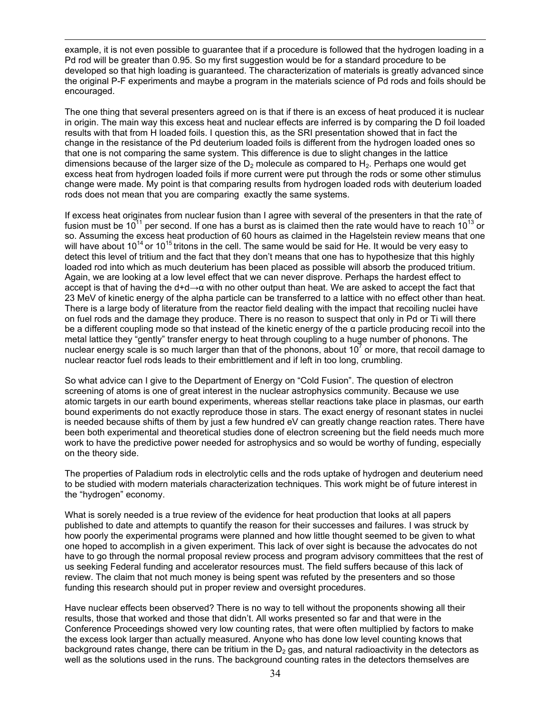example, it is not even possible to guarantee that if a procedure is followed that the hydrogen loading in a Pd rod will be greater than 0.95. So my first suggestion would be for a standard procedure to be developed so that high loading is guaranteed. The characterization of materials is greatly advanced since the original P-F experiments and maybe a program in the materials science of Pd rods and foils should be encouraged.

 $\overline{a}$ 

 The one thing that several presenters agreed on is that if there is an excess of heat produced it is nuclear in origin. The main way this excess heat and nuclear effects are inferred is by comparing the D foil loaded results with that from H loaded foils. I question this, as the SRI presentation showed that in fact the change in the resistance of the Pd deuterium loaded foils is different from the hydrogen loaded ones so that one is not comparing the same system. This difference is due to slight changes in the lattice dimensions because of the larger size of the  $D<sub>2</sub>$  molecule as compared to H<sub>2</sub>. Perhaps one would get excess heat from hydrogen loaded foils if more current were put through the rods or some other stimulus change were made. My point is that comparing results from hydrogen loaded rods with deuterium loaded rods does not mean that you are comparing exactly the same systems.

 If excess heat originates from nuclear fusion than I agree with several of the presenters in that the rate of fusion must be  $10^{11}$  per second. If one has a burst as is claimed then the rate would have to reach  $10^{13}$  or so. Assuming the excess heat production of 60 hours as claimed in the Hagelstein review means that one will have about  $10^{14}$  or  $10^{15}$  tritons in the cell. The same would be said for He. It would be very easy to detect this level of tritium and the fact that they don't means that one has to hypothesize that this highly loaded rod into which as much deuterium has been placed as possible will absorb the produced tritium. Again, we are looking at a low level effect that we can never disprove. Perhaps the hardest effect to accept is that of having the d+d→α with no other output than heat. We are asked to accept the fact that 23 MeV of kinetic energy of the alpha particle can be transferred to a lattice with no effect other than heat. There is a large body of literature from the reactor field dealing with the impact that recoiling nuclei have on fuel rods and the damage they produce. There is no reason to suspect that only in Pd or Ti will there be a different coupling mode so that instead of the kinetic energy of the α particle producing recoil into the metal lattice they "gently" transfer energy to heat through coupling to a huge number of phonons. The nuclear energy scale is so much larger than that of the phonons, about 10 $^7$  or more, that recoil damage to nuclear reactor fuel rods leads to their embrittlement and if left in too long, crumbling.

 So what advice can I give to the Department of Energy on "Cold Fusion". The question of electron screening of atoms is one of great interest in the nuclear astrophysics community. Because we use atomic targets in our earth bound experiments, whereas stellar reactions take place in plasmas, our earth bound experiments do not exactly reproduce those in stars. The exact energy of resonant states in nuclei is needed because shifts of them by just a few hundred eV can greatly change reaction rates. There have been both experimental and theoretical studies done of electron screening but the field needs much more work to have the predictive power needed for astrophysics and so would be worthy of funding, especially on the theory side.

 The properties of Paladium rods in electrolytic cells and the rods uptake of hydrogen and deuterium need to be studied with modern materials characterization techniques. This work might be of future interest in the "hydrogen" economy.

 What is sorely needed is a true review of the evidence for heat production that looks at all papers published to date and attempts to quantify the reason for their successes and failures. I was struck by how poorly the experimental programs were planned and how little thought seemed to be given to what one hoped to accomplish in a given experiment. This lack of over sight is because the advocates do not have to go through the normal proposal review process and program advisory committees that the rest of us seeking Federal funding and accelerator resources must. The field suffers because of this lack of review. The claim that not much money is being spent was refuted by the presenters and so those funding this research should put in proper review and oversight procedures.

 Have nuclear effects been observed? There is no way to tell without the proponents showing all their results, those that worked and those that didn't. All works presented so far and that were in the Conference Proceedings showed very low counting rates, that were often multiplied by factors to make the excess look larger than actually measured. Anyone who has done low level counting knows that background rates change, there can be tritium in the  $D<sub>2</sub>$  gas, and natural radioactivity in the detectors as well as the solutions used in the runs. The background counting rates in the detectors themselves are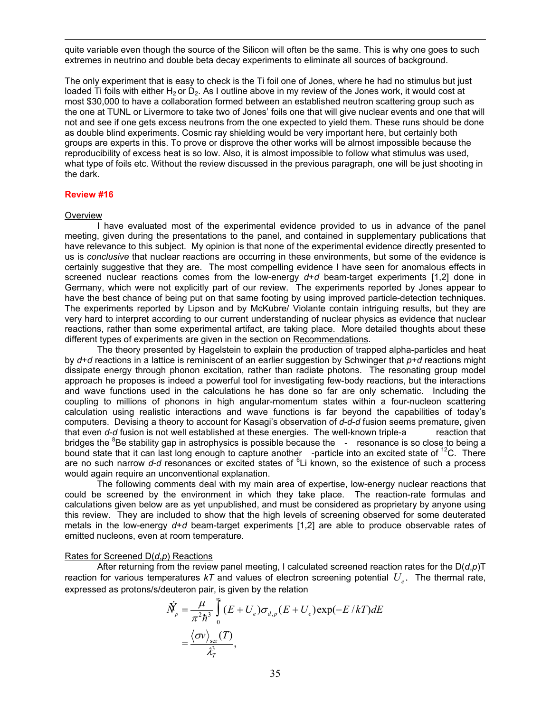quite variable even though the source of the Silicon will often be the same. This is why one goes to such extremes in neutrino and double beta decay experiments to eliminate all sources of background.

 The only experiment that is easy to check is the Ti foil one of Jones, where he had no stimulus but just loaded Ti foils with either H<sub>2</sub> or D<sub>2</sub>. As I outline above in my review of the Jones work, it would cost at most \$30,000 to have a collaboration formed between an established neutron scattering group such as the one at TUNL or Livermore to take two of Jones' foils one that will give nuclear events and one that will not and see if one gets excess neutrons from the one expected to yield them. These runs should be done as double blind experiments. Cosmic ray shielding would be very important here, but certainly both groups are experts in this. To prove or disprove the other works will be almost impossible because the reproducibility of excess heat is so low. Also, it is almost impossible to follow what stimulus was used, what type of foils etc. Without the review discussed in the previous paragraph, one will be just shooting in the dark.

#### **Review #16**

#### **Overview**

 $\overline{a}$ 

 I have evaluated most of the experimental evidence provided to us in advance of the panel meeting, given during the presentations to the panel, and contained in supplementary publications that have relevance to this subject. My opinion is that none of the experimental evidence directly presented to us is *conclusive* that nuclear reactions are occurring in these environments, but some of the evidence is certainly suggestive that they are. The most compelling evidence I have seen for anomalous effects in screened nuclear reactions comes from the low-energy *d*+*d* beam-target experiments [1,2] done in Germany, which were not explicitly part of our review. The experiments reported by Jones appear to have the best chance of being put on that same footing by using improved particle-detection techniques. The experiments reported by Lipson and by McKubre/ Violante contain intriguing results, but they are very hard to interpret according to our current understanding of nuclear physics as evidence that nuclear reactions, rather than some experimental artifact, are taking place. More detailed thoughts about these different types of experiments are given in the section on Recommendations.

 The theory presented by Hagelstein to explain the production of trapped alpha-particles and heat by *d*+*d* reactions in a lattice is reminiscent of an earlier suggestion by Schwinger that *p*+*d* reactions might dissipate energy through phonon excitation, rather than radiate photons. The resonating group model approach he proposes is indeed a powerful tool for investigating few-body reactions, but the interactions and wave functions used in the calculations he has done so far are only schematic. Including the coupling to millions of phonons in high angular-momentum states within a four-nucleon scattering calculation using realistic interactions and wave functions is far beyond the capabilities of today's computers. Devising a theory to account for Kasagi's observation of *d*-*d*-*d* fusion seems premature, given that even *d*-*d* fusion is not well established at these energies. The well-known triple-a reaction that bridges the <sup>8</sup>Be stability gap in astrophysics is possible because the - resonance is so close to being a bound state that it can last long enough to capture another -particle into an excited state of  $^{12}$ C. There are no such narrow d-d resonances or excited states of <sup>6</sup>Li known, so the existence of such a process would again require an unconventional explanation.

 The following comments deal with my main area of expertise, low-energy nuclear reactions that could be screened by the environment in which they take place. The reaction-rate formulas and calculations given below are as yet unpublished, and must be considered as proprietary by anyone using this review. They are included to show that the high levels of screening observed for some deuterated metals in the low-energy *d*+*d* beam-target experiments [1,2] are able to produce observable rates of emitted nucleons, even at room temperature.

#### Rates for Screened D(*d*,*p*) Reactions

 After returning from the review panel meeting, I calculated screened reaction rates for the D(*d*,*p*)T reaction for various temperatures  $kT$  and values of electron screening potential  $U_{e}$ . The thermal rate, expressed as protons/s/deuteron pair, is given by the relation

$$
\dot{N}_p' = \frac{\mu}{\pi^2 \hbar^3} \int_0^{\infty} (E + U_e) \sigma_{d,p} (E + U_e) \exp(-E/kT) dE
$$
  
= 
$$
\frac{\langle \sigma v \rangle_{\rm scr}(T)}{\lambda_T^3},
$$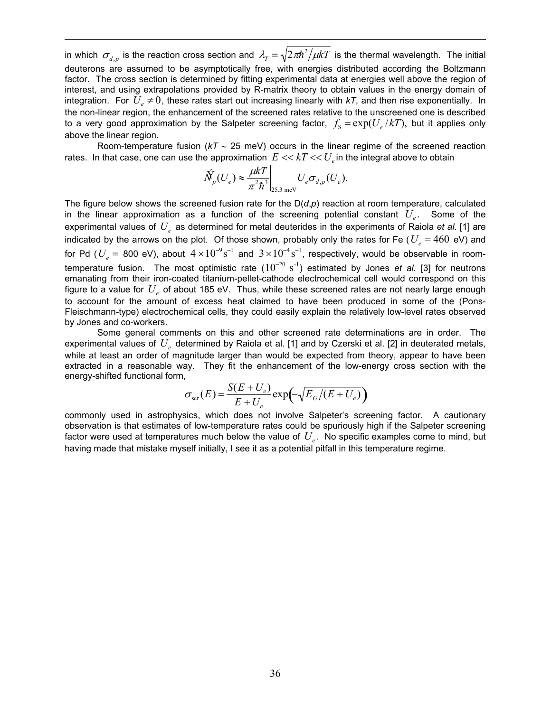in which  $\sigma_{d,p}$  is the reaction cross section and  $\lambda = \sqrt{2\pi\hbar^2/\mu kT}$  is the thermal wavelength. The initial deuterons are assumed to be asymptotically free, with energies distributed according the Boltzmann factor. The cross section is determined by fitting experimental data at energies well above the region of interest, and using extrapolations provided by R-matrix theory to obtain values in the energy domain of integration. For  $U_e \neq 0$ , these rates start out increasing linearly with  $kT$ , and then rise exponentially. In the non-linear region, the enhancement of the screened rates relative to the unscreened one is described to a very good approximation by the Salpeter screening factor,  $f_s = \exp(U_e / kT)$ , but it applies only above the linear region.

 $\overline{a}$ 

Room-temperature fusion (*kT* ∼ 25 meV) occurs in the linear regime of the screened reaction rates. In that case, one can use the approximation  $E \ll kT \ll U_e$  in the integral above to obtain

$$
\dot{N}_p(U_e) \approx \frac{\mu kT}{\pi^2 \hbar^3} \bigg|_{25.3 \text{ meV}} U_e \sigma_{d,p}(U_e).
$$

The figure below shows the screened fusion rate for the  $D(d,p)$  reaction at room temperature, calculated in the linear approximation as a function of the screening potential constant  $U_{\rho}$ . Some of the experimental values of  $U_{\rho}$  as determined for metal deuterides in the experiments of Raiola *et al.* [1] are indicated by the arrows on the plot. Of those shown, probably only the rates for Fe ( $U_e$  = 460 eV) and for Pd ( $U_e=$  800 eV), about  $4\times10^{-9} {\rm s}^{-1}$  and  $3\times10^{-4} {\rm s}^{-1}$ , respectively, would be observable in roomtemperature fusion. The most optimistic rate (10<sup>-20</sup> s<sup>-1</sup>) estimated by Jones *et al*. [3] for neutrons emanating from their iron-coated titanium-pellet-cathode electrochemical cell would correspond on this figure to a value for U<sub>e</sub> of about 185 eV. Thus, while these screened rates are not nearly large enough to account for the amount of excess heat claimed to have been produced in some of the (Pons-Fleischmann-type) electrochemical cells, they could easily explain the relatively low-level rates observed by Jones and co-workers.

 Some general comments on this and other screened rate determinations are in order. The experimental values of  $U_e$  determined by Raiola et al. [1] and by Czerski et al. [2] in deuterated metals, while at least an order of magnitude larger than would be expected from theory, appear to have been extracted in a reasonable way. They fit the enhancement of the low-energy cross section with the energy-shifted functional form,

$$
\sigma_{\text{scr}}(E) = \frac{S(E + U_e)}{E + U_e} \exp\left(-\sqrt{E_G/(E + U_e)}\right)
$$

commonly used in astrophysics, which does not involve Salpeter's screening factor. A cautionary observation is that estimates of low-temperature rates could be spuriously high if the Salpeter screening factor were used at temperatures much below the value of  $U_{e}$ . No specific examples come to mind, but having made that mistake myself initially, I see it as a potential pitfall in this temperature regime.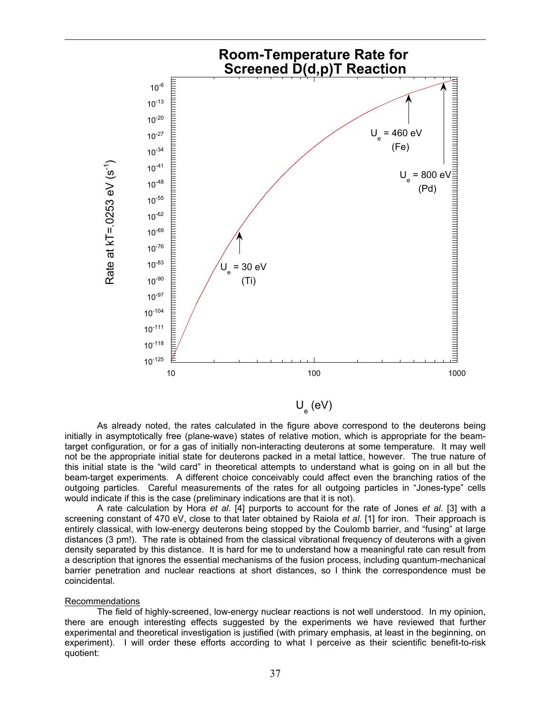

U<sub>e</sub> (eV)

 As already noted, the rates calculated in the figure above correspond to the deuterons being initially in asymptotically free (plane-wave) states of relative motion, which is appropriate for the beamtarget configuration, or for a gas of initially non-interacting deuterons at some temperature. It may well not be the appropriate initial state for deuterons packed in a metal lattice, however. The true nature of this initial state is the "wild card" in theoretical attempts to understand what is going on in all but the beam-target experiments. A different choice conceivably could affect even the branching ratios of the outgoing particles. Careful measurements of the rates for all outgoing particles in "Jones-type" cells would indicate if this is the case (preliminary indications are that it is not).

 A rate calculation by Hora *et al*. [4] purports to account for the rate of Jones *et al*. [3] with a screening constant of 470 eV, close to that later obtained by Raiola *et al*. [1] for iron. Their approach is entirely classical, with low-energy deuterons being stopped by the Coulomb barrier, and "fusing" at large distances (3 pm!). The rate is obtained from the classical vibrational frequency of deuterons with a given density separated by this distance. It is hard for me to understand how a meaningful rate can result from a description that ignores the essential mechanisms of the fusion process, including quantum-mechanical barrier penetration and nuclear reactions at short distances, so I think the correspondence must be coincidental.

#### Recommendations

1

 The field of highly-screened, low-energy nuclear reactions is not well understood. In my opinion, there are enough interesting effects suggested by the experiments we have reviewed that further experimental and theoretical investigation is justified (with primary emphasis, at least in the beginning, on experiment). I will order these efforts according to what I perceive as their scientific benefit-to-risk quotient: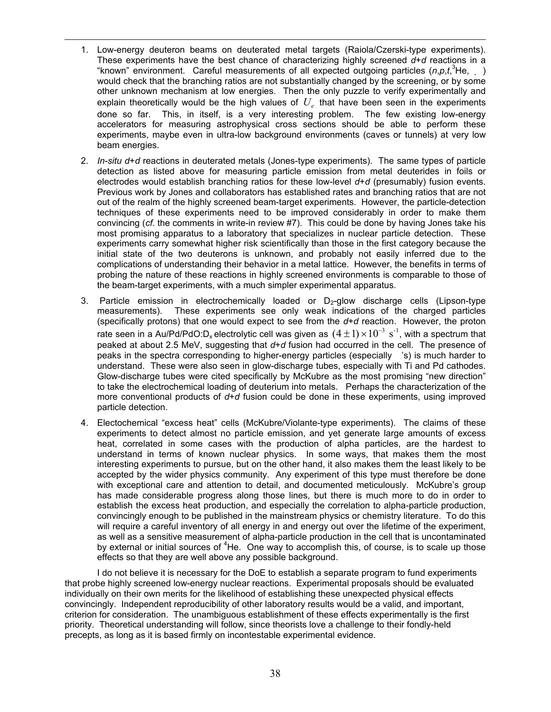1. Low-energy deuteron beams on deuterated metal targets (Raiola/Czerski-type experiments). These experiments have the best chance of characterizing highly screened *d*+*d* reactions in a "known" environment. Careful measurements of all expected outgoing particles  $(n, p, t, \lambda^3 He, )$ would check that the branching ratios are not substantially changed by the screening, or by some other unknown mechanism at low energies. Then the only puzzle to verify experimentally and explain theoretically would be the high values of  $U_{e}$  that have been seen in the experiments done so far. This, in itself, is a very interesting problem. The few existing low-energy accelerators for measuring astrophysical cross sections should be able to perform these experiments, maybe even in ultra-low background environments (caves or tunnels) at very low beam energies.

1

- 2. *In-situ d*+*d* reactions in deuterated metals (Jones-type experiments). The same types of particle detection as listed above for measuring particle emission from metal deuterides in foils or electrodes would establish branching ratios for these low-level *d*+*d* (presumably) fusion events. Previous work by Jones and collaborators has established rates and branching ratios that are not out of the realm of the highly screened beam-target experiments. However, the particle-detection techniques of these experiments need to be improved considerably in order to make them convincing (*cf*. the comments in write-in review #7). This could be done by having Jones take his most promising apparatus to a laboratory that specializes in nuclear particle detection. These experiments carry somewhat higher risk scientifically than those in the first category because the initial state of the two deuterons is unknown, and probably not easily inferred due to the complications of understanding their behavior in a metal lattice. However, the benefits in terms of probing the nature of these reactions in highly screened environments is comparable to those of the beam-target experiments, with a much simpler experimental apparatus.
- 3. Particle emission in electrochemically loaded or  $D_2$ -glow discharge cells (Lipson-type measurements). These experiments see only weak indications of the charged particles These experiments see only weak indications of the charged particles (specifically protons) that one would expect to see from the *d*+*d* reaction. However, the proton rate seen in a Au/Pd/PdO:D<sub>x</sub> electrolytic cell was given as  $(4\pm1)\!\times\!10^{-3}\,$  s<sup>-1</sup>, with a spectrum that peaked at about 2.5 MeV, suggesting that *d*+*d* fusion had occurred in the cell. The presence of peaks in the spectra corresponding to higher-energy particles (especially 's) is much harder to understand. These were also seen in glow-discharge tubes, especially with Ti and Pd cathodes. Glow-discharge tubes were cited specifically by McKubre as the most promising "new direction" to take the electrochemical loading of deuterium into metals. Perhaps the characterization of the more conventional products of *d*+*d* fusion could be done in these experiments, using improved particle detection.
- 4. Electochemical "excess heat" cells (McKubre/Violante-type experiments). The claims of these experiments to detect almost no particle emission, and yet generate large amounts of excess heat, correlated in some cases with the production of alpha particles, are the hardest to understand in terms of known nuclear physics. In some ways, that makes them the most interesting experiments to pursue, but on the other hand, it also makes them the least likely to be accepted by the wider physics community. Any experiment of this type must therefore be done with exceptional care and attention to detail, and documented meticulously. McKubre's group has made considerable progress along those lines, but there is much more to do in order to establish the excess heat production, and especially the correlation to alpha-particle production, convincingly enough to be published in the mainstream physics or chemistry literature. To do this will require a careful inventory of all energy in and energy out over the lifetime of the experiment, as well as a sensitive measurement of alpha-particle production in the cell that is uncontaminated by external or initial sources of <sup>4</sup>He. One way to accomplish this, of course, is to scale up those effects so that they are well above any possible background.

I do not believe it is necessary for the DoE to establish a separate program to fund experiments that probe highly screened low-energy nuclear reactions. Experimental proposals should be evaluated individually on their own merits for the likelihood of establishing these unexpected physical effects convincingly. Independent reproducibility of other laboratory results would be a valid, and important, criterion for consideration. The unambiguous establishment of these effects experimentally is the first priority. Theoretical understanding will follow, since theorists love a challenge to their fondly-held precepts, as long as it is based firmly on incontestable experimental evidence.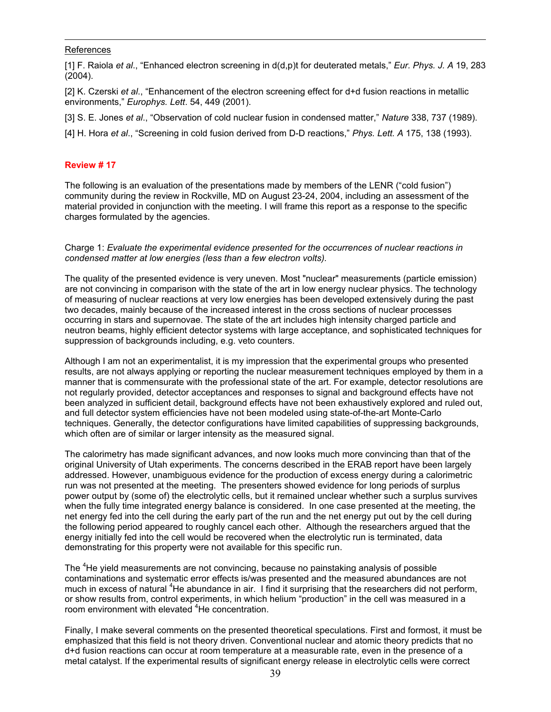# References

1

[1] F. Raiola *et al*., "Enhanced electron screening in d(d,p)t for deuterated metals," *Eur. Phys. J. A* 19, 283 (2004).

[2] K. Czerski *et al*., "Enhancement of the electron screening effect for d+d fusion reactions in metallic environments," *Europhys. Lett*. 54, 449 (2001).

[3] S. E. Jones *et al*., "Observation of cold nuclear fusion in condensed matter," *Nature* 338, 737 (1989).

[4] H. Hora *et al*., "Screening in cold fusion derived from D-D reactions," *Phys. Lett. A* 175, 138 (1993).

### **Review # 17**

The following is an evaluation of the presentations made by members of the LENR ("cold fusion") community during the review in Rockville, MD on August 23-24, 2004, including an assessment of the material provided in conjunction with the meeting. I will frame this report as a response to the specific charges formulated by the agencies.

### Charge 1: *Evaluate the experimental evidence presented for the occurrences of nuclear reactions in condensed matter at low energies (less than a few electron volts).*

The quality of the presented evidence is very uneven. Most "nuclear" measurements (particle emission) are not convincing in comparison with the state of the art in low energy nuclear physics. The technology of measuring of nuclear reactions at very low energies has been developed extensively during the past two decades, mainly because of the increased interest in the cross sections of nuclear processes occurring in stars and supernovae. The state of the art includes high intensity charged particle and neutron beams, highly efficient detector systems with large acceptance, and sophisticated techniques for suppression of backgrounds including, e.g. veto counters.

Although I am not an experimentalist, it is my impression that the experimental groups who presented results, are not always applying or reporting the nuclear measurement techniques employed by them in a manner that is commensurate with the professional state of the art. For example, detector resolutions are not regularly provided, detector acceptances and responses to signal and background effects have not been analyzed in sufficient detail, background effects have not been exhaustively explored and ruled out, and full detector system efficiencies have not been modeled using state-of-the-art Monte-Carlo techniques. Generally, the detector configurations have limited capabilities of suppressing backgrounds, which often are of similar or larger intensity as the measured signal.

The calorimetry has made significant advances, and now looks much more convincing than that of the original University of Utah experiments. The concerns described in the ERAB report have been largely addressed. However, unambiguous evidence for the production of excess energy during a calorimetric run was not presented at the meeting. The presenters showed evidence for long periods of surplus power output by (some of) the electrolytic cells, but it remained unclear whether such a surplus survives when the fully time integrated energy balance is considered. In one case presented at the meeting, the net energy fed into the cell during the early part of the run and the net energy put out by the cell during the following period appeared to roughly cancel each other. Although the researchers argued that the energy initially fed into the cell would be recovered when the electrolytic run is terminated, data demonstrating for this property were not available for this specific run.

The <sup>4</sup>He yield measurements are not convincing, because no painstaking analysis of possible contaminations and systematic error effects is/was presented and the measured abundances are not much in excess of natural <sup>4</sup>He abundance in air. I find it surprising that the researchers did not perform, or show results from, control experiments, in which helium "production" in the cell was measured in a room environment with elevated <sup>4</sup>He concentration.

Finally, I make several comments on the presented theoretical speculations. First and formost, it must be emphasized that this field is not theory driven. Conventional nuclear and atomic theory predicts that no d+d fusion reactions can occur at room temperature at a measurable rate, even in the presence of a metal catalyst. If the experimental results of significant energy release in electrolytic cells were correct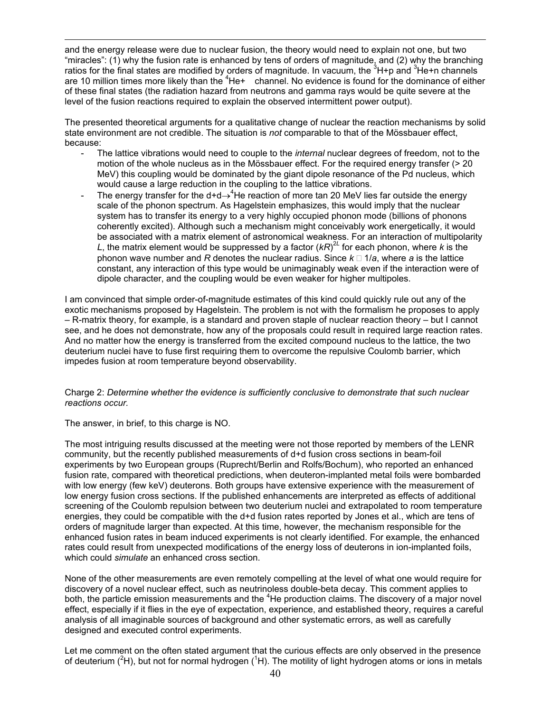and the energy release were due to nuclear fusion, the theory would need to explain not one, but two "miracles": (1) why the fusion rate is enhanced by tens of orders of magnitude, and (2) why the branching ratios for the final states are modified by orders of magnitude. In vacuum, the  $3H+p$  and  $3He+n$  channels are 10 million times more likely than the  ${}^{4}$ He+ channel. No evidence is found for the dominance of either of these final states (the radiation hazard from neutrons and gamma rays would be quite severe at the level of the fusion reactions required to explain the observed intermittent power output).

The presented theoretical arguments for a qualitative change of nuclear the reaction mechanisms by solid state environment are not credible. The situation is *not* comparable to that of the Mössbauer effect, because:

- The lattice vibrations would need to couple to the *internal* nuclear degrees of freedom, not to the motion of the whole nucleus as in the Mössbauer effect. For the required energy transfer (> 20 MeV) this coupling would be dominated by the giant dipole resonance of the Pd nucleus, which would cause a large reduction in the coupling to the lattice vibrations.
- The energy transfer for the d+d $\rightarrow$ <sup>4</sup>He reaction of more tan 20 MeV lies far outside the energy scale of the phonon spectrum. As Hagelstein emphasizes, this would imply that the nuclear system has to transfer its energy to a very highly occupied phonon mode (billions of phonons coherently excited). Although such a mechanism might conceivably work energetically, it would be associated with a matrix element of astronomical weakness. For an interaction of multipolarity L, the matrix element would be suppressed by a factor  $(kR)^{2L}$  for each phonon, where k is the phonon wave number and *R* denotes the nuclear radius. Since  $k \Box 1/a$ , where *a* is the lattice constant, any interaction of this type would be unimaginably weak even if the interaction were of dipole character, and the coupling would be even weaker for higher multipoles.

I am convinced that simple order-of-magnitude estimates of this kind could quickly rule out any of the exotic mechanisms proposed by Hagelstein. The problem is not with the formalism he proposes to apply – R-matrix theory, for example, is a standard and proven staple of nuclear reaction theory – but I cannot see, and he does not demonstrate, how any of the proposals could result in required large reaction rates. And no matter how the energy is transferred from the excited compound nucleus to the lattice, the two deuterium nuclei have to fuse first requiring them to overcome the repulsive Coulomb barrier, which impedes fusion at room temperature beyond observability.

# Charge 2: *Determine whether the evidence is sufficiently conclusive to demonstrate that such nuclear reactions occur.*

The answer, in brief, to this charge is NO.

1

The most intriguing results discussed at the meeting were not those reported by members of the LENR community, but the recently published measurements of d+d fusion cross sections in beam-foil experiments by two European groups (Ruprecht/Berlin and Rolfs/Bochum), who reported an enhanced fusion rate, compared with theoretical predictions, when deuteron-implanted metal foils were bombarded with low energy (few keV) deuterons. Both groups have extensive experience with the measurement of low energy fusion cross sections. If the published enhancements are interpreted as effects of additional screening of the Coulomb repulsion between two deuterium nuclei and extrapolated to room temperature energies, they could be compatible with the d+d fusion rates reported by Jones et al., which are tens of orders of magnitude larger than expected. At this time, however, the mechanism responsible for the enhanced fusion rates in beam induced experiments is not clearly identified. For example, the enhanced rates could result from unexpected modifications of the energy loss of deuterons in ion-implanted foils, which could *simulate* an enhanced cross section.

None of the other measurements are even remotely compelling at the level of what one would require for discovery of a novel nuclear effect, such as neutrinoless double-beta decay. This comment applies to both, the particle emission measurements and the  ${}^{4}$ He production claims. The discovery of a major novel effect, especially if it flies in the eye of expectation, experience, and established theory, requires a careful analysis of all imaginable sources of background and other systematic errors, as well as carefully designed and executed control experiments.

Let me comment on the often stated argument that the curious effects are only observed in the presence of deuterium ( ${}^{2}$ H), but not for normal hydrogen ( ${}^{1}$ H). The motility of light hydrogen atoms or ions in metals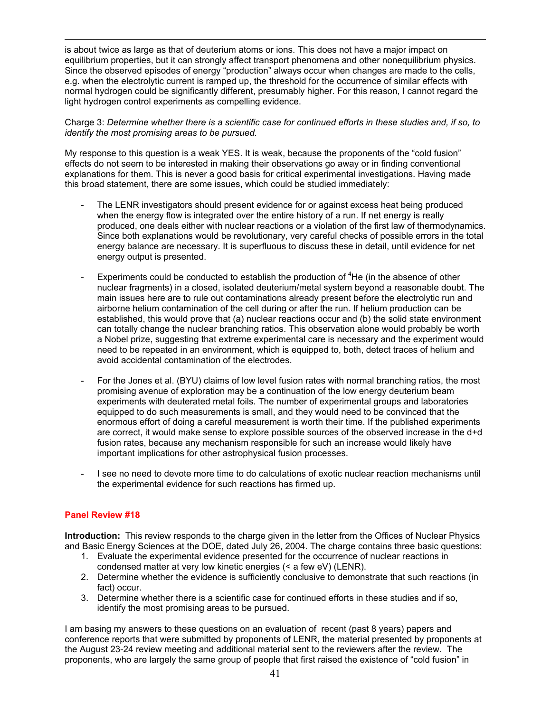is about twice as large as that of deuterium atoms or ions. This does not have a major impact on equilibrium properties, but it can strongly affect transport phenomena and other nonequilibrium physics. Since the observed episodes of energy "production" always occur when changes are made to the cells, e.g. when the electrolytic current is ramped up, the threshold for the occurrence of similar effects with normal hydrogen could be significantly different, presumably higher. For this reason, I cannot regard the light hydrogen control experiments as compelling evidence.

Charge 3: *Determine whether there is a scientific case for continued efforts in these studies and, if so, to identify the most promising areas to be pursued.* 

My response to this question is a weak YES. It is weak, because the proponents of the "cold fusion" effects do not seem to be interested in making their observations go away or in finding conventional explanations for them. This is never a good basis for critical experimental investigations. Having made this broad statement, there are some issues, which could be studied immediately:

- The LENR investigators should present evidence for or against excess heat being produced when the energy flow is integrated over the entire history of a run. If net energy is really produced, one deals either with nuclear reactions or a violation of the first law of thermodynamics. Since both explanations would be revolutionary, very careful checks of possible errors in the total energy balance are necessary. It is superfluous to discuss these in detail, until evidence for net energy output is presented.
- Experiments could be conducted to establish the production of  ${}^{4}$ He (in the absence of other nuclear fragments) in a closed, isolated deuterium/metal system beyond a reasonable doubt. The main issues here are to rule out contaminations already present before the electrolytic run and airborne helium contamination of the cell during or after the run. If helium production can be established, this would prove that (a) nuclear reactions occur and (b) the solid state environment can totally change the nuclear branching ratios. This observation alone would probably be worth a Nobel prize, suggesting that extreme experimental care is necessary and the experiment would need to be repeated in an environment, which is equipped to, both, detect traces of helium and avoid accidental contamination of the electrodes.
- For the Jones et al. (BYU) claims of low level fusion rates with normal branching ratios, the most promising avenue of exploration may be a continuation of the low energy deuterium beam experiments with deuterated metal foils. The number of experimental groups and laboratories equipped to do such measurements is small, and they would need to be convinced that the enormous effort of doing a careful measurement is worth their time. If the published experiments are correct, it would make sense to explore possible sources of the observed increase in the d+d fusion rates, because any mechanism responsible for such an increase would likely have important implications for other astrophysical fusion processes.
- I see no need to devote more time to do calculations of exotic nuclear reaction mechanisms until the experimental evidence for such reactions has firmed up.

# **Panel Review #18**

1

**Introduction:** This review responds to the charge given in the letter from the Offices of Nuclear Physics and Basic Energy Sciences at the DOE, dated July 26, 2004. The charge contains three basic questions:

- 1. Evaluate the experimental evidence presented for the occurrence of nuclear reactions in condensed matter at very low kinetic energies (< a few eV) (LENR).
- 2. Determine whether the evidence is sufficiently conclusive to demonstrate that such reactions (in fact) occur.
- 3. Determine whether there is a scientific case for continued efforts in these studies and if so, identify the most promising areas to be pursued.

I am basing my answers to these questions on an evaluation of recent (past 8 years) papers and conference reports that were submitted by proponents of LENR, the material presented by proponents at the August 23-24 review meeting and additional material sent to the reviewers after the review. The proponents, who are largely the same group of people that first raised the existence of "cold fusion" in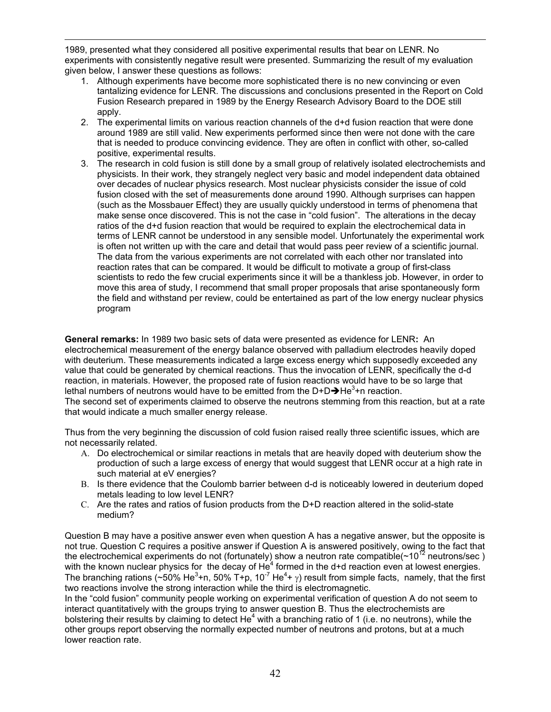1 1989, presented what they considered all positive experimental results that bear on LENR. No experiments with consistently negative result were presented. Summarizing the result of my evaluation given below, I answer these questions as follows:

- 1. Although experiments have become more sophisticated there is no new convincing or even tantalizing evidence for LENR. The discussions and conclusions presented in the Report on Cold Fusion Research prepared in 1989 by the Energy Research Advisory Board to the DOE still apply.
- 2. The experimental limits on various reaction channels of the d+d fusion reaction that were done around 1989 are still valid. New experiments performed since then were not done with the care that is needed to produce convincing evidence. They are often in conflict with other, so-called positive, experimental results.
- 3. The research in cold fusion is still done by a small group of relatively isolated electrochemists and physicists. In their work, they strangely neglect very basic and model independent data obtained over decades of nuclear physics research. Most nuclear physicists consider the issue of cold fusion closed with the set of measurements done around 1990. Although surprises can happen (such as the Mossbauer Effect) they are usually quickly understood in terms of phenomena that make sense once discovered. This is not the case in "cold fusion". The alterations in the decay ratios of the d+d fusion reaction that would be required to explain the electrochemical data in terms of LENR cannot be understood in any sensible model. Unfortunately the experimental work is often not written up with the care and detail that would pass peer review of a scientific journal. The data from the various experiments are not correlated with each other nor translated into reaction rates that can be compared. It would be difficult to motivate a group of first-class scientists to redo the few crucial experiments since it will be a thankless job. However, in order to move this area of study, I recommend that small proper proposals that arise spontaneously form the field and withstand per review, could be entertained as part of the low energy nuclear physics program

**General remarks:** In 1989 two basic sets of data were presented as evidence for LENR**:** An electrochemical measurement of the energy balance observed with palladium electrodes heavily doped with deuterium. These measurements indicated a large excess energy which supposedly exceeded any value that could be generated by chemical reactions. Thus the invocation of LENR, specifically the d-d reaction, in materials. However, the proposed rate of fusion reactions would have to be so large that lethal numbers of neutrons would have to be emitted from the D+D $\rightarrow$ He<sup>3</sup>+n reaction. The second set of experiments claimed to observe the neutrons stemming from this reaction, but at a rate that would indicate a much smaller energy release.

Thus from the very beginning the discussion of cold fusion raised really three scientific issues, which are not necessarily related.

- A. Do electrochemical or similar reactions in metals that are heavily doped with deuterium show the production of such a large excess of energy that would suggest that LENR occur at a high rate in such material at eV energies?
- B. Is there evidence that the Coulomb barrier between d-d is noticeably lowered in deuterium doped metals leading to low level LENR?
- C. Are the rates and ratios of fusion products from the D+D reaction altered in the solid-state medium?

Question B may have a positive answer even when question A has a negative answer, but the opposite is not true. Question C requires a positive answer if Question A is answered positively, owing to the fact that the electrochemical experiments do not (fortunately) show a neutron rate compatible( $\sim$ 10<sup>12</sup> neutrons/sec) with the known nuclear physics for the decay of He<sup>4</sup> formed in the d+d reaction even at lowest energies. The branching rations (~50% He<sup>3</sup>+n, 50% T+p, 10<sup>-7</sup> He<sup>4</sup>+  $\gamma$ ) result from simple facts, namely, that the first two reactions involve the strong interaction while the third is electromagnetic.

In the "cold fusion" community people working on experimental verification of question A do not seem to interact quantitatively with the groups trying to answer question B. Thus the electrochemists are bolstering their results by claiming to detect He<sup>4</sup> with a branching ratio of 1 (i.e. no neutrons), while the other groups report observing the normally expected number of neutrons and protons, but at a much lower reaction rate.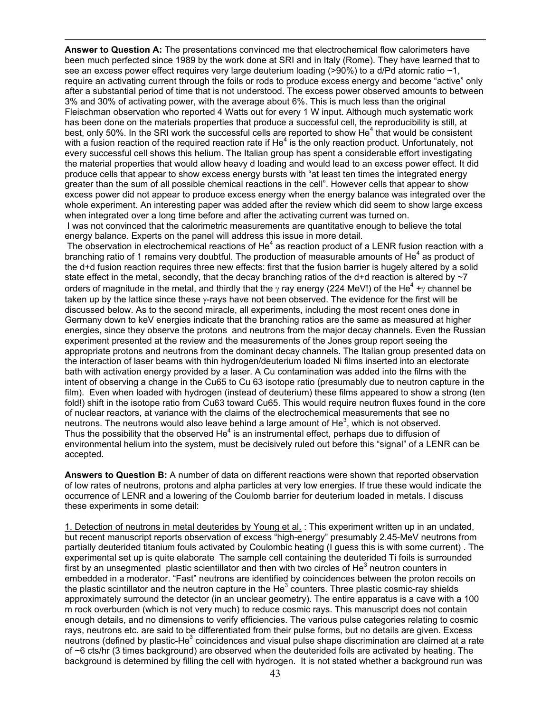1 **Answer to Question A:** The presentations convinced me that electrochemical flow calorimeters have been much perfected since 1989 by the work done at SRI and in Italy (Rome). They have learned that to see an excess power effect requires very large deuterium loading (>90%) to a d/Pd atomic ratio  $\sim$ 1, require an activating current through the foils or rods to produce excess energy and become "active" only after a substantial period of time that is not understood. The excess power observed amounts to between 3% and 30% of activating power, with the average about 6%. This is much less than the original Fleischman observation who reported 4 Watts out for every 1 W input. Although much systematic work has been done on the materials properties that produce a successful cell, the reproducibility is still, at best, only 50%. In the SRI work the successful cells are reported to show  $He<sup>4</sup>$  that would be consistent with a fusion reaction of the required reaction rate if He<sup>4</sup> is the only reaction product. Unfortunately, not every successful cell shows this helium. The Italian group has spent a considerable effort investigating the material properties that would allow heavy d loading and would lead to an excess power effect. It did produce cells that appear to show excess energy bursts with "at least ten times the integrated energy greater than the sum of all possible chemical reactions in the cell". However cells that appear to show excess power did not appear to produce excess energy when the energy balance was integrated over the whole experiment. An interesting paper was added after the review which did seem to show large excess when integrated over a long time before and after the activating current was turned on.

 I was not convinced that the calorimetric measurements are quantitative enough to believe the total energy balance. Experts on the panel will address this issue in more detail.

The observation in electrochemical reactions of He<sup>4</sup> as reaction product of a LENR fusion reaction with a branching ratio of 1 remains very doubtful. The production of measurable amounts of He<sup>4</sup> as product of the d+d fusion reaction requires three new effects: first that the fusion barrier is hugely altered by a solid state effect in the metal, secondly, that the decay branching ratios of the d+d reaction is altered by  $\sim$ 7 orders of magnitude in the metal, and thirdly that the  $\gamma$  ray energy (224 MeV!) of the He<sup>4</sup> + $\gamma$  channel be taken up by the lattice since these  $\gamma$ -rays have not been observed. The evidence for the first will be discussed below. As to the second miracle, all experiments, including the most recent ones done in Germany down to keV energies indicate that the branching ratios are the same as measured at higher energies, since they observe the protons and neutrons from the major decay channels. Even the Russian experiment presented at the review and the measurements of the Jones group report seeing the appropriate protons and neutrons from the dominant decay channels. The Italian group presented data on the interaction of laser beams with thin hydrogen/deuterium loaded Ni films inserted into an electorate bath with activation energy provided by a laser. A Cu contamination was added into the films with the intent of observing a change in the Cu65 to Cu 63 isotope ratio (presumably due to neutron capture in the film). Even when loaded with hydrogen (instead of deuterium) these films appeared to show a strong (ten fold!) shift in the isotope ratio from Cu63 toward Cu65. This would require neutron fluxes found in the core of nuclear reactors, at variance with the claims of the electrochemical measurements that see no neutrons. The neutrons would also leave behind a large amount of He<sup>3</sup>, which is not observed. Thus the possibility that the observed He $4$  is an instrumental effect, perhaps due to diffusion of environmental helium into the system, must be decisively ruled out before this "signal" of a LENR can be accepted.

**Answers to Question B:** A number of data on different reactions were shown that reported observation of low rates of neutrons, protons and alpha particles at very low energies. If true these would indicate the occurrence of LENR and a lowering of the Coulomb barrier for deuterium loaded in metals. I discuss these experiments in some detail:

1. Detection of neutrons in metal deuterides by Young et al. : This experiment written up in an undated, but recent manuscript reports observation of excess "high-energy" presumably 2.45-MeV neutrons from partially deuterided titanium fouls activated by Coulombic heating (I guess this is with some current) . The experimental set up is quite elaborate The sample cell containing the deuterided Ti foils is surrounded first by an unsegmented plastic scientillator and then with two circles of He<sup>3</sup> neutron counters in embedded in a moderator. "Fast" neutrons are identified by coincidences between the proton recoils on the plastic scintillator and the neutron capture in the He<sup>3</sup> counters. Three plastic cosmic-ray shields approximately surround the detector (in an unclear geometry). The entire apparatus is a cave with a 100 m rock overburden (which is not very much) to reduce cosmic rays. This manuscript does not contain enough details, and no dimensions to verify efficiencies. The various pulse categories relating to cosmic rays, neutrons etc. are said to be differentiated from their pulse forms, but no details are given. Excess neutrons (defined by plastic-He<sup>3</sup> coincidences and visual pulse shape discrimination are claimed at a rate of ~6 cts/hr (3 times background) are observed when the deuterided foils are activated by heating. The background is determined by filling the cell with hydrogen. It is not stated whether a background run was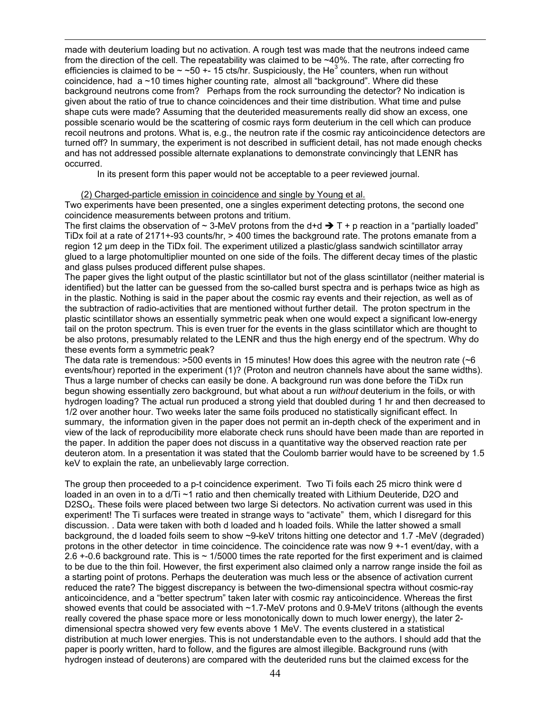made with deuterium loading but no activation. A rough test was made that the neutrons indeed came from the direction of the cell. The repeatability was claimed to be ~40%. The rate, after correcting fro efficiencies is claimed to be  $\sim$  ~50 +- 15 cts/hr. Suspiciously, the He<sup>3</sup> counters, when run without coincidence, had a ~10 times higher counting rate, almost all "background". Where did these background neutrons come from? Perhaps from the rock surrounding the detector? No indication is given about the ratio of true to chance coincidences and their time distribution. What time and pulse shape cuts were made? Assuming that the deuterided measurements really did show an excess, one possible scenario would be the scattering of cosmic rays form deuterium in the cell which can produce recoil neutrons and protons. What is, e.g., the neutron rate if the cosmic ray anticoincidence detectors are turned off? In summary, the experiment is not described in sufficient detail, has not made enough checks and has not addressed possible alternate explanations to demonstrate convincingly that LENR has occurred.

In its present form this paper would not be acceptable to a peer reviewed journal.

### (2) Charged-particle emission in coincidence and single by Young et al.

1

Two experiments have been presented, one a singles experiment detecting protons, the second one coincidence measurements between protons and tritium.

The first claims the observation of  $\sim$  3-MeV protons from the d+d  $\rightarrow$  T + p reaction in a "partially loaded" TiDx foil at a rate of 2171+-93 counts/hr, > 400 times the background rate. The protons emanate from a region 12 µm deep in the TiDx foil. The experiment utilized a plastic/glass sandwich scintillator array glued to a large photomultiplier mounted on one side of the foils. The different decay times of the plastic and glass pulses produced different pulse shapes.

The paper gives the light output of the plastic scintillator but not of the glass scintillator (neither material is identified) but the latter can be guessed from the so-called burst spectra and is perhaps twice as high as in the plastic. Nothing is said in the paper about the cosmic ray events and their rejection, as well as of the subtraction of radio-activities that are mentioned without further detail. The proton spectrum in the plastic scintillator shows an essentially symmetric peak when one would expect a significant low-energy tail on the proton spectrum. This is even truer for the events in the glass scintillator which are thought to be also protons, presumably related to the LENR and thus the high energy end of the spectrum. Why do these events form a symmetric peak?

The data rate is tremendous:  $>500$  events in 15 minutes! How does this agree with the neutron rate ( $\sim$ 6 events/hour) reported in the experiment (1)? (Proton and neutron channels have about the same widths). Thus a large number of checks can easily be done. A background run was done before the TiDx run begun showing essentially zero background, but what about a run *without* deuterium in the foils, or with hydrogen loading? The actual run produced a strong yield that doubled during 1 hr and then decreased to 1/2 over another hour. Two weeks later the same foils produced no statistically significant effect. In summary, the information given in the paper does not permit an in-depth check of the experiment and in view of the lack of reproducibility more elaborate check runs should have been made than are reported in the paper. In addition the paper does not discuss in a quantitative way the observed reaction rate per deuteron atom. In a presentation it was stated that the Coulomb barrier would have to be screened by 1.5 keV to explain the rate, an unbelievably large correction.

The group then proceeded to a p-t coincidence experiment. Two Ti foils each 25 micro think were d loaded in an oven in to a d/Ti ~1 ratio and then chemically treated with Lithium Deuteride, D2O and D2SO4. These foils were placed between two large Si detectors. No activation current was used in this experiment! The Ti surfaces were treated in strange ways to "activate" them, which I disregard for this discussion. . Data were taken with both d loaded and h loaded foils. While the latter showed a small background, the d loaded foils seem to show ~9-keV tritons hitting one detector and 1.7 -MeV (degraded) protons in the other detector in time coincidence. The coincidence rate was now 9 +-1 event/day, with a 2.6 +-0.6 background rate. This is ~ 1/5000 times the rate reported for the first experiment and is claimed to be due to the thin foil. However, the first experiment also claimed only a narrow range inside the foil as a starting point of protons. Perhaps the deuteration was much less or the absence of activation current reduced the rate? The biggest discrepancy is between the two-dimensional spectra without cosmic-ray anticoincidence, and a "better spectrum" taken later with cosmic ray anticoincidence. Whereas the first showed events that could be associated with ~1.7-MeV protons and 0.9-MeV tritons (although the events really covered the phase space more or less monotonically down to much lower energy), the later 2 dimensional spectra showed very few events above 1 MeV. The events clustered in a statistical distribution at much lower energies. This is not understandable even to the authors. I should add that the paper is poorly written, hard to follow, and the figures are almost illegible. Background runs (with hydrogen instead of deuterons) are compared with the deuterided runs but the claimed excess for the